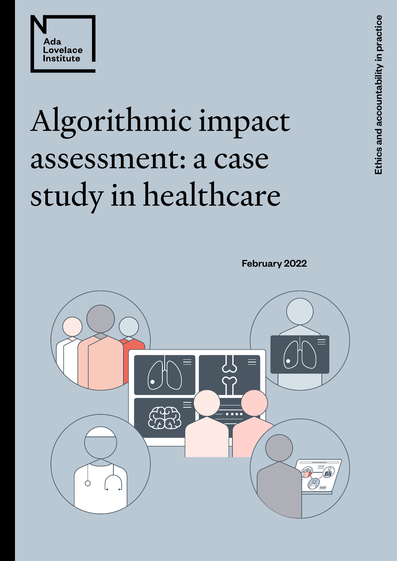



# Algorithmic impact assessment: a case study in healthcare

February 2022

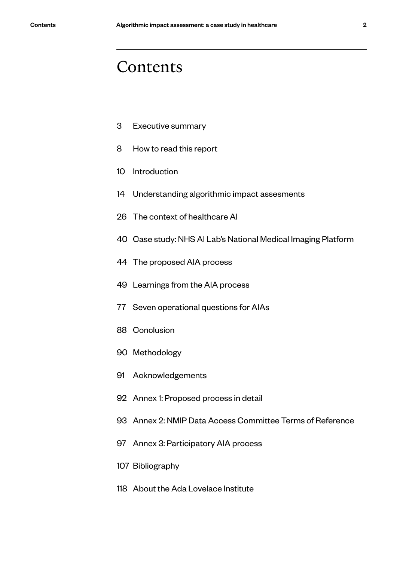# Contents

- Executive summary
- How to read this report
- Introduction
- Understanding algorithmic impact assesments
- 6 The context of healthcare AI
- 0 Case study: NHS AI Lab's National Medical Imaging Platform
- The proposed AIA process
- Learnings from the AIA process
- Seven operational questions for AIAs
- 8 Conclusion
- 0 Methodology
- Acknowledgements
- Annex 1: Proposed process in detail
- Annex 2: NMIP Data Access Committee Terms of Reference
- Annex 3: Participatory AIA process
- Bibliography
- About the Ada Lovelace Institute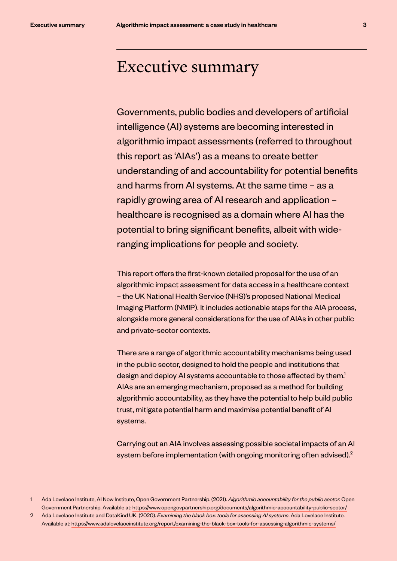# Executive summary

Governments, public bodies and developers of artificial intelligence (AI) systems are becoming interested in algorithmic impact assessments (referred to throughout this report as 'AIAs') as a means to create better understanding of and accountability for potential benefits and harms from AI systems. At the same time – as a rapidly growing area of AI research and application – healthcare is recognised as a domain where AI has the potential to bring significant benefits, albeit with wideranging implications for people and society.

This report offers the first-known detailed proposal for the use of an algorithmic impact assessment for data access in a healthcare context – the UK National Health Service (NHS)'s proposed National Medical Imaging Platform (NMIP). It includes actionable steps for the AIA process, alongside more general considerations for the use of AIAs in other public and private-sector contexts.

There are a range of algorithmic accountability mechanisms being used in the public sector, designed to hold the people and institutions that design and deploy AI systems accountable to those affected by them.<sup>1</sup> AIAs are an emerging mechanism, proposed as a method for building algorithmic accountability, as they have the potential to help build public trust, mitigate potential harm and maximise potential benefit of AI systems.

Carrying out an AIA involves assessing possible societal impacts of an AI system before implementation (with ongoing monitoring often advised).<sup>2</sup>

<sup>1</sup> Ada Lovelace Institute, AI Now Institute, Open Government Partnership. (2021). *Algorithmic accountability for the public sector.* Open Government Partnership. Available at: https://www.opengovpartnership.org/documents/algorithmic-accountability-public-sector/

<sup>2</sup> Ada Lovelace Institute and DataKind UK. (2020). *Examining the black box: tools for assessing AI systems*. Ada Lovelace Institute. Available at: https://www.adalovelaceinstitute.org/report/examining-the-black-box-tools-for-assessing-algorithmic-systems/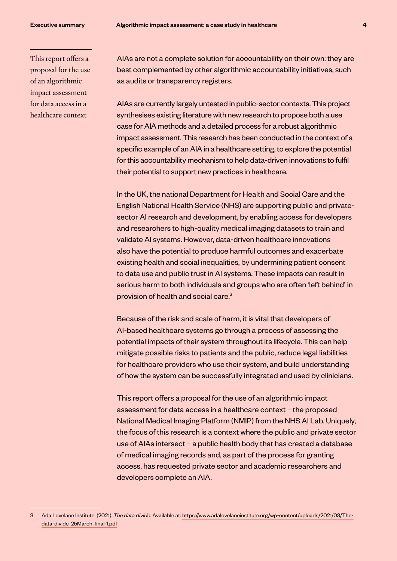This report offers a proposal for the use of an algorithmic impact assessment for data access in a healthcare context

AIAs are not a complete solution for accountability on their own: they are best complemented by other algorithmic accountability initiatives, such as audits or transparency registers.

AIAs are currently largely untested in public-sector contexts. This project synthesises existing literature with new research to propose both a use case for AIA methods and a detailed process for a robust algorithmic impact assessment. This research has been conducted in the context of a specific example of an AIA in a healthcare setting, to explore the potential for this accountability mechanism to help data-driven innovations to fulfil their potential to support new practices in healthcare.

In the UK, the national Department for Health and Social Care and the English National Health Service (NHS) are supporting public and privatesector AI research and development, by enabling access for developers and researchers to high-quality medical imaging datasets to train and validate AI systems. However, data-driven healthcare innovations also have the potential to produce harmful outcomes and exacerbate existing health and social inequalities, by undermining patient consent to data use and public trust in AI systems. These impacts can result in serious harm to both individuals and groups who are often 'left behind' in provision of health and social care.3

Because of the risk and scale of harm, it is vital that developers of AI-based healthcare systems go through a process of assessing the potential impacts of their system throughout its lifecycle. This can help mitigate possible risks to patients and the public, reduce legal liabilities for healthcare providers who use their system, and build understanding of how the system can be successfully integrated and used by clinicians.

This report offers a proposal for the use of an algorithmic impact assessment for data access in a healthcare context – the proposed National Medical Imaging Platform (NMIP) from the NHS AI Lab. Uniquely, the focus of this research is a context where the public and private sector use of AIAs intersect – a public health body that has created a database of medical imaging records and, as part of the process for granting access, has requested private sector and academic researchers and developers complete an AIA.

<sup>3</sup> Ada Lovelace Institute. (2021). *The data divide*. Available at: https://www.adalovelaceinstitute.org/wp-content/uploads/2021/03/Thedata-divide\_25March\_final-1.pdf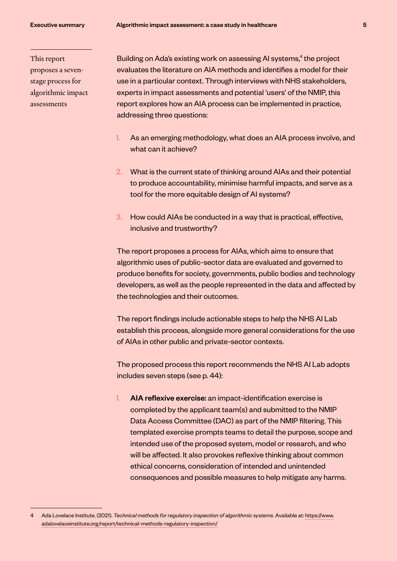This report proposes a sevenstage process for algorithmic impact assessments

Building on Ada's existing work on assessing AI systems,<sup>4</sup> the project evaluates the literature on AIA methods and identifies a model for their use in a particular context. Through interviews with NHS stakeholders, experts in impact assessments and potential 'users' of the NMIP, this report explores how an AIA process can be implemented in practice, addressing three questions:

- 1. As an emerging methodology, what does an AIA process involve, and what can it achieve?
- 2. What is the current state of thinking around AIAs and their potential to produce accountability, minimise harmful impacts, and serve as a tool for the more equitable design of AI systems?
- 3. How could AIAs be conducted in a way that is practical, effective, inclusive and trustworthy?

The report proposes a process for AIAs, which aims to ensure that algorithmic uses of public-sector data are evaluated and governed to produce benefits for society, governments, public bodies and technology developers, as well as the people represented in the data and affected by the technologies and their outcomes.

The report findings include actionable steps to help the NHS AI Lab establish this process, alongside more general considerations for the use of AIAs in other public and private-sector contexts.

The proposed process this report recommends the NHS AI Lab adopts includes seven steps (see p. 44):

AIA reflexive exercise: an impact-identification exercise is completed by the applicant team(s) and submitted to the NMIP Data Access Committee (DAC) as part of the NMIP filtering. This templated exercise prompts teams to detail the purpose, scope and intended use of the proposed system, model or research, and who will be affected. It also provokes reflexive thinking about common ethical concerns, consideration of intended and unintended consequences and possible measures to help mitigate any harms.

<sup>4</sup> Ada Lovelace Institute. (2021). *Technical methods for regulatory inspection of algorithmic systems*. Available at: https://www. adalovelaceinstitute.org/report/technical-methods-regulatory-inspection/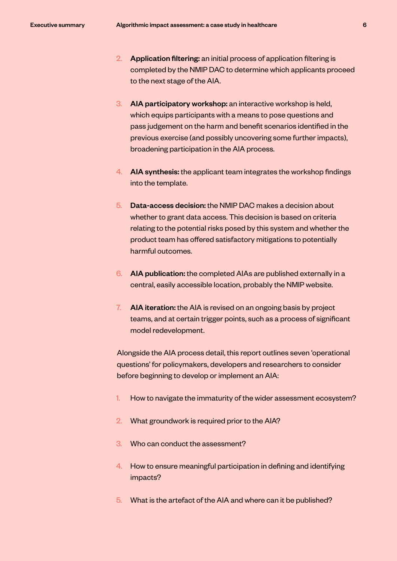- 2. Application filtering: an initial process of application filtering is completed by the NMIP DAC to determine which applicants proceed to the next stage of the AIA.
- 3. AIA participatory workshop: an interactive workshop is held, which equips participants with a means to pose questions and pass judgement on the harm and benefit scenarios identified in the previous exercise (and possibly uncovering some further impacts), broadening participation in the AIA process.
- 4. AIA synthesis: the applicant team integrates the workshop findings into the template.
- 5. Data-access decision: the NMIP DAC makes a decision about whether to grant data access. This decision is based on criteria relating to the potential risks posed by this system and whether the product team has offered satisfactory mitigations to potentially harmful outcomes.
- 6. AIA publication: the completed AIAs are published externally in a central, easily accessible location, probably the NMIP website.
- 7. AIA iteration: the AIA is revised on an ongoing basis by project teams, and at certain trigger points, such as a process of significant model redevelopment.

Alongside the AIA process detail, this report outlines seven 'operational questions' for policymakers, developers and researchers to consider before beginning to develop or implement an AIA:

- 1. How to navigate the immaturity of the wider assessment ecosystem?
- 2. What groundwork is required prior to the AIA?
- 3. Who can conduct the assessment?
- 4. How to ensure meaningful participation in defining and identifying impacts?
- 5. What is the artefact of the AIA and where can it be published?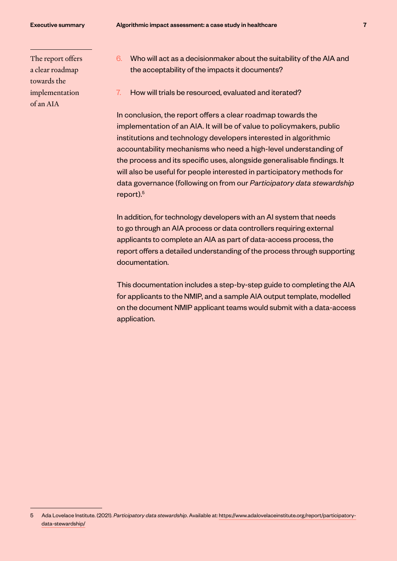The report offers a clear roadmap towards the implementation of an AIA

- 6. Who will act as a decisionmaker about the suitability of the AIA and the acceptability of the impacts it documents?
- 7. How will trials be resourced, evaluated and iterated?

In conclusion, the report offers a clear roadmap towards the implementation of an AIA. It will be of value to policymakers, public institutions and technology developers interested in algorithmic accountability mechanisms who need a high-level understanding of the process and its specific uses, alongside generalisable findings. It will also be useful for people interested in participatory methods for data governance (following on from our *Participatory data stewardship*  report).<sup>5</sup>

In addition, for technology developers with an AI system that needs to go through an AIA process or data controllers requiring external applicants to complete an AIA as part of data-access process, the report offers a detailed understanding of the process through supporting documentation.

This documentation includes a step-by-step guide to completing the AIA for applicants to the NMIP, and a sample AIA output template, modelled on the document NMIP applicant teams would submit with a data-access application.

<sup>5</sup> Ada Lovelace Institute. (2021). *Participatory data stewardship*. Available at: https://www.adalovelaceinstitute.org/report/participatorydata-stewardship/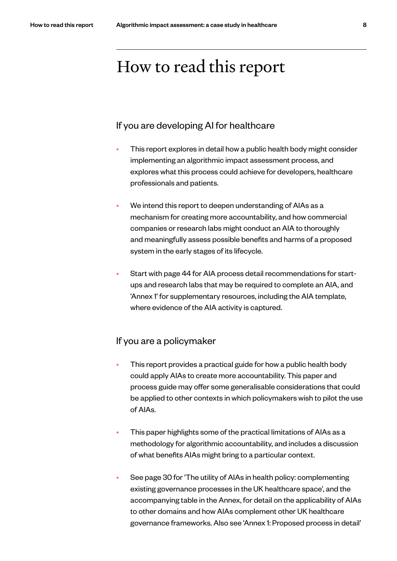# How to read this report

### If you are developing AI for healthcare

- This report explores in detail how a public health body might consider implementing an algorithmic impact assessment process, and explores what this process could achieve for developers, healthcare professionals and patients.
- We intend this report to deepen understanding of AIAs as a mechanism for creating more accountability, and how commercial companies or research labs might conduct an AIA to thoroughly and meaningfully assess possible benefits and harms of a proposed system in the early stages of its lifecycle.
- Start with page 44 for AIA process detail recommendations for startups and research labs that may be required to complete an AIA, and 'Annex 1' for supplementary resources, including the AIA template, where evidence of the AIA activity is captured.

### If you are a policymaker

- This report provides a practical guide for how a public health body could apply AIAs to create more accountability. This paper and process guide may offer some generalisable considerations that could be applied to other contexts in which policymakers wish to pilot the use of AIAs.
- This paper highlights some of the practical limitations of AIAs as a methodology for algorithmic accountability, and includes a discussion of what benefits AIAs might bring to a particular context.
- See page 30 for 'The utility of AIAs in health policy: complementing existing governance processes in the UK healthcare space', and the accompanying table in the Annex, for detail on the applicability of AIAs to other domains and how AIAs complement other UK healthcare governance frameworks. Also see 'Annex 1: Proposed process in detail'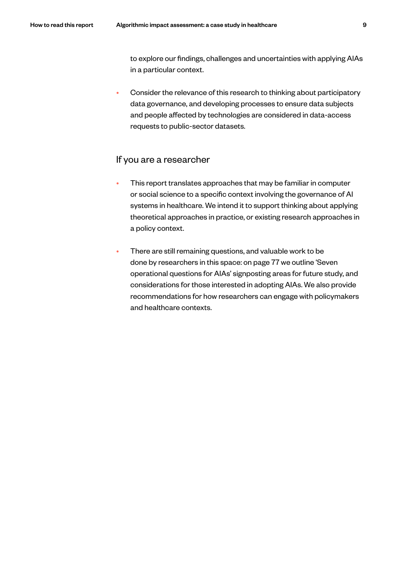to explore our findings, challenges and uncertainties with applying AIAs in a particular context.

• Consider the relevance of this research to thinking about participatory data governance, and developing processes to ensure data subjects and people affected by technologies are considered in data-access requests to public-sector datasets.

# If you are a researcher

- This report translates approaches that may be familiar in computer or social science to a specific context involving the governance of AI systems in healthcare. We intend it to support thinking about applying theoretical approaches in practice, or existing research approaches in a policy context.
- There are still remaining questions, and valuable work to be done by researchers in this space: on page 77 we outline 'Seven operational questions for AIAs' signposting areas for future study, and considerations for those interested in adopting AIAs. We also provide recommendations for how researchers can engage with policymakers and healthcare contexts.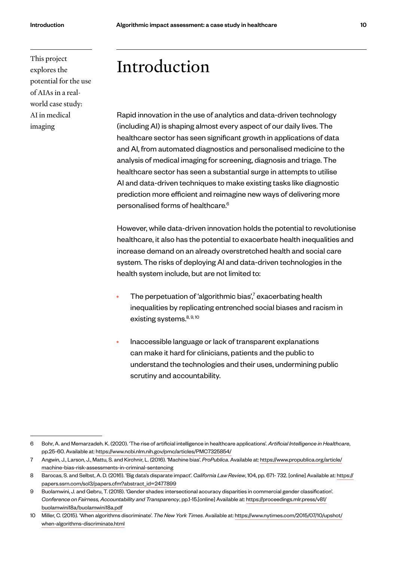This project explores the potential for the use of AIAs in a realworld case study: AI in medical imaging

# Introduction

Rapid innovation in the use of analytics and data-driven technology (including AI) is shaping almost every aspect of our daily lives. The healthcare sector has seen significant growth in applications of data and AI, from automated diagnostics and personalised medicine to the analysis of medical imaging for screening, diagnosis and triage. The healthcare sector has seen a substantial surge in attempts to utilise AI and data-driven techniques to make existing tasks like diagnostic prediction more efficient and reimagine new ways of delivering more personalised forms of healthcare.6

However, while data-driven innovation holds the potential to revolutionise healthcare, it also has the potential to exacerbate health inequalities and increase demand on an already overstretched health and social care system. The risks of deploying AI and data-driven technologies in the health system include, but are not limited to:

- The perpetuation of 'algorithmic bias',<sup>7</sup> exacerbating health inequalities by replicating entrenched social biases and racism in existing systems.<sup>8, 9, 10</sup>
- Inaccessible language or lack of transparent explanations can make it hard for clinicians, patients and the public to understand the technologies and their uses, undermining public scrutiny and accountability.

<sup>6</sup> Bohr, A. and Memarzadeh. K. (2020). 'The rise of artificial intelligence in healthcare applications'. *Artificial Intelligence in Healthcare*, pp.25-60. Available at: https://www.ncbi.nlm.nih.gov/pmc/articles/PMC7325854/

<sup>7</sup> Angwin, J., Larson, J., Mattu, S. and Kirchnir, L. (2016). 'Machine bias'. *ProPublica*. Available at: https://www.propublica.org/article/ machine-bias-risk-assessments-in-criminal-sentencing

<sup>8</sup> Barocas, S. and Selbst, A. D. (2016). 'Big data's disparate impact'. *California Law Review*, 104, pp. 671- 732. [online] Available at: https:// papers.ssrn.com/sol3/papers.cfm?abstract\_id=2477899

<sup>9</sup> Buolamwini, J. and Gebru, T. (2018). 'Gender shades: intersectional accuracy disparities in commercial gender classification'. *Conference on Fairness, Accountability and Transparency*, pp.1-15.[online] Available at: https://proceedings.mlr.press/v81/ buolamwini18a/buolamwini18a.pdf

<sup>10</sup> Miller, C. (2015). 'When algorithms discriminate'. *The New York Times*. Available at: https://www.nytimes.com/2015/07/10/upshot/ when-algorithms-discriminate.html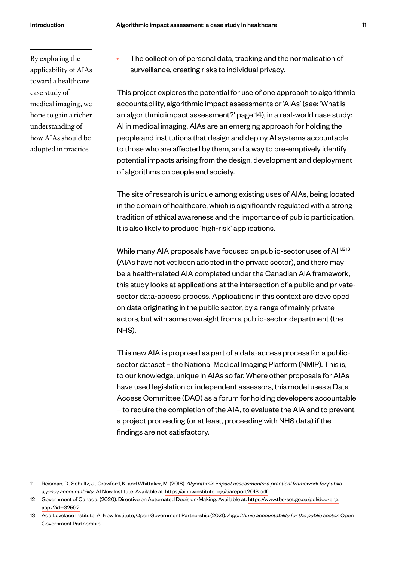By exploring the applicability of AIAs toward a healthcare case study of medical imaging, we hope to gain a richer understanding of how AIAs should be adopted in practice

• The collection of personal data, tracking and the normalisation of surveillance, creating risks to individual privacy.

This project explores the potential for use of one approach to algorithmic accountability, algorithmic impact assessments or 'AIAs' (see: 'What is an algorithmic impact assessment?' page 14), in a real-world case study: AI in medical imaging. AIAs are an emerging approach for holding the people and institutions that design and deploy AI systems accountable to those who are affected by them, and a way to pre-emptively identify potential impacts arising from the design, development and deployment of algorithms on people and society.

The site of research is unique among existing uses of AIAs, being located in the domain of healthcare, which is significantly regulated with a strong tradition of ethical awareness and the importance of public participation. It is also likely to produce 'high-risk' applications.

While many AIA proposals have focused on public-sector uses of Al<sup>11,12,13</sup> (AIAs have not yet been adopted in the private sector), and there may be a health-related AIA completed under the Canadian AIA framework, this study looks at applications at the intersection of a public and privatesector data-access process. Applications in this context are developed on data originating in the public sector, by a range of mainly private actors, but with some oversight from a public-sector department (the NHS).

This new AIA is proposed as part of a data-access process for a publicsector dataset – the National Medical Imaging Platform (NMIP). This is, to our knowledge, unique in AIAs so far. Where other proposals for AIAs have used legislation or independent assessors, this model uses a Data Access Committee (DAC) as a forum for holding developers accountable – to require the completion of the AIA, to evaluate the AIA and to prevent a project proceeding (or at least, proceeding with NHS data) if the findings are not satisfactory.

<sup>11</sup> Reisman, D., Schultz, J., Crawford, K. and Whittaker, M. (2018). *Algorithmic impact assessments: a practical framework for public agency accountability*. AI Now Institute. Available at: https://ainowinstitute.org/aiareport2018.pdf

<sup>12</sup> Government of Canada. (2020). Directive on Automated Decision-Making. Available at: https://www.tbs-sct.gc.ca/pol/doc-eng. aspx?id=32592

<sup>13</sup> Ada Lovelace Institute, AI Now Institute, Open Government Partnership.(2021). *Algorithmic accountability for the public sector*. Open Government Partnership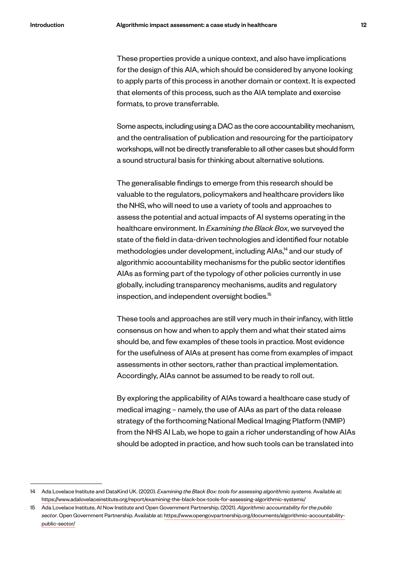These properties provide a unique context, and also have implications for the design of this AIA, which should be considered by anyone looking to apply parts of this process in another domain or context. It is expected that elements of this process, such as the AIA template and exercise formats, to prove transferrable.

Some aspects, including using a DAC as the core accountability mechanism, and the centralisation of publication and resourcing for the participatory workshops, will not be directly transferable to all other cases but should form a sound structural basis for thinking about alternative solutions.

The generalisable findings to emerge from this research should be valuable to the regulators, policymakers and healthcare providers like the NHS, who will need to use a variety of tools and approaches to assess the potential and actual impacts of AI systems operating in the healthcare environment. In *Examining the Black Box*, we surveyed the state of the field in data-driven technologies and identified four notable methodologies under development, including AIAs,<sup>14</sup> and our study of algorithmic accountability mechanisms for the public sector identifies AIAs as forming part of the typology of other policies currently in use globally, including transparency mechanisms, audits and regulatory inspection, and independent oversight bodies.<sup>15</sup>

These tools and approaches are still very much in their infancy, with little consensus on how and when to apply them and what their stated aims should be, and few examples of these tools in practice. Most evidence for the usefulness of AIAs at present has come from examples of impact assessments in other sectors, rather than practical implementation. Accordingly, AIAs cannot be assumed to be ready to roll out.

By exploring the applicability of AIAs toward a healthcare case study of medical imaging – namely, the use of AIAs as part of the data release strategy of the forthcoming National Medical Imaging Platform (NMIP) from the NHS AI Lab, we hope to gain a richer understanding of how AIAs should be adopted in practice, and how such tools can be translated into

<sup>14</sup> Ada Lovelace Institute and DataKind UK. (2020). *Examining the Black Box: tools for assessing algorithmic systems*. Available at: https://www.adalovelaceinstitute.org/report/examining-the-black-box-tools-for-assessing-algorithmic-systems/

<sup>15</sup> Ada Lovelace Institute, AI Now Institute and Open Government Partnership. (2021). *Algorithmic accountability for the public sector*. Open Government Partnership. Available at: https://www.opengovpartnership.org/documents/algorithmic-accountabilitypublic-sector/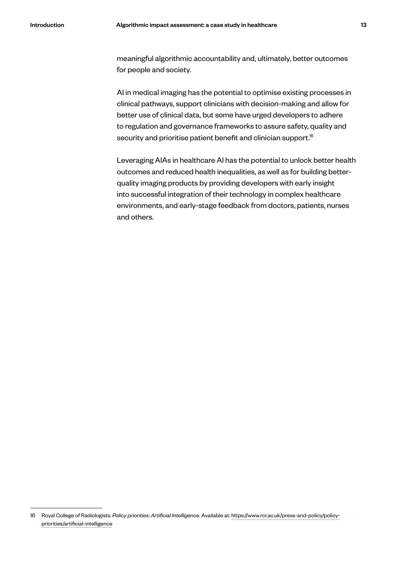meaningful algorithmic accountability and, ultimately, better outcomes for people and society.

AI in medical imaging has the potential to optimise existing processes in clinical pathways, support clinicians with decision-making and allow for better use of clinical data, but some have urged developers to adhere to regulation and governance frameworks to assure safety, quality and security and prioritise patient benefit and clinician support.<sup>16</sup>

Leveraging AIAs in healthcare AI has the potential to unlock better health outcomes and reduced health inequalities, as well as for building betterquality imaging products by providing developers with early insight into successful integration of their technology in complex healthcare environments, and early-stage feedback from doctors, patients, nurses and others.

<sup>16</sup> Royal College of Radiologists. *Policy priorities: Artificial Intelligence*. Available at: https://www.rcr.ac.uk/press-and-policy/policypriorities/artificial-intelligence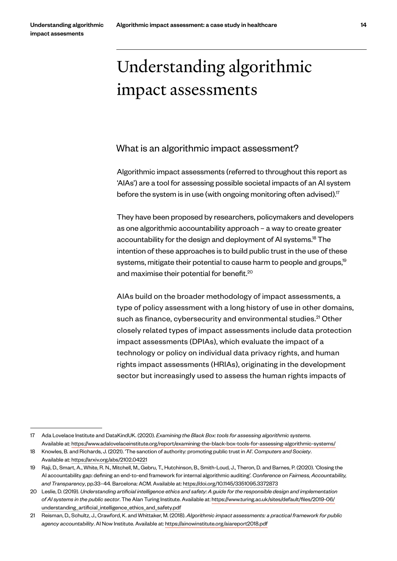# Understanding algorithmic impact assessments

### What is an algorithmic impact assessment?

Algorithmic impact assessments (referred to throughout this report as 'AIAs') are a tool for assessing possible societal impacts of an AI system before the system is in use (with ongoing monitoring often advised).<sup>17</sup>

They have been proposed by researchers, policymakers and developers as one algorithmic accountability approach – a way to create greater accountability for the design and deployment of AI systems.<sup>18</sup> The intention of these approaches is to build public trust in the use of these systems, mitigate their potential to cause harm to people and groups,<sup>19</sup> and maximise their potential for benefit.<sup>20</sup>

AIAs build on the broader methodology of impact assessments, a type of policy assessment with a long history of use in other domains, such as finance, cybersecurity and environmental studies.<sup>21</sup> Other closely related types of impact assessments include data protection impact assessments (DPIAs), which evaluate the impact of a technology or policy on individual data privacy rights, and human rights impact assessments (HRIAs), originating in the development sector but increasingly used to assess the human rights impacts of

<sup>17</sup> Ada Lovelace Institute and DataKindUK. (2020). *Examining the Black Box: tools for assessing algorithmic systems*. Available at: https://www.adalovelaceinstitute.org/report/examining-the-black-box-tools-for-assessing-algorithmic-systems/

<sup>18</sup> Knowles, B. and Richards, J. (2021). 'The sanction of authority: promoting public trust in AI'. *Computers and Society*. Available at: https://arxiv.org/abs/2102.04221

<sup>19</sup> Raji, D., Smart, A., White, R. N., Mitchell, M., Gebru, T., Hutchinson, B., Smith-Loud, J., Theron, D. and Barnes, P. (2020). 'Closing the AI accountability gap: defining an end-to-end framework for internal algorithmic auditing'. *Conference on Fairness, Accountability, and Transparency*, pp.33–44. Barcelona: ACM. Available at: https://doi.org/10.1145/3351095.3372873

<sup>20</sup> Leslie, D. (2019). *Understanding artificial intelligence ethics and safety: A guide for the responsible design and implementation of AI systems in the public sector*. The Alan Turing Institute. Available at: https://www.turing.ac.uk/sites/default/files/2019-06/ understanding\_artificial\_intelligence\_ethics\_and\_safety.pdf

<sup>21</sup> Reisman, D., Schultz, J., Crawford, K. and Whittaker, M. (2018). *Algorithmic impact assessments: a practical framework for public agency accountability*. AI Now Institute. Available at: https://ainowinstitute.org/aiareport2018.pdf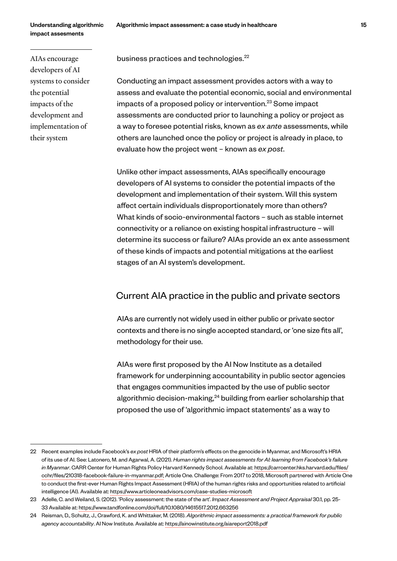Understanding algorithmic impact assesments

AIAs encourage developers of AI systems to consider the potential impacts of the development and implementation of their system

business practices and technologies.<sup>22</sup>

Conducting an impact assessment provides actors with a way to assess and evaluate the potential economic, social and environmental impacts of a proposed policy or intervention.<sup>23</sup> Some impact assessments are conducted prior to launching a policy or project as a way to foresee potential risks, known as *ex ante* assessments, while others are launched once the policy or project is already in place, to evaluate how the project went – known as *ex post*.

Unlike other impact assessments, AIAs specifically encourage developers of AI systems to consider the potential impacts of the development and implementation of their system. Will this system affect certain individuals disproportionately more than others? What kinds of socio-environmental factors – such as stable internet connectivity or a reliance on existing hospital infrastructure – will determine its success or failure? AIAs provide an ex ante assessment of these kinds of impacts and potential mitigations at the earliest stages of an AI system's development.

### Current AIA practice in the public and private sectors

AIAs are currently not widely used in either public or private sector contexts and there is no single accepted standard, or 'one size fits all', methodology for their use.

AIAs were first proposed by the AI Now Institute as a detailed framework for underpinning accountability in public sector agencies that engages communities impacted by the use of public sector algorithmic decision-making,<sup>24</sup> building from earlier scholarship that proposed the use of 'algorithmic impact statements' as a way to

<sup>22</sup> Recent examples include Facebook's *ex post* HRIA of their platform's effects on the genocide in Myanmar, and Microsoft's HRIA of its use of AI. See: Latonero, M. and Agarwal, A. (2021). *Human rights impact assessments for AI: learning from Facebook's failure in Myanmar*. CARR Center for Human Rights Policy Harvard Kennedy School. Available at: https://carrcenter.hks.harvard.edu/files/ cchr/files/210318-facebook-failure-in-myanmar.pdf; Article One. Challenge: From 2017 to 2018, Microsoft partnered with Article One to conduct the first-ever Human Rights Impact Assessment (HRIA) of the human rights risks and opportunities related to artificial intelligence (AI). Available at: https://www.articleoneadvisors.com/case-studies-microsoft

<sup>23</sup> Adelle, C. and Weiland, S. (2012). 'Policy assessment: the state of the art'. *Impact Assessment and Project Appraisal* 30.1, pp. 25- 33 Available at: https://www.tandfonline.com/doi/full/10.1080/14615517.2012.663256

<sup>24</sup> Reisman, D., Schultz, J., Crawford, K. and Whittaker, M. (2018). *Algorithmic impact assessments: a practical framework for public agency accountability*. AI Now Institute. Available at: https://ainowinstitute.org/aiareport2018.pdf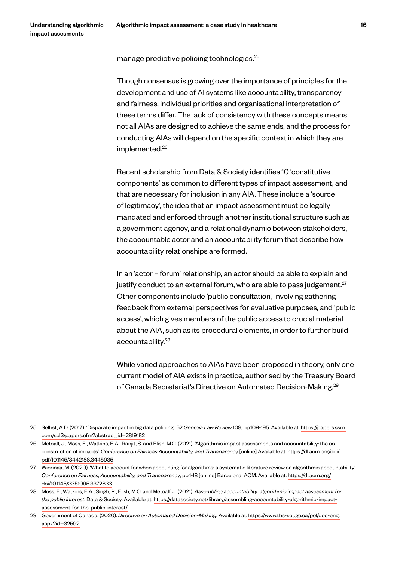manage predictive policing technologies.25

Though consensus is growing over the importance of principles for the development and use of AI systems like accountability, transparency and fairness, individual priorities and organisational interpretation of these terms differ. The lack of consistency with these concepts means not all AIAs are designed to achieve the same ends, and the process for conducting AIAs will depend on the specific context in which they are implemented.<sup>26</sup>

Recent scholarship from Data & Society identifies 10 'constitutive components' as common to different types of impact assessment, and that are necessary for inclusion in any AIA. These include a 'source of legitimacy', the idea that an impact assessment must be legally mandated and enforced through another institutional structure such as a government agency, and a relational dynamic between stakeholders, the accountable actor and an accountability forum that describe how accountability relationships are formed.

In an 'actor – forum' relationship, an actor should be able to explain and justify conduct to an external forum, who are able to pass judgement. $27$ Other components include 'public consultation', involving gathering feedback from external perspectives for evaluative purposes, and 'public access', which gives members of the public access to crucial material about the AIA, such as its procedural elements, in order to further build accountability.28

While varied approaches to AIAs have been proposed in theory, only one current model of AIA exists in practice, authorised by the Treasury Board of Canada Secretariat's Directive on Automated Decision-Making,<sup>29</sup>

<sup>25</sup> Selbst, A.D. (2017). 'Disparate impact in big data policing'. 52 *Georgia Law Review* 109, pp.109-195. Available at: https://papers.ssrn. com/sol3/papers.cfm?abstract\_id=2819182

<sup>26</sup> Metcalf, J., Moss, E., Watkins, E.A., Ranjit, S. and Elish, M.C. (2021). 'Algorithmic impact assessments and accountability: the coconstruction of impacts'. *Conference on Fairness Accountability, and Transparency* [online] Available at: https://dl.acm.org/doi/ pdf/10.1145/3442188.3445935

<sup>27</sup> Wieringa, M. (2020). 'What to account for when accounting for algorithms: a systematic literature review on algorithmic accountability'. *Conference on Fairness, Accountability, and Transparency*, pp.1-18 [online] Barcelona: ACM. Available at: https://dl.acm.org/ doi/10.1145/3351095.3372833

<sup>28</sup> Moss, E., Watkins, E.A., Singh, R., Elish, M.C. and Metcalf, J. (2021). *Assembling accountability: algorithmic impact assessment for the public interest*. Data & Society. Available at: https://datasociety.net/library/assembling-accountability-algorithmic-impactassessment-for-the-public-interest/

<sup>29</sup> Government of Canada. (2020). *Directive on Automated Decision-Making*. Available at: https://www.tbs-sct.gc.ca/pol/doc-eng. aspx?id=32592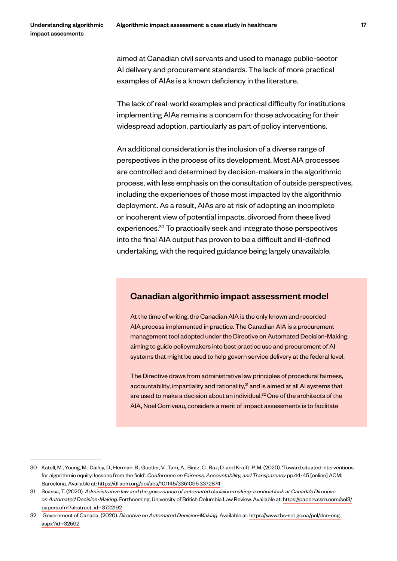aimed at Canadian civil servants and used to manage public-sector AI delivery and procurement standards. The lack of more practical examples of AIAs is a known deficiency in the literature.

The lack of real-world examples and practical difficulty for institutions implementing AIAs remains a concern for those advocating for their widespread adoption, particularly as part of policy interventions.

An additional consideration is the inclusion of a diverse range of perspectives in the process of its development. Most AIA processes are controlled and determined by decision-makers in the algorithmic process, with less emphasis on the consultation of outside perspectives, including the experiences of those most impacted by the algorithmic deployment. As a result, AIAs are at risk of adopting an incomplete or incoherent view of potential impacts, divorced from these lived experiences.30 To practically seek and integrate those perspectives into the final AIA output has proven to be a difficult and ill-defined undertaking, with the required guidance being largely unavailable.

### Canadian algorithmic impact assessment model

At the time of writing, the Canadian AIA is the only known and recorded AIA process implemented in practice. The Canadian AIA is a procurement management tool adopted under the Directive on Automated Decision-Making, aiming to guide policymakers into best practice use and procurement of AI systems that might be used to help govern service delivery at the federal level.

The Directive draws from administrative law principles of procedural fairness, accountability, impartiality and rationality, $31$  and is aimed at all AI systems that are used to make a decision about an individual.<sup>32</sup> One of the architects of the AIA, Noel Corriveau, considers a merit of impact assessments is to facilitate

<sup>30</sup> Katell, M., Young, M., Dailey, D., Herman, B., Guetler, V., Tam, A., Bintz, C., Raz, D. and Krafft, P. M. (2020). 'Toward situated interventions for algorithmic equity: lessons from the field'. *Conference on Fairness, Accountability, and Transparency* pp.44-45 [online] ACM: Barcelona. Available at: https://dl.acm.org/doi/abs/10.1145/3351095.3372874

<sup>31</sup> Scassa, T. (2020). *Administrative law and the governance of automated decision-making: a critical look at Canada's Directive on Automated Decision-Making*. Forthcoming, University of British Columbia Law Review. Available at: https://papers.ssrn.com/sol3/ papers.cfm?abstract\_id=3722192

<sup>32</sup> Government of Canada. (2020). *Directive on Automated Decision-Making*. Available at: https://www.tbs-sct.gc.ca/pol/doc-eng. aspx?id=32592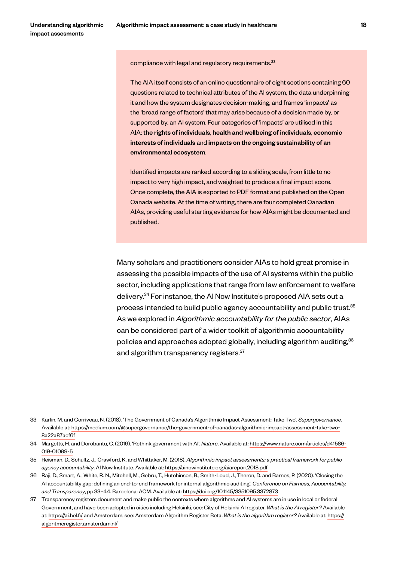compliance with legal and regulatory requirements.<sup>33</sup>

The AIA itself consists of an online questionnaire of eight sections containing 60 questions related to technical attributes of the AI system, the data underpinning it and how the system designates decision-making, and frames 'impacts' as the 'broad range of factors' that may arise because of a decision made by, or supported by, an AI system. Four categories of 'impacts' are utilised in this AIA: the rights of individuals, health and wellbeing of individuals, economic interests of individuals and impacts on the ongoing sustainability of an environmental ecosystem.

Identified impacts are ranked according to a sliding scale, from little to no impact to very high impact, and weighted to produce a final impact score. Once complete, the AIA is exported to PDF format and published on the Open Canada website. At the time of writing, there are four completed Canadian AIAs, providing useful starting evidence for how AIAs might be documented and published.

Many scholars and practitioners consider AIAs to hold great promise in assessing the possible impacts of the use of AI systems within the public sector, including applications that range from law enforcement to welfare delivery.34 For instance, the AI Now Institute's proposed AIA sets out a process intended to build public agency accountability and public trust.35 As we explored in *Algorithmic accountability for the public sector*, AIAs can be considered part of a wider toolkit of algorithmic accountability policies and approaches adopted globally, including algorithm auditing,  $36$ and algorithm transparency registers.<sup>37</sup>

<sup>33</sup> Karlin, M. and Corriveau, N. (2018). 'The Government of Canada's Algorithmic Impact Assessment: Take Two'. *Supergovernance*. Available at: https://medium.com/@supergovernance/the-government-of-canadas-algorithmic-impact-assessment-take-two-8a22a87acf6f

<sup>34</sup> Margetts, H. and Dorobantu, C. (2019). 'Rethink government with AI'. *Nature*. Available at: https://www.nature.com/articles/d41586- 019-01099-5

<sup>35</sup> Reisman, D., Schultz, J., Crawford, K. and Whittaker, M. (2018). *Algorithmic impact assessments: a practical framework for public agency accountability*. AI Now Institute. Available at: https://ainowinstitute.org/aiareport2018.pdf

<sup>36</sup> Raji, D., Smart, A., White, R. N., Mitchell, M., Gebru, T., Hutchinson, B., Smith-Loud, J., Theron, D. and Barnes, P. (2020). 'Closing the AI accountability gap: defining an end-to-end framework for internal algorithmic auditing'. *Conference on Fairness, Accountability, and Transparency*, pp.33–44. Barcelona: ACM. Available at: https://doi.org/10.1145/3351095.3372873

<sup>37</sup> Transparency registers document and make public the contexts where algorithms and AI systems are in use in local or federal Government, and have been adopted in cities including Helsinki, see: City of Helsinki AI register. *What is the AI register?* Available at: https://ai.hel.fi/ and Amsterdam, see: Amsterdam Algorithm Register Beta. *What is the algorithm register?* Available at: https:// algoritmeregister.amsterdam.nl/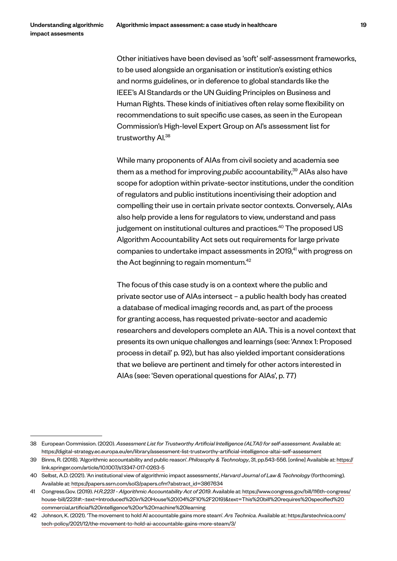Other initiatives have been devised as 'soft' self-assessment frameworks, to be used alongside an organisation or institution's existing ethics and norms guidelines, or in deference to global standards like the IEEE's AI Standards or the UN Guiding Principles on Business and Human Rights. These kinds of initiatives often relay some flexibility on recommendations to suit specific use cases, as seen in the European Commission's High-level Expert Group on AI's assessment list for trustworthy AI.38

While many proponents of AIAs from civil society and academia see them as a method for improving *public* accountability,<sup>39</sup> AIAs also have scope for adoption within private-sector institutions, under the condition of regulators and public institutions incentivising their adoption and compelling their use in certain private sector contexts. Conversely, AIAs also help provide a lens for regulators to view, understand and pass judgement on institutional cultures and practices.<sup>40</sup> The proposed US Algorithm Accountability Act sets out requirements for large private companies to undertake impact assessments in 2019,<sup>41</sup> with progress on the Act beginning to regain momentum.<sup>42</sup>

The focus of this case study is on a context where the public and private sector use of AIAs intersect – a public health body has created a database of medical imaging records and, as part of the process for granting access, has requested private-sector and academic researchers and developers complete an AIA. This is a novel context that presents its own unique challenges and learnings (see: 'Annex 1: Proposed process in detail' p. 92), but has also yielded important considerations that we believe are pertinent and timely for other actors interested in AIAs (see: 'Seven operational questions for AIAs', p. 77)

<sup>38</sup> European Commission. (2020). *Assessment List for Trustworthy Artificial Intelligence (ALTAI) for self-assessment*. Available at: https://digital-strategy.ec.europa.eu/en/library/assessment-list-trustworthy-artificial-intelligence-altai-self-assessment

<sup>39</sup> Binns, R. (2018). 'Algorithmic accountability and public reason'. *Philosophy & Technology*, 31, pp.543-556. [online] Available at: https:// link.springer.com/article/10.1007/s13347-017-0263-5

<sup>40</sup> Selbst, A.D. (2021). 'An institutional view of algorithmic impact assessments', *Harvard Journal of Law & Technology* (forthcoming). Available at: https://papers.ssrn.com/sol3/papers.cfm?abstract\_id=3867634

<sup>41</sup> Congress.Gov. (2019). *H.R.2231 - Algorithmic Accountability Act of 2019*. Available at: https://www.congress.gov/bill/116th-congress/ house-bill/2231#:~:text=Introduced%20in%20House%20(04%2F10%2F2019)&text=This%20bill%20requires%20specified%20 commercial,artificial%20intelligence%20or%20machine%20learning

<sup>42</sup> Johnson, K. (2021). 'The movement to hold AI accountable gains more steam'. *Ars Technica*. Available at: https://arstechnica.com/ tech-policy/2021/12/the-movement-to-hold-ai-accountable-gains-more-steam/3/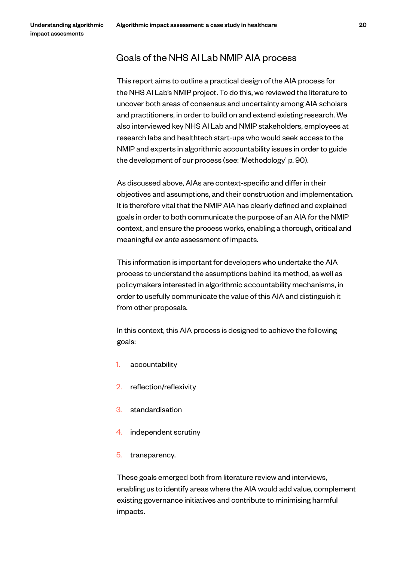# Goals of the NHS AI Lab NMIP AIA process

This report aims to outline a practical design of the AIA process for the NHS AI Lab's NMIP project. To do this, we reviewed the literature to uncover both areas of consensus and uncertainty among AIA scholars and practitioners, in order to build on and extend existing research. We also interviewed key NHS AI Lab and NMIP stakeholders, employees at research labs and healthtech start-ups who would seek access to the NMIP and experts in algorithmic accountability issues in order to guide the development of our process (see: 'Methodology' p. 90).

As discussed above, AIAs are context-specific and differ in their objectives and assumptions, and their construction and implementation. It is therefore vital that the NMIP AIA has clearly defined and explained goals in order to both communicate the purpose of an AIA for the NMIP context, and ensure the process works, enabling a thorough, critical and meaningful *ex ante* assessment of impacts.

This information is important for developers who undertake the AIA process to understand the assumptions behind its method, as well as policymakers interested in algorithmic accountability mechanisms, in order to usefully communicate the value of this AIA and distinguish it from other proposals.

In this context, this AIA process is designed to achieve the following goals:

- 1. accountability
- 2. reflection/reflexivity
- 3. standardisation
- 4. independent scrutiny
- 5. transparency.

These goals emerged both from literature review and interviews, enabling us to identify areas where the AIA would add value, complement existing governance initiatives and contribute to minimising harmful impacts.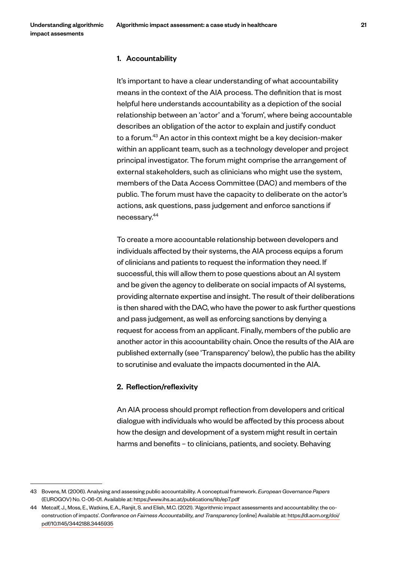#### 1. Accountability

It's important to have a clear understanding of what accountability means in the context of the AIA process. The definition that is most helpful here understands accountability as a depiction of the social relationship between an 'actor' and a 'forum', where being accountable describes an obligation of the actor to explain and justify conduct to a forum.43 An actor in this context might be a key decision-maker within an applicant team, such as a technology developer and project principal investigator. The forum might comprise the arrangement of external stakeholders, such as clinicians who might use the system, members of the Data Access Committee (DAC) and members of the public. The forum must have the capacity to deliberate on the actor's actions, ask questions, pass judgement and enforce sanctions if necessary.44

To create a more accountable relationship between developers and individuals affected by their systems, the AIA process equips a forum of clinicians and patients to request the information they need. If successful, this will allow them to pose questions about an AI system and be given the agency to deliberate on social impacts of AI systems, providing alternate expertise and insight. The result of their deliberations is then shared with the DAC, who have the power to ask further questions and pass judgement, as well as enforcing sanctions by denying a request for access from an applicant. Finally, members of the public are another actor in this accountability chain. Once the results of the AIA are published externally (see 'Transparency' below), the public has the ability to scrutinise and evaluate the impacts documented in the AIA.

#### 2. Reflection/reflexivity

An AIA process should prompt reflection from developers and critical dialogue with individuals who would be affected by this process about how the design and development of a system might result in certain harms and benefits – to clinicians, patients, and society. Behaving

<sup>43</sup> Bovens, M. (2006). Analysing and assessing public accountability. A conceptual framework. *European Governance Papers* (EUROGOV) No. C-06-01. Available at: https://www.ihs.ac.at/publications/lib/ep7.pdf

<sup>44</sup> Metcalf, J., Moss, E., Watkins, E.A., Ranjit, S. and Elish, M.C. (2021). 'Algorithmic impact assessments and accountability: the coconstruction of impacts'. *Conference on Fairness Accountability, and Transparency* [online] Available at: https://dl.acm.org/doi/ pdf/10.1145/3442188.3445935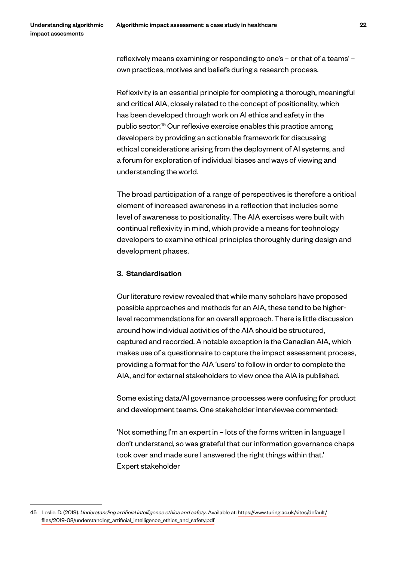reflexively means examining or responding to one's – or that of a teams' – own practices, motives and beliefs during a research process.

Reflexivity is an essential principle for completing a thorough, meaningful and critical AIA, closely related to the concept of positionality, which has been developed through work on AI ethics and safety in the public sector.45 Our reflexive exercise enables this practice among developers by providing an actionable framework for discussing ethical considerations arising from the deployment of AI systems, and a forum for exploration of individual biases and ways of viewing and understanding the world.

The broad participation of a range of perspectives is therefore a critical element of increased awareness in a reflection that includes some level of awareness to positionality. The AIA exercises were built with continual reflexivity in mind, which provide a means for technology developers to examine ethical principles thoroughly during design and development phases.

#### 3. Standardisation

Our literature review revealed that while many scholars have proposed possible approaches and methods for an AIA, these tend to be higherlevel recommendations for an overall approach. There is little discussion around how individual activities of the AIA should be structured, captured and recorded. A notable exception is the Canadian AIA, which makes use of a questionnaire to capture the impact assessment process, providing a format for the AIA 'users' to follow in order to complete the AIA, and for external stakeholders to view once the AIA is published.

Some existing data/AI governance processes were confusing for product and development teams. One stakeholder interviewee commented:

'Not something I'm an expert in – lots of the forms written in language I don't understand, so was grateful that our information governance chaps took over and made sure I answered the right things within that.' Expert stakeholder

<sup>45</sup> Leslie, D. (2019). *Understanding artificial intelligence ethics and safety*. Available at: https://www.turing.ac.uk/sites/default/ files/2019-08/understanding\_artificial\_intelligence\_ethics\_and\_safety.pdf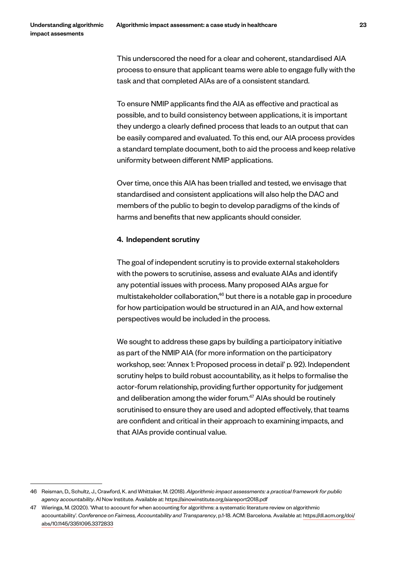This underscored the need for a clear and coherent, standardised AIA process to ensure that applicant teams were able to engage fully with the task and that completed AIAs are of a consistent standard.

To ensure NMIP applicants find the AIA as effective and practical as possible, and to build consistency between applications, it is important they undergo a clearly defined process that leads to an output that can be easily compared and evaluated. To this end, our AIA process provides a standard template document, both to aid the process and keep relative uniformity between different NMIP applications.

Over time, once this AIA has been trialled and tested, we envisage that standardised and consistent applications will also help the DAC and members of the public to begin to develop paradigms of the kinds of harms and benefits that new applicants should consider.

#### 4. Independent scrutiny

The goal of independent scrutiny is to provide external stakeholders with the powers to scrutinise, assess and evaluate AIAs and identify any potential issues with process. Many proposed AIAs argue for multistakeholder collaboration,<sup>46</sup> but there is a notable gap in procedure for how participation would be structured in an AIA, and how external perspectives would be included in the process.

We sought to address these gaps by building a participatory initiative as part of the NMIP AIA (for more information on the participatory workshop, see: 'Annex 1: Proposed process in detail' p. 92). Independent scrutiny helps to build robust accountability, as it helps to formalise the actor-forum relationship, providing further opportunity for judgement and deliberation among the wider forum.<sup>47</sup> AIAs should be routinely scrutinised to ensure they are used and adopted effectively, that teams are confident and critical in their approach to examining impacts, and that AIAs provide continual value.

<sup>46</sup> Reisman, D., Schultz, J., Crawford, K. and Whittaker, M. (2018). *Algorithmic impact assessments: a practical framework for public agency accountability*. AI Now Institute. Available at: https://ainowinstitute.org/aiareport2018.pdf

<sup>47</sup> Wieringa, M. (2020). 'What to account for when accounting for algorithms: a systematic literature review on algorithmic accountability'. *Conference on Fairness, Accountability and Transparency*, p.1-18. ACM: Barcelona. Available at: https://dl.acm.org/doi/ abs/10.1145/3351095.3372833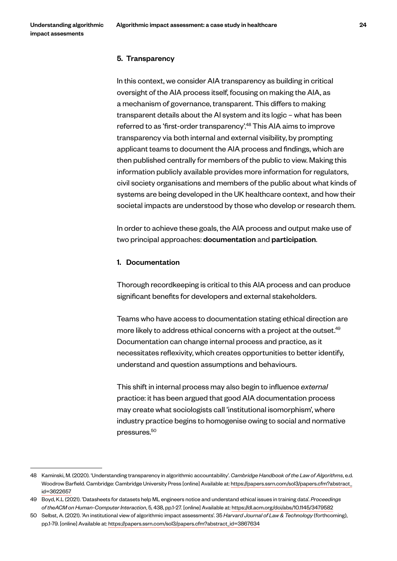#### 5. Transparency

In this context, we consider AIA transparency as building in critical oversight of the AIA process itself, focusing on making the AIA, as a mechanism of governance, transparent. This differs to making transparent details about the AI system and its logic – what has been referred to as 'first-order transparency'.<sup>48</sup> This AIA aims to improve transparency via both internal and external visibility, by prompting applicant teams to document the AIA process and findings, which are then published centrally for members of the public to view. Making this information publicly available provides more information for regulators, civil society organisations and members of the public about what kinds of systems are being developed in the UK healthcare context, and how their societal impacts are understood by those who develop or research them.

In order to achieve these goals, the AIA process and output make use of two principal approaches: documentation and participation.

#### 1. Documentation

Thorough recordkeeping is critical to this AIA process and can produce significant benefits for developers and external stakeholders.

Teams who have access to documentation stating ethical direction are more likely to address ethical concerns with a project at the outset.<sup>49</sup> Documentation can change internal process and practice, as it necessitates reflexivity, which creates opportunities to better identify, understand and question assumptions and behaviours.

This shift in internal process may also begin to influence *external* practice: it has been argued that good AIA documentation process may create what sociologists call 'institutional isomorphism', where industry practice begins to homogenise owing to social and normative pressures.<sup>50</sup>

<sup>48</sup> Kaminski, M. (2020). 'Understanding transparency in algorithmic accountability'. *Cambridge Handbook of the Law of Algorithms*, e.d. Woodrow Barfield. Cambridge: Cambridge University Press [online] Available at: https://papers.ssrn.com/sol3/papers.cfm?abstract\_ id=3622657

<sup>49</sup> Boyd, K.L (2021). 'Datasheets for datasets help ML engineers notice and understand ethical issues in training data'. *Proceedings of theACM on Human-Computer Interaction*, 5, 438, pp.1-27. [online] Available at: https://dl.acm.org/doi/abs/10.1145/3479582

<sup>50</sup> Selbst, A. (2021). 'An institutional view of algorithmic impact assessments'. 35 *Harvard Journal of Law & Technology* (forthcoming), pp.1-79. [online] Available at: https://papers.ssrn.com/sol3/papers.cfm?abstract\_id=3867634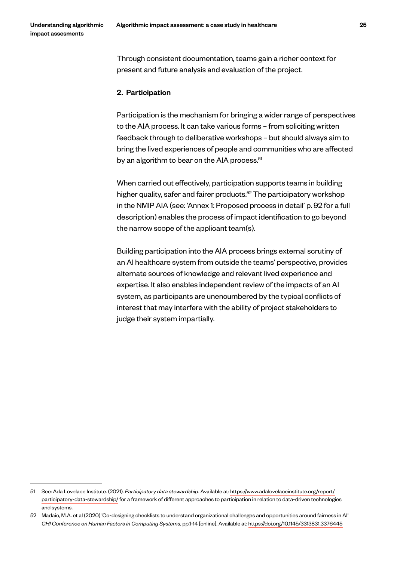Through consistent documentation, teams gain a richer context for present and future analysis and evaluation of the project.

#### 2. Participation

Participation is the mechanism for bringing a wider range of perspectives to the AIA process. It can take various forms – from soliciting written feedback through to deliberative workshops – but should always aim to bring the lived experiences of people and communities who are affected by an algorithm to bear on the AIA process.<sup>51</sup>

When carried out effectively, participation supports teams in building higher quality, safer and fairer products. $52$  The participatory workshop in the NMIP AIA (see: 'Annex 1: Proposed process in detail' p. 92 for a full description) enables the process of impact identification to go beyond the narrow scope of the applicant team(s).

Building participation into the AIA process brings external scrutiny of an AI healthcare system from outside the teams' perspective, provides alternate sources of knowledge and relevant lived experience and expertise. It also enables independent review of the impacts of an AI system, as participants are unencumbered by the typical conflicts of interest that may interfere with the ability of project stakeholders to judge their system impartially.

<sup>51</sup> See: Ada Lovelace Institute. (2021). *Participatory data stewardship*. Available at: https://www.adalovelaceinstitute.org/report/ participatory-data-stewardship/ for a framework of different approaches to participation in relation to data-driven technologies and systems.

<sup>52</sup> Madaio, M.A. et al (2020) 'Co-designing checklists to understand organizational challenges and opportunities around fairness in AI' *CHI Conference on Human Factors in Computing Systems*, pp.1-14 [online]. Available at: https://doi.org/10.1145/3313831.3376445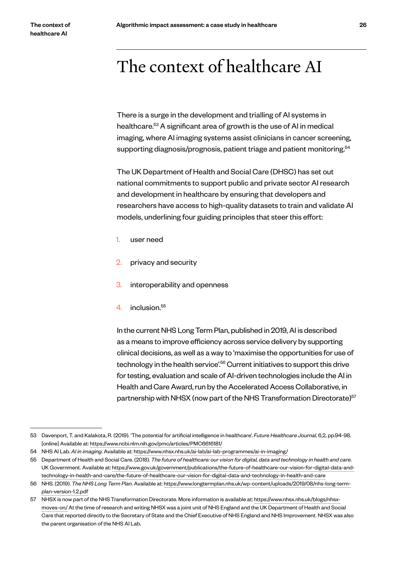# The context of healthcare AI

There is a surge in the development and trialling of AI systems in healthcare.<sup>53</sup> A significant area of growth is the use of AI in medical imaging, where AI imaging systems assist clinicians in cancer screening, supporting diagnosis/prognosis, patient triage and patient monitoring.<sup>54</sup>

The UK Department of Health and Social Care (DHSC) has set out national commitments to support public and private sector AI research and development in healthcare by ensuring that developers and researchers have access to high-quality datasets to train and validate AI models, underlining four guiding principles that steer this effort:

- 1. user need
- 2. privacy and security
- 3. interoperability and openness
- 4. inclusion.<sup>55</sup>

In the current NHS Long Term Plan, published in 2019, AI is described as a means to improve efficiency across service delivery by supporting clinical decisions, as well as a way to 'maximise the opportunities for use of technology in the health service<sup>'.56</sup> Current initiatives to support this drive for testing, evaluation and scale of AI-driven technologies include the AI in Health and Care Award, run by the Accelerated Access Collaborative, in partnership with NHSX (now part of the NHS Transformation Directorate)<sup>57</sup>

<sup>53</sup> Davenport, T. and Kalakota, R. (2019). 'The potential for artificial intelligence in healthcare'. *Future Healthcare Journal*, 6,2, pp.94-98. [online] Available at: https://www.ncbi.nlm.nih.gov/pmc/articles/PMC6616181/

<sup>54</sup> NHS AI Lab. *AI in imaging*. Available at: https://www.nhsx.nhs.uk/ai-lab/ai-lab-programmes/ai-in-imaging/

<sup>55</sup> Department of Health and Social Care. (2018). *The future of healthcare: our vision for digital, data and technology in health and care*. UK Government. Available at: https://www.gov.uk/government/publications/the-future-of-healthcare-our-vision-for-digital-data-andtechnology-in-health-and-care/the-future-of-healthcare-our-vision-for-digital-data-and-technology-in-health-and-care

<sup>56</sup> NHS. (2019). *The NHS Long Term Plan*. Available at: https://www.longtermplan.nhs.uk/wp-content/uploads/2019/08/nhs-long-termplan-version-1.2.pdf

<sup>57</sup> NHSX is now part of the NHS Transformation Directorate. More information is available at: https://www.nhsx.nhs.uk/blogs/nhsxmoves-on/ At the time of research and writing NHSX was a joint unit of NHS England and the UK Department of Health and Social Care that reported directly to the Secretary of State and the Chief Executive of NHS England and NHS Improvement. NHSX was also the parent organisation of the NHS AI Lab.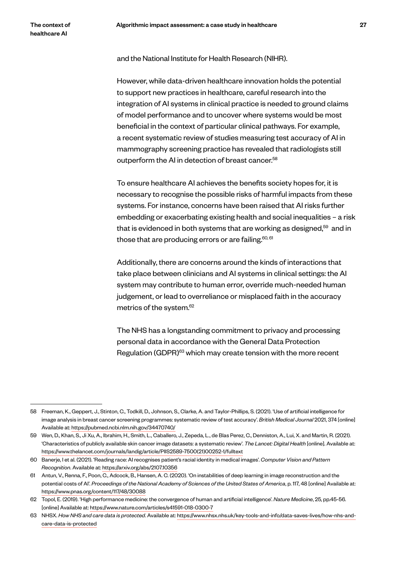and the National Institute for Health Research (NIHR).

However, while data-driven healthcare innovation holds the potential to support new practices in healthcare, careful research into the integration of AI systems in clinical practice is needed to ground claims of model performance and to uncover where systems would be most beneficial in the context of particular clinical pathways. For example, a recent systematic review of studies measuring test accuracy of AI in mammography screening practice has revealed that radiologists still outperform the AI in detection of breast cancer.<sup>58</sup>

To ensure healthcare AI achieves the benefits society hopes for, it is necessary to recognise the possible risks of harmful impacts from these systems. For instance, concerns have been raised that AI risks further embedding or exacerbating existing health and social inequalities – a risk that is evidenced in both systems that are working as designed, $59$  and in those that are producing errors or are failing.<sup>60, 61</sup>

Additionally, there are concerns around the kinds of interactions that take place between clinicians and AI systems in clinical settings: the AI system may contribute to human error, override much-needed human judgement, or lead to overreliance or misplaced faith in the accuracy metrics of the system.<sup>62</sup>

The NHS has a longstanding commitment to privacy and processing personal data in accordance with the General Data Protection Regulation (GDPR)<sup>63</sup> which may create tension with the more recent

<sup>58</sup> Freeman, K., Geppert, J., Stinton, C., Todkill, D., Johnson, S., Clarke, A. and Taylor-Phillips, S. (2021). 'Use of artificial intelligence for image analysis in breast cancer screening programmes: systematic review of test accuracy'. *British Medical Journal* 2021, 374 [online] Available at: https://pubmed.ncbi.nlm.nih.gov/34470740/

<sup>59</sup> Wen, D., Khan, S., Ji Xu, A., Ibrahim, H., Smith, L., Caballero, J., Zepeda, L., de Blas Perez, C., Denniston, A., Lui, X. and Martin, R. (2021). 'Characteristics of publicly available skin cancer image datasets: a systematic review'. *The Lancet: Digital Health* [online]. Available at: https://www.thelancet.com/journals/landig/article/PIIS2589-7500(21)00252-1/fulltext

<sup>60</sup> Banerje, I et al. (2021). 'Reading race: AI recognises patient's racial identity in medical images'. *Computer Vision and Pattern Recognition*. Available at: https://arxiv.org/abs/2107.10356

<sup>61</sup> Antun, V., Renna, F., Poon, C., Adcock, B., Hansen, A. C. (2020). 'On instabilities of deep learning in image reconstruction and the potential costs of AI'. *Proceedings of the National Academy of Sciences of the United States of America*, p. 117, 48 [online] Available at: https://www.pnas.org/content/117/48/30088

<sup>62</sup> Topol, E. (2019). 'High performance medicine: the convergence of human and artificial intelligence'. *Nature Medicine*, 25, pp.45-56. [online] Available at: https://www.nature.com/articles/s41591-018-0300-7

<sup>63</sup> NHSX. *How NHS and care data is protected*. Available at: https://www.nhsx.nhs.uk/key-tools-and-info/data-saves-lives/how-nhs-andcare-data-is-protected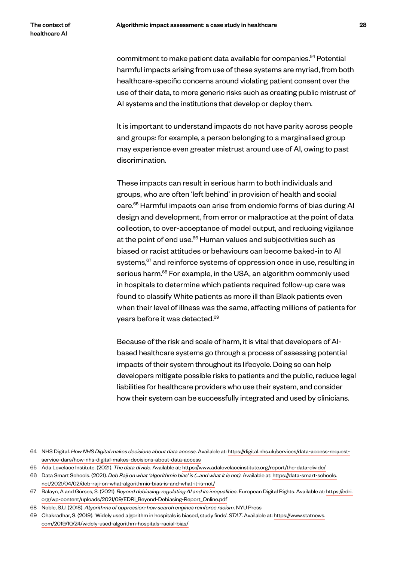commitment to make patient data available for companies.<sup>64</sup> Potential harmful impacts arising from use of these systems are myriad, from both healthcare-specific concerns around violating patient consent over the use of their data, to more generic risks such as creating public mistrust of AI systems and the institutions that develop or deploy them.

It is important to understand impacts do not have parity across people and groups: for example, a person belonging to a marginalised group may experience even greater mistrust around use of AI, owing to past discrimination.

These impacts can result in serious harm to both individuals and groups, who are often 'left behind' in provision of health and social care.65 Harmful impacts can arise from endemic forms of bias during AI design and development, from error or malpractice at the point of data collection, to over-acceptance of model output, and reducing vigilance at the point of end use.<sup>66</sup> Human values and subjectivities such as biased or racist attitudes or behaviours can become baked-in to AI systems,<sup>67</sup> and reinforce systems of oppression once in use, resulting in serious harm.<sup>68</sup> For example, in the USA, an algorithm commonly used in hospitals to determine which patients required follow-up care was found to classify White patients as more ill than Black patients even when their level of illness was the same, affecting millions of patients for years before it was detected.69

Because of the risk and scale of harm, it is vital that developers of AIbased healthcare systems go through a process of assessing potential impacts of their system throughout its lifecycle. Doing so can help developers mitigate possible risks to patients and the public, reduce legal liabilities for healthcare providers who use their system, and consider how their system can be successfully integrated and used by clinicians.

<sup>64</sup> NHS Digital. *How NHS Digital makes decisions about data access*. Available at: https://digital.nhs.uk/services/data-access-requestservice-dars/how-nhs-digital-makes-decisions-about-data-access

<sup>65</sup> Ada Lovelace Institute. (2021). *The data divide*. Available at: https://www.adalovelaceinstitute.org/report/the-data-divide/

<sup>66</sup> Data Smart Schools. (2021). *Deb Raji on what 'algorithmic bias' is (...and what it is not)*. Available at: https://data-smart-schools. net/2021/04/02/deb-raji-on-what-algorithmic-bias-is-and-what-it-is-not/

<sup>67</sup> Balayn, A and Gürses, S. (2021). *Beyond debiasing: regulating AI and its inequalities*. European Digital Rights. Available at: https://edri. org/wp-content/uploads/2021/09/EDRi\_Beyond-Debiasing-Report\_Online.pdf

<sup>68</sup> Noble, S.U. (2018). *Algorithms of oppression: how search engines reinforce racism*. NYU Press

<sup>69</sup> Chakradhar, S. (2019). 'Widely used algorithm in hospitals is biased, study finds'. *STAT*. Available at: https://www.statnews. com/2019/10/24/widely-used-algorithm-hospitals-racial-bias/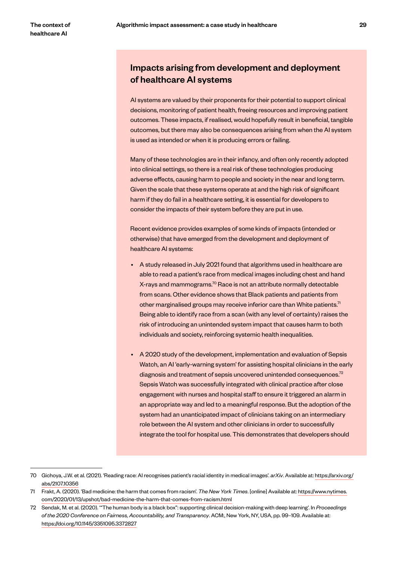# Impacts arising from development and deployment of healthcare AI systems

AI systems are valued by their proponents for their potential to support clinical decisions, monitoring of patient health, freeing resources and improving patient outcomes. These impacts, if realised, would hopefully result in beneficial, tangible outcomes, but there may also be consequences arising from when the AI system is used as intended or when it is producing errors or failing.

Many of these technologies are in their infancy, and often only recently adopted into clinical settings, so there is a real risk of these technologies producing adverse effects, causing harm to people and society in the near and long term. Given the scale that these systems operate at and the high risk of significant harm if they do fail in a healthcare setting, it is essential for developers to consider the impacts of their system before they are put in use.

Recent evidence provides examples of some kinds of impacts (intended or otherwise) that have emerged from the development and deployment of healthcare AI systems:

- A study released in July 2021 found that algorithms used in healthcare are able to read a patient's race from medical images including chest and hand X-rays and mammograms.<sup>70</sup> Race is not an attribute normally detectable from scans. Other evidence shows that Black patients and patients from other marginalised groups may receive inferior care than White patients.<sup>71</sup> Being able to identify race from a scan (with any level of certainty) raises the risk of introducing an unintended system impact that causes harm to both individuals and society, reinforcing systemic health inequalities.
- A 2020 study of the development, implementation and evaluation of Sepsis Watch, an AI 'early-warning system' for assisting hospital clinicians in the early diagnosis and treatment of sepsis uncovered unintended consequences.<sup>72</sup> Sepsis Watch was successfully integrated with clinical practice after close engagement with nurses and hospital staff to ensure it triggered an alarm in an appropriate way and led to a meaningful response. But the adoption of the system had an unanticipated impact of clinicians taking on an intermediary role between the AI system and other clinicians in order to successfully integrate the tool for hospital use. This demonstrates that developers should

<sup>70</sup> Gichoya, J.W. et al. (2021). 'Reading race: AI recognises patient's racial identity in medical images'. *arXiv*. Available at: https://arxiv.org/ abs/2107.10356

<sup>71</sup> Frakt, A. (2020). 'Bad medicine: the harm that comes from racism'. *The New York Times*. [online] Available at: https://www.nytimes. com/2020/01/13/upshot/bad-medicine-the-harm-that-comes-from-racism.html

<sup>72</sup> Sendak, M. et al. (2020). '"The human body is a black box": supporting clinical decision-making with deep learning'. In *Proceedings of the 2020 Conference on Fairness, Accountability, and Transparency*. ACM:, New York, NY, USA, pp. 99–109. Available at: https://doi.org/10.1145/3351095.3372827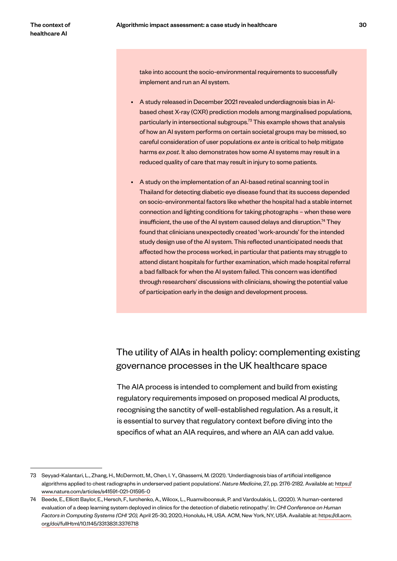take into account the socio-environmental requirements to successfully implement and run an AI system.

- A study released in December 2021 revealed underdiagnosis bias in AIbased chest X-ray (CXR) prediction models among marginalised populations, particularly in intersectional subgroups.73 This example shows that analysis of how an AI system performs on certain societal groups may be missed, so careful consideration of user populations *ex ante* is critical to help mitigate harms *ex post*. It also demonstrates how some AI systems may result in a reduced quality of care that may result in injury to some patients.
- A study on the implementation of an AI-based retinal scanning tool in Thailand for detecting diabetic eye disease found that its success depended on socio-environmental factors like whether the hospital had a stable internet connection and lighting conditions for taking photographs – when these were insufficient, the use of the AI system caused delays and disruption.<sup>74</sup> They found that clinicians unexpectedly created 'work-arounds' for the intended study design use of the AI system. This reflected unanticipated needs that affected how the process worked, in particular that patients may struggle to attend distant hospitals for further examination, which made hospital referral a bad fallback for when the AI system failed. This concern was identified through researchers' discussions with clinicians, showing the potential value of participation early in the design and development process.

# The utility of AIAs in health policy: complementing existing governance processes in the UK healthcare space

The AIA process is intended to complement and build from existing regulatory requirements imposed on proposed medical AI products, recognising the sanctity of well-established regulation. As a result, it is essential to survey that regulatory context before diving into the specifics of what an AIA requires, and where an AIA can add value.

<sup>73</sup> Seyyad-Kalantari, L., Zhang, H., McDermott, M., Chen, I. Y., Ghassemi, M. (2021). 'Underdiagnosis bias of artificial intelligence algorithms applied to chest radiographs in underserved patient populations'. *Nature Medicine*, 27, pp. 2176-2182. Available at: https:// www.nature.com/articles/s41591-021-01595-0

<sup>74</sup> Beede, E., Elliott Baylor, E., Hersch, F., Iurchenko, A., Wilcox, L., Ruamviboonsuk, P. and Vardoulakis, L. (2020). 'A human-centered evaluation of a deep learning system deployed in clinics for the detection of diabetic retinopathy'. In: *CHI Conference on Human Factors in Computing Systems (CHI '20),* April 25-30, 2020, Honolulu, HI, USA. ACM, New York, NY, USA. Available at: https://dl.acm. org/doi/fullHtml/10.1145/3313831.3376718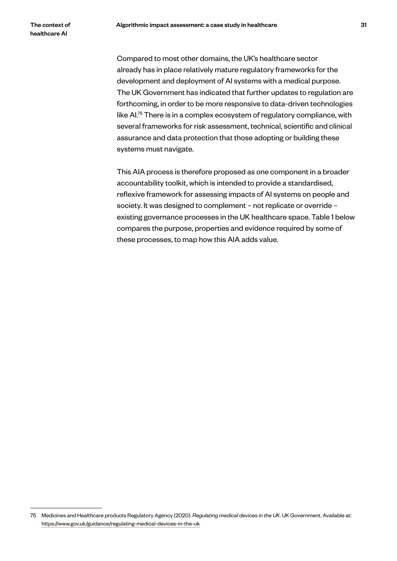Compared to most other domains, the UK's healthcare sector already has in place relatively mature regulatory frameworks for the development and deployment of AI systems with a medical purpose. The UK Government has indicated that further updates to regulation are forthcoming, in order to be more responsive to data-driven technologies like AI.75 There is in a complex ecosystem of regulatory compliance, with several frameworks for risk assessment, technical, scientific and clinical assurance and data protection that those adopting or building these systems must navigate.

This AIA process is therefore proposed as one component in a broader accountability toolkit, which is intended to provide a standardised, reflexive framework for assessing impacts of AI systems on people and society. It was designed to complement – not replicate or override – existing governance processes in the UK healthcare space. Table 1 below compares the purpose, properties and evidence required by some of these processes, to map how this AIA adds value.

<sup>75</sup> Medicines and Healthcare products Regulatory Agency (2020). *Regulating medical devices in the UK*. UK Government. Available at: https://www.gov.uk/guidance/regulating-medical-devices-in-the-uk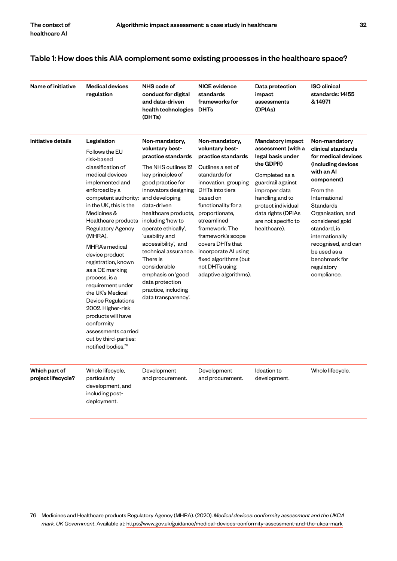#### Table 1: How does this AIA complement some existing processes in the healthcare space?

| Name of initiative                  | <b>Medical devices</b><br>regulation                                                                                                                                                                                                                                                                                                                                                                                                                                                                                                                     | NHS code of<br>conduct for digital<br>and data-driven<br>health technologies<br>(DHTs)                                                                                                                                                                                                                                                                                                                                                   | <b>NICE</b> evidence<br>standards<br>frameworks for<br><b>DHTs</b>                                                                                                                                                                                                                                                                                                  | Data protection<br>impact<br>assessments<br>(DPIAs)                                                                                                                                                                                           | <b>ISO clinical</b><br>standards: 14155<br>& 14971                                                                                                                                                                                                                                                                     |
|-------------------------------------|----------------------------------------------------------------------------------------------------------------------------------------------------------------------------------------------------------------------------------------------------------------------------------------------------------------------------------------------------------------------------------------------------------------------------------------------------------------------------------------------------------------------------------------------------------|------------------------------------------------------------------------------------------------------------------------------------------------------------------------------------------------------------------------------------------------------------------------------------------------------------------------------------------------------------------------------------------------------------------------------------------|---------------------------------------------------------------------------------------------------------------------------------------------------------------------------------------------------------------------------------------------------------------------------------------------------------------------------------------------------------------------|-----------------------------------------------------------------------------------------------------------------------------------------------------------------------------------------------------------------------------------------------|------------------------------------------------------------------------------------------------------------------------------------------------------------------------------------------------------------------------------------------------------------------------------------------------------------------------|
| Initiative details                  | Legislation<br>Follows the EU<br>risk-based<br>classification of<br>medical devices<br>implemented and<br>enforced by a<br>competent authority:<br>in the UK, this is the<br>Medicines &<br>Healthcare products<br>Regulatory Agency<br>(MHRA).<br>MHRA's medical<br>device product<br>registration, known<br>as a CE marking<br>process, is a<br>requirement under<br>the UK's Medical<br>Device Regulations<br>2002. Higher-risk<br>products will have<br>conformity<br>assessments carried<br>out by third-parties:<br>notified bodies. <sup>76</sup> | Non-mandatory,<br>voluntary best-<br>practice standards<br>The NHS outlines 12<br>key principles of<br>good practice for<br>innovators designing<br>and developing<br>data-driven<br>healthcare products,<br>including 'how to<br>operate ethically',<br>'usability and<br>accessibility', and<br>technical assurance.<br>There is<br>considerable<br>emphasis on 'good<br>data protection<br>practice, including<br>data transparency'. | Non-mandatory,<br>voluntary best-<br>practice standards<br>Outlines a set of<br>standards for<br>innovation, grouping<br>DHTs into tiers<br>based on<br>functionality for a<br>proportionate,<br>streamlined<br>framework. The<br>framework's scope<br>covers DHTs that<br>incorporate AI using<br>fixed algorithms (but<br>not DHTs using<br>adaptive algorithms). | <b>Mandatory impact</b><br>assessment (with a<br>legal basis under<br>the GDPR)<br>Completed as a<br>guardrail against<br>improper data<br>handling and to<br>protect individual<br>data rights (DPIAs<br>are not specific to<br>healthcare). | Non-mandatory<br>clinical standards<br>for medical devices<br>(including devices<br>with an Al<br>component)<br>From the<br>International<br>Standards<br>Organisation, and<br>considered gold<br>standard, is<br>internationally<br>recognised, and can<br>be used as a<br>benchmark for<br>regulatory<br>compliance. |
| Which part of<br>project lifecycle? | Whole lifecycle,<br>particularly<br>development, and<br>including post-<br>deployment.                                                                                                                                                                                                                                                                                                                                                                                                                                                                   | Development<br>and procurement.                                                                                                                                                                                                                                                                                                                                                                                                          | Development<br>and procurement.                                                                                                                                                                                                                                                                                                                                     | Ideation to<br>development.                                                                                                                                                                                                                   | Whole lifecycle.                                                                                                                                                                                                                                                                                                       |

<sup>76</sup> Medicines and Healthcare products Regulatory Agency (MHRA). (2020). *Medical devices: conformity assessment and the UKCA mark. UK Government*. Available at: https://www.gov.uk/guidance/medical-devices-conformity-assessment-and-the-ukca-mark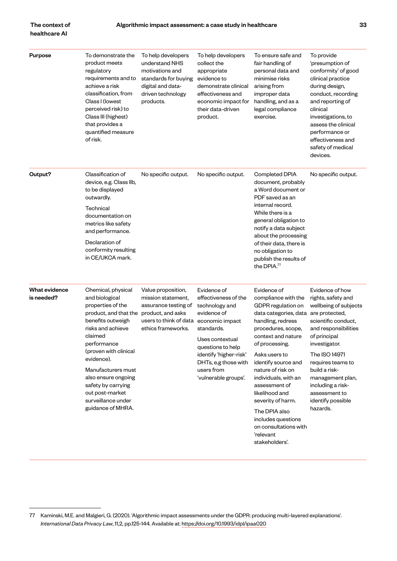#### The context of healthcare AI

Purpose To demonstrate the product meets regulatory requirements and to achieve a risk classification, from Class I (lowest perceived risk) to Class III (highest) that provides a quantified measure of risk. To help developers understand NHS motivations and standards for buying digital and datadriven technology products. To help developers collect the appropriate evidence to demonstrate clinical effectiveness and economic impact for their data-driven product. To ensure safe and fair handling of personal data and minimise risks arising from improper data handling, and as a legal compliance exercise. To provide 'presumption of conformity' of good clinical practice during design, conduct, recording and reporting of clinical investigations, to assess the clinical performance or effectiveness and safety of medical devices. **Output?** Classification of device, e.g. Class IIb, to be displayed outwardly. Technical documentation on metrics like safety and performance. Declaration of conformity resulting in CE/UKCA mark. No specific output. No specific output. Completed DPIA document, probably a Word document or PDF saved as an internal record. While there is a general obligation to notify a data subject about the processing of their data, there is no obligation to publish the results of the DPIA.<sup>77</sup> No specific output. What evidence is needed? Chemical, physical and biological properties of the product, and that the benefits outweigh risks and achieve claimed performance (proven with clinical evidence). Manufacturers must also ensure ongoing safety by carrying out post-market surveillance under guidance of MHRA. Value proposition, mission statement, assurance testing of product, and asks users to think of data economic impact ethics frameworks. Evidence of effectiveness of the technology and evidence of standards. Uses contextual questions to help identify 'higher-risk' DHTs, e.g those with users from 'vulnerable groups'. Evidence of compliance with the GDPR regulation on data categories, data handling, redress procedures, scope, context and nature of processing. Asks users to identify source and nature of risk on individuals, with an assessment of likelihood and severity of harm. The DPIA also includes questions on consultations with Evidence of how rights, safety and wellbeing of subjects are protected, scientific conduct, and responsibilities of principal investigator. The ISO 14971 requires teams to build a riskmanagement plan, including a riskassessment to identify possible hazards.

'relevant stakeholders'.

<sup>77</sup> Kaminski, M.E. and Malgieri, G. (2020). 'Algorithmic impact assessments under the GDPR: producing multi-layered explanations'. *International Data Privacy Law*, 11,2, pp.125-144. Available at: https://doi.org/10.1993/idpl/ipaa020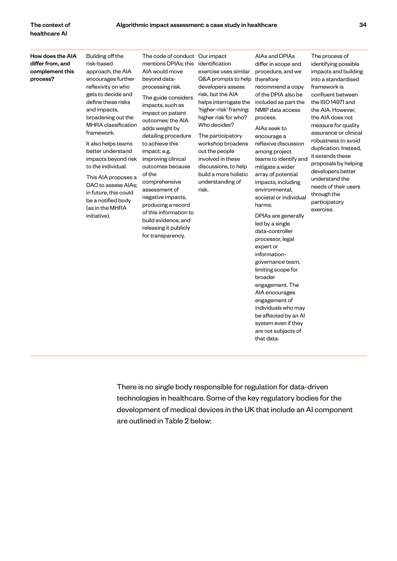#### How does the AIA differ from, and complement this process?

Building off the risk-based approach, the AIA encourages further reflexivity on who gets to decide and define these risks and impacts, broadening out the MHRA classification framework.

It also helps teams better understand impacts beyond risk to the individual.

This AIA proposes a DAC to assess AIAs; in future, this could be a notified body (as in the MHRA initiative).

The code of conduct Our impact mentions DPIAs; this AIA would move beyond dataprocessing risk.

The guide considers impacts, such as impact on patient outcomes: the AIA adds weight by detailing procedure to achieve this impact: e.g. improving clinical outcomes because of the comprehensive assessment of negative impacts, producing a record of this information to build evidence, and releasing it publicly for transparency.

identification exercise uses similar Q&A prompts to help developers assess risk, but the AIA helps interrogate the 'higher-risk' framing: higher risk for who? Who decides?

The participatory workshop broadens out the people involved in these discussions, to help build a more holistic understanding of risk.

therefore recommend a copy of the DPIA also be included as part the NMIP data access process. AIAs seek to

AIAs and DPIAs differ in scope and procedure, and we

encourage a reflexive discussion among project teams to identify and mitigate a wider array of potential impacts, including environmental, societal or individual harms.

DPIAs are generally led by a single data-controller processor, legal expert or informationgovernance team, limiting scope for broader engagement. The AIA encourages engagement of individuals who may be affected by an AI system even if they are not subjects of that data.

The process of identifying possible impacts and building into a standardised framework is confluent between the ISO 14971 and the AIA. However, the AIA does not measure for quality assurance or clinical robustness to avoid duplication. Instead, it extends these proposals by helping developers better understand the needs of their users through the participatory exercise.

There is no single body responsible for regulation for data-driven technologies in healthcare. Some of the key regulatory bodies for the development of medical devices in the UK that include an AI component are outlined in Table 2 below: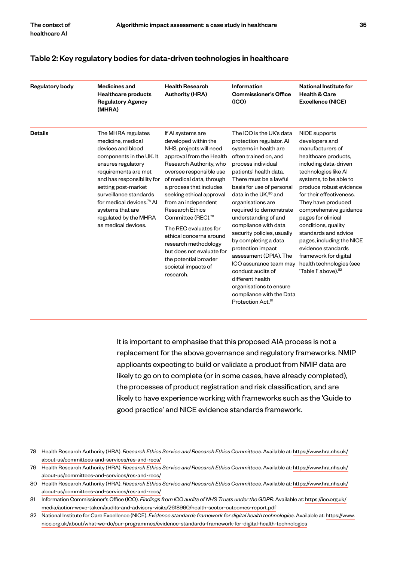#### Table 2: Key regulatory bodies for data-driven technologies in healthcare

| <b>Regulatory body</b> | <b>Medicines and</b><br><b>Healthcare products</b><br><b>Regulatory Agency</b><br>(MHRA)                                                                                                                                                                                                                                           | <b>Health Research</b><br><b>Authority (HRA)</b>                                                                                                                                                                                                                                                                                                                                                                                                                                                   | Information<br><b>Commissioner's Office</b><br>(IO)                                                                                                                                                                                                                                                                                                                                                                                                                                                                                                                                                                | <b>National Institute for</b><br><b>Health &amp; Care</b><br><b>Excellence (NICE)</b>                                                                                                                                                                                                                                                                                                                                                                              |
|------------------------|------------------------------------------------------------------------------------------------------------------------------------------------------------------------------------------------------------------------------------------------------------------------------------------------------------------------------------|----------------------------------------------------------------------------------------------------------------------------------------------------------------------------------------------------------------------------------------------------------------------------------------------------------------------------------------------------------------------------------------------------------------------------------------------------------------------------------------------------|--------------------------------------------------------------------------------------------------------------------------------------------------------------------------------------------------------------------------------------------------------------------------------------------------------------------------------------------------------------------------------------------------------------------------------------------------------------------------------------------------------------------------------------------------------------------------------------------------------------------|--------------------------------------------------------------------------------------------------------------------------------------------------------------------------------------------------------------------------------------------------------------------------------------------------------------------------------------------------------------------------------------------------------------------------------------------------------------------|
| <b>Details</b>         | The MHRA regulates<br>medicine, medical<br>devices and blood<br>components in the UK. It<br>ensures regulatory<br>requirements are met<br>and has responsibility for<br>setting post-market<br>surveillance standards<br>for medical devices. <sup>78</sup> Al<br>systems that are<br>regulated by the MHRA<br>as medical devices. | If AI systems are<br>developed within the<br>NHS, projects will need<br>approval from the Health<br>Research Authority, who<br>oversee responsible use<br>of medical data, through<br>a process that includes<br>seeking ethical approval<br>from an independent<br><b>Research Ethics</b><br>Committee (REC). <sup>79</sup><br>The REC evaluates for<br>ethical concerns around<br>research methodology<br>but does not evaluate for<br>the potential broader<br>societal impacts of<br>research. | The ICO is the UK's data<br>protection regulator. Al<br>systems in health are<br>often trained on, and<br>process individual<br>patients' health data.<br>There must be a lawful<br>basis for use of personal<br>data in the UK, <sup>80</sup> and<br>organisations are<br>required to demonstrate<br>understanding of and<br>compliance with data<br>security policies, usually<br>by completing a data<br>protection impact<br>assessment (DPIA). The<br>ICO assurance team may<br>conduct audits of<br>different health<br>organisations to ensure<br>compliance with the Data<br>Protection Act. <sup>81</sup> | NICE supports<br>developers and<br>manufacturers of<br>healthcare products,<br>including data-driven<br>technologies like Al<br>systems, to be able to<br>produce robust evidence<br>for their effectiveness.<br>They have produced<br>comprehensive guidance<br>pages for clinical<br>conditions, quality<br>standards and advice<br>pages, including the NICE<br>evidence standards<br>framework for digital<br>health technologies (see<br>'Table 1' above). 82 |

It is important to emphasise that this proposed AIA process is not a replacement for the above governance and regulatory frameworks. NMIP applicants expecting to build or validate a product from NMIP data are likely to go on to complete (or in some cases, have already completed), the processes of product registration and risk classification, and are likely to have experience working with frameworks such as the 'Guide to good practice' and NICE evidence standards framework.

<sup>78</sup> Health Research Authority (HRA). *Research Ethics Service and Research Ethics Committees*. Available at: https://www.hra.nhs.uk/ about-us/committees-and-services/res-and-recs/

<sup>79</sup> Health Research Authority (HRA). *Research Ethics Service and Research Ethics Committees*. Available at: https://www.hra.nhs.uk/ about-us/committees-and-services/res-and-recs/

<sup>80</sup> Health Research Authority (HRA). *Research Ethics Service and Research Ethics Committees*. Available at: https://www.hra.nhs.uk/ about-us/committees-and-services/res-and-recs/

<sup>81</sup> Information Commissioner's Office (ICO). *Findings from ICO audits of NHS Trusts under the GDPR*. Available at: https://ico.org.uk/ media/action-weve-taken/audits-and-advisory-visits/2618960/health-sector-outcomes-report.pdf

<sup>82</sup> National Institute for Care Excellence (NICE). *Evidence standards framework for digital health technologies*. Available at: https://www. nice.org.uk/about/what-we-do/our-programmes/evidence-standards-framework-for-digital-health-technologies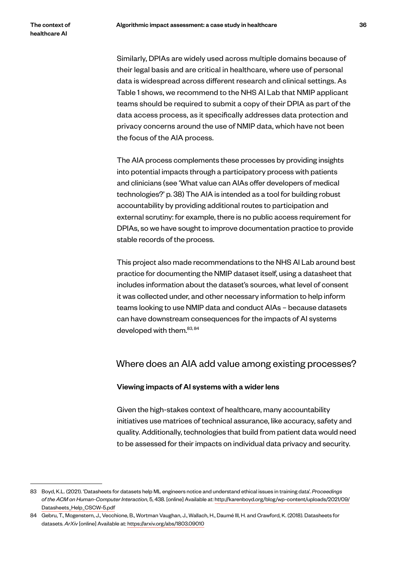Similarly, DPIAs are widely used across multiple domains because of their legal basis and are critical in healthcare, where use of personal data is widespread across different research and clinical settings. As Table 1 shows, we recommend to the NHS AI Lab that NMIP applicant teams should be required to submit a copy of their DPIA as part of the data access process, as it specifically addresses data protection and privacy concerns around the use of NMIP data, which have not been the focus of the AIA process.

The AIA process complements these processes by providing insights into potential impacts through a participatory process with patients and clinicians (see 'What value can AIAs offer developers of medical technologies?' p. 38) The AIA is intended as a tool for building robust accountability by providing additional routes to participation and external scrutiny: for example, there is no public access requirement for DPIAs, so we have sought to improve documentation practice to provide stable records of the process.

This project also made recommendations to the NHS AI Lab around best practice for documenting the NMIP dataset itself, using a datasheet that includes information about the dataset's sources, what level of consent it was collected under, and other necessary information to help inform teams looking to use NMIP data and conduct AIAs – because datasets can have downstream consequences for the impacts of AI systems developed with them.<sup>83, 84</sup>

### Where does an AIA add value among existing processes?

#### Viewing impacts of AI systems with a wider lens

Given the high-stakes context of healthcare, many accountability initiatives use matrices of technical assurance, like accuracy, safety and quality. Additionally, technologies that build from patient data would need to be assessed for their impacts on individual data privacy and security.

<sup>83</sup> Boyd, K.L. (2021). 'Datasheets for datasets help ML engineers notice and understand ethical issues in training data'. *Proceedings of the ACM on Human-Computer Interaction*, 5, 438. [online] Available at: http://karenboyd.org/blog/wp-content/uploads/2021/09/ Datasheets\_Help\_CSCW-5.pdf

<sup>84</sup> Gebru, T., Mogenstern, J., Vecchione, B., Wortman Vaughan, J., Wallach, H., Daumé III, H. and Crawford, K. (2018). Datasheets for datasets. *ArXiv* [online] Available at: https://arxiv.org/abs/1803.09010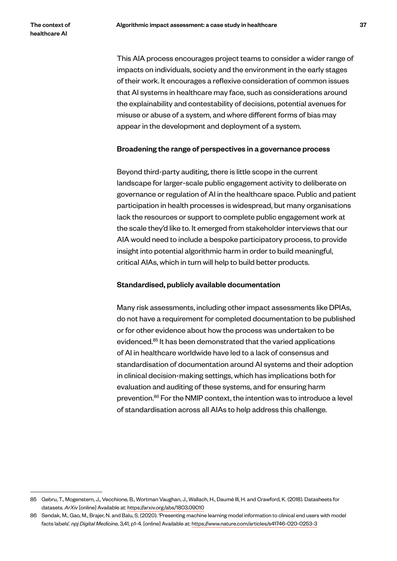This AIA process encourages project teams to consider a wider range of impacts on individuals, society and the environment in the early stages of their work. It encourages a reflexive consideration of common issues that AI systems in healthcare may face, such as considerations around the explainability and contestability of decisions, potential avenues for misuse or abuse of a system, and where different forms of bias may appear in the development and deployment of a system.

#### Broadening the range of perspectives in a governance process

Beyond third-party auditing, there is little scope in the current landscape for larger-scale public engagement activity to deliberate on governance or regulation of AI in the healthcare space. Public and patient participation in health processes is widespread, but many organisations lack the resources or support to complete public engagement work at the scale they'd like to. It emerged from stakeholder interviews that our AIA would need to include a bespoke participatory process, to provide insight into potential algorithmic harm in order to build meaningful, critical AIAs, which in turn will help to build better products.

#### Standardised, publicly available documentation

Many risk assessments, including other impact assessments like DPIAs, do not have a requirement for completed documentation to be published or for other evidence about how the process was undertaken to be evidenced.<sup>85</sup> It has been demonstrated that the varied applications of AI in healthcare worldwide have led to a lack of consensus and standardisation of documentation around AI systems and their adoption in clinical decision-making settings, which has implications both for evaluation and auditing of these systems, and for ensuring harm prevention.86 For the NMIP context, the intention was to introduce a level of standardisation across all AIAs to help address this challenge.

<sup>85</sup> Gebru, T., Mogenstern, J., Vecchione, B., Wortman Vaughan, J., Wallach, H., Daumé III, H. and Crawford, K. (2018). Datasheets for datasets. *ArXiv* [online] Available at: https://arxiv.org/abs/1803.09010

<sup>86</sup> Sendak, M., Gao, M., Brajer, N. and Balu, S. (2020). 'Presenting machine learning model information to clinical end users with model facts labels'. *npj Digital Medicine*, 3,41, p1-4. [online] Available at: https://www.nature.com/articles/s41746-020-0253-3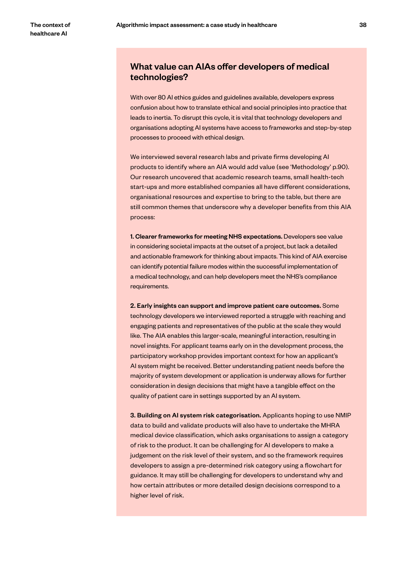# What value can AIAs offer developers of medical technologies?

With over 80 AI ethics guides and guidelines available, developers express confusion about how to translate ethical and social principles into practice that leads to inertia. To disrupt this cycle, it is vital that technology developers and organisations adopting AI systems have access to frameworks and step-by-step processes to proceed with ethical design.

We interviewed several research labs and private firms developing AI products to identify where an AIA would add value (see 'Methodology' p.90). Our research uncovered that academic research teams, small health-tech start-ups and more established companies all have different considerations, organisational resources and expertise to bring to the table, but there are still common themes that underscore why a developer benefits from this AIA process:

1. Clearer frameworks for meeting NHS expectations. Developers see value in considering societal impacts at the outset of a project, but lack a detailed and actionable framework for thinking about impacts. This kind of AIA exercise can identify potential failure modes within the successful implementation of a medical technology, and can help developers meet the NHS's compliance requirements.

2. Early insights can support and improve patient care outcomes. Some technology developers we interviewed reported a struggle with reaching and engaging patients and representatives of the public at the scale they would like. The AIA enables this larger-scale, meaningful interaction, resulting in novel insights. For applicant teams early on in the development process, the participatory workshop provides important context for how an applicant's AI system might be received. Better understanding patient needs before the majority of system development or application is underway allows for further consideration in design decisions that might have a tangible effect on the quality of patient care in settings supported by an AI system.

3. Building on AI system risk categorisation. Applicants hoping to use NMIP data to build and validate products will also have to undertake the MHRA medical device classification, which asks organisations to assign a category of risk to the product. It can be challenging for AI developers to make a judgement on the risk level of their system, and so the framework requires developers to assign a pre-determined risk category using a flowchart for guidance. It may still be challenging for developers to understand why and how certain attributes or more detailed design decisions correspond to a higher level of risk.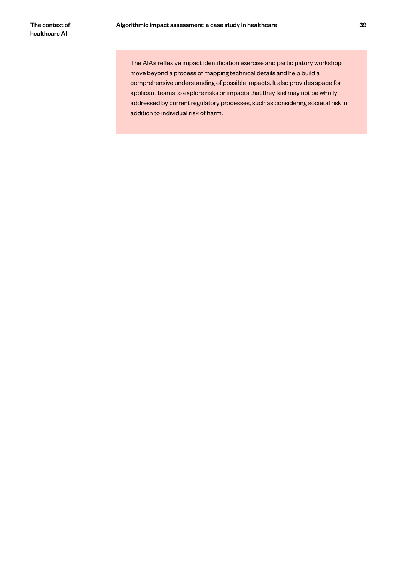The AIA's reflexive impact identification exercise and participatory workshop move beyond a process of mapping technical details and help build a comprehensive understanding of possible impacts. It also provides space for applicant teams to explore risks or impacts that they feel may not be wholly addressed by current regulatory processes, such as considering societal risk in addition to individual risk of harm.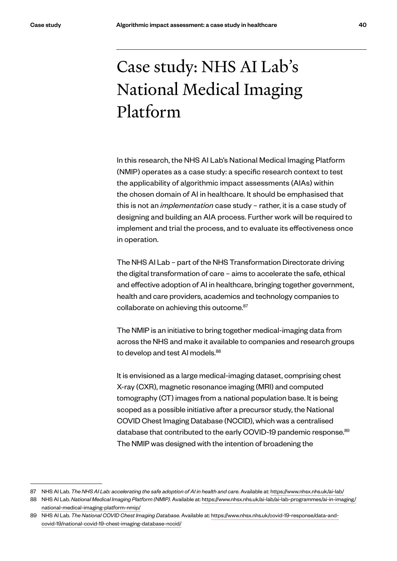# Case study: NHS AI Lab's National Medical Imaging Platform

In this research, the NHS AI Lab's National Medical Imaging Platform (NMIP) operates as a case study: a specific research context to test the applicability of algorithmic impact assessments (AIAs) within the chosen domain of AI in healthcare. It should be emphasised that this is not an *implementation* case study – rather, it is a case study of designing and building an AIA process. Further work will be required to implement and trial the process, and to evaluate its effectiveness once in operation.

The NHS AI Lab – part of the NHS Transformation Directorate driving the digital transformation of care – aims to accelerate the safe, ethical and effective adoption of AI in healthcare, bringing together government, health and care providers, academics and technology companies to collaborate on achieving this outcome.<sup>87</sup>

The NMIP is an initiative to bring together medical-imaging data from across the NHS and make it available to companies and research groups to develop and test AI models.<sup>88</sup>

It is envisioned as a large medical-imaging dataset, comprising chest X-ray (CXR), magnetic resonance imaging (MRI) and computed tomography (CT) images from a national population base. It is being scoped as a possible initiative after a precursor study, the National COVID Chest Imaging Database (NCCID), which was a centralised database that contributed to the early COVID-19 pandemic response.<sup>89</sup> The NMIP was designed with the intention of broadening the

<sup>87</sup> NHS AI Lab. *The NHS AI Lab: accelerating the safe adoption of AI in health and care*. Available at: https://www.nhsx.nhs.uk/ai-lab/

<sup>88</sup> NHS AI Lab. *National Medical Imaging Platform (NMIP)*. Available at: https://www.nhsx.nhs.uk/ai-lab/ai-lab-programmes/ai-in-imaging/ national-medical-imaging-platform-nmip/

<sup>89</sup> NHS AI Lab. *The National COVID Chest Imaging Database*. Available at: https://www.nhsx.nhs.uk/covid-19-response/data-andcovid-19/national-covid-19-chest-imaging-database-nccid/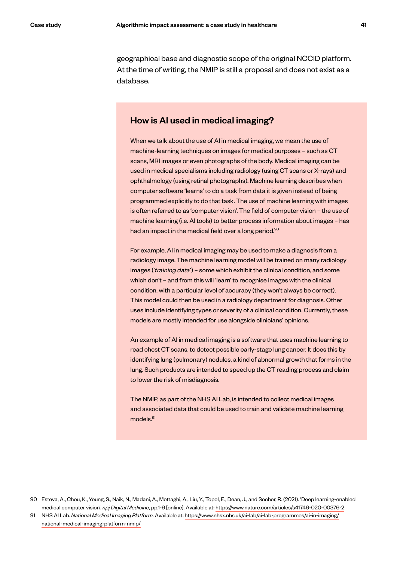geographical base and diagnostic scope of the original NCCID platform. At the time of writing, the NMIP is still a proposal and does not exist as a database.

# How is AI used in medical imaging?

When we talk about the use of AI in medical imaging, we mean the use of machine-learning techniques on images for medical purposes – such as CT scans, MRI images or even photographs of the body. Medical imaging can be used in medical specialisms including radiology (using CT scans or X-rays) and ophthalmology (using retinal photographs). Machine learning describes when computer software 'learns' to do a task from data it is given instead of being programmed explicitly to do that task. The use of machine learning with images is often referred to as 'computer vision'. The field of computer vision – the use of machine learning (i.e. AI tools) to better process information about images – has had an impact in the medical field over a long period.<sup>90</sup>

For example, AI in medical imaging may be used to make a diagnosis from a radiology image. The machine learning model will be trained on many radiology images ('*training data*') – some which exhibit the clinical condition, and some which don't - and from this will 'learn' to recognise images with the clinical condition, with a particular level of accuracy (they won't always be correct). This model could then be used in a radiology department for diagnosis. Other uses include identifying types or severity of a clinical condition. Currently, these models are mostly intended for use alongside clinicians' opinions.

An example of AI in medical imaging is a software that uses machine learning to read chest CT scans, to detect possible early-stage lung cancer. It does this by identifying lung (pulmonary) nodules, a kind of abnormal growth that forms in the lung. Such products are intended to speed up the CT reading process and claim to lower the risk of misdiagnosis.

The NMIP, as part of the NHS AI Lab, is intended to collect medical images and associated data that could be used to train and validate machine learning models.<sup>91</sup>

<sup>90</sup> Esteva, A., Chou, K., Yeung, S., Naik, N., Madani, A., Mottaghi, A., Liu, Y., Topol, E., Dean, J., and Socher, R. (2021). 'Deep learning-enabled medical computer vision'. *npj Digital Medicine*, pp.1-9 [online]. Available at: https://www.nature.com/articles/s41746-020-00376-2

<sup>91</sup> NHS AI Lab. *National Medical Imaging Platform*. Available at: https://www.nhsx.nhs.uk/ai-lab/ai-lab-programmes/ai-in-imaging/ national-medical-imaging-platform-nmip/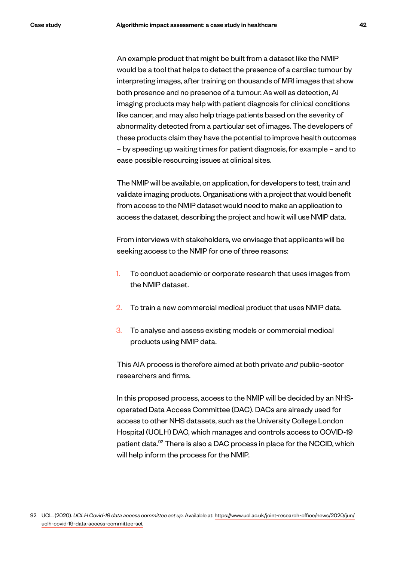An example product that might be built from a dataset like the NMIP would be a tool that helps to detect the presence of a cardiac tumour by interpreting images, after training on thousands of MRI images that show both presence and no presence of a tumour. As well as detection, AI imaging products may help with patient diagnosis for clinical conditions like cancer, and may also help triage patients based on the severity of abnormality detected from a particular set of images. The developers of these products claim they have the potential to improve health outcomes – by speeding up waiting times for patient diagnosis, for example – and to ease possible resourcing issues at clinical sites.

The NMIP will be available, on application, for developers to test, train and validate imaging products. Organisations with a project that would benefit from access to the NMIP dataset would need to make an application to access the dataset, describing the project and how it will use NMIP data.

From interviews with stakeholders, we envisage that applicants will be seeking access to the NMIP for one of three reasons:

- 1. To conduct academic or corporate research that uses images from the NMIP dataset.
- 2. To train a new commercial medical product that uses NMIP data.
- 3. To analyse and assess existing models or commercial medical products using NMIP data.

This AIA process is therefore aimed at both private *and* public-sector researchers and firms.

In this proposed process, access to the NMIP will be decided by an NHSoperated Data Access Committee (DAC). DACs are already used for access to other NHS datasets, such as the University College London Hospital (UCLH) DAC, which manages and controls access to COVID-19 patient data.<sup>92</sup> There is also a DAC process in place for the NCCID, which will help inform the process for the NMIP.

<sup>92</sup> UCL. (2020). *UCLH Covid-19 data access committee set up*. Available at: https://www.ucl.ac.uk/joint-research-office/news/2020/jun/ uclh-covid-19-data-access-committee-set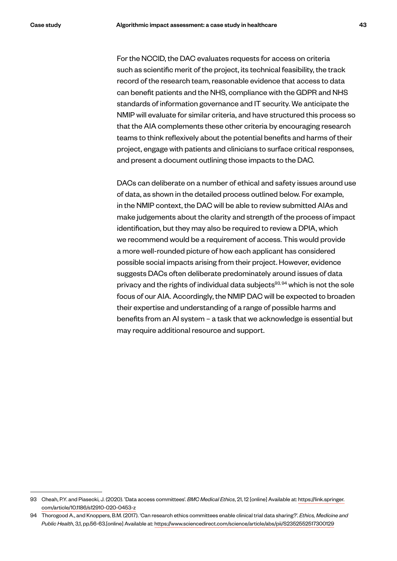For the NCCID, the DAC evaluates requests for access on criteria such as scientific merit of the project, its technical feasibility, the track record of the research team, reasonable evidence that access to data can benefit patients and the NHS, compliance with the GDPR and NHS standards of information governance and IT security. We anticipate the NMIP will evaluate for similar criteria, and have structured this process so that the AIA complements these other criteria by encouraging research teams to think reflexively about the potential benefits and harms of their project, engage with patients and clinicians to surface critical responses, and present a document outlining those impacts to the DAC.

DACs can deliberate on a number of ethical and safety issues around use of data, as shown in the detailed process outlined below. For example, in the NMIP context, the DAC will be able to review submitted AIAs and make judgements about the clarity and strength of the process of impact identification, but they may also be required to review a DPIA, which we recommend would be a requirement of access. This would provide a more well-rounded picture of how each applicant has considered possible social impacts arising from their project. However, evidence suggests DACs often deliberate predominately around issues of data privacy and the rights of individual data subjects<sup>93, 94</sup> which is not the sole focus of our AIA. Accordingly, the NMIP DAC will be expected to broaden their expertise and understanding of a range of possible harms and benefits from an AI system – a task that we acknowledge is essential but may require additional resource and support.

<sup>93</sup> Cheah, P.Y. and Piasecki, J. (2020). 'Data access committees'. *BMC Medical Ethics*, 21, 12 [online] Available at: https://link.springer. com/article/10.1186/s12910-020-0453-z

<sup>94</sup> Thorogood A., and Knoppers, B.M. (2017). 'Can research ethics committees enable clinical trial data sharing?'. *Ethics, Medicine and Public Health*, 3,1, pp.56-63.[online] Available at: https://www.sciencedirect.com/science/article/abs/pii/S2352552517300129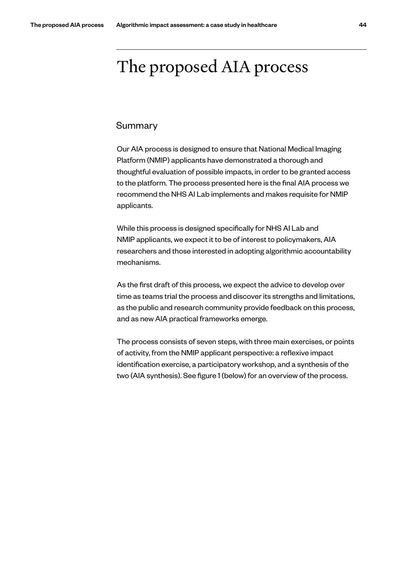# The proposed AIA process

# Summary

Our AIA process is designed to ensure that National Medical Imaging Platform (NMIP) applicants have demonstrated a thorough and thoughtful evaluation of possible impacts, in order to be granted access to the platform. The process presented here is the final AIA process we recommend the NHS AI Lab implements and makes requisite for NMIP applicants.

While this process is designed specifically for NHS AI Lab and NMIP applicants, we expect it to be of interest to policymakers, AIA researchers and those interested in adopting algorithmic accountability mechanisms.

As the first draft of this process, we expect the advice to develop over time as teams trial the process and discover its strengths and limitations, as the public and research community provide feedback on this process, and as new AIA practical frameworks emerge.

The process consists of seven steps, with three main exercises, or points of activity, from the NMIP applicant perspective: a reflexive impact identification exercise, a participatory workshop, and a synthesis of the two (AIA synthesis). See figure 1 (below) for an overview of the process.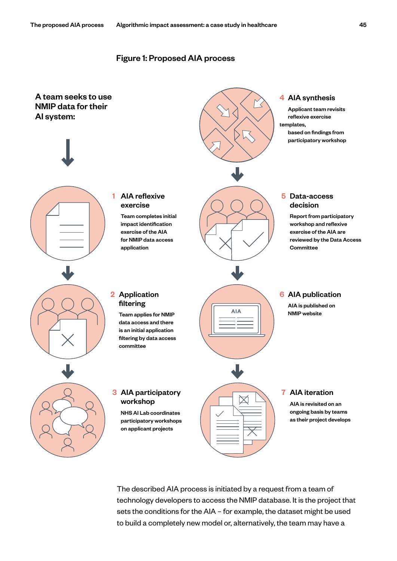# Figure 1: Proposed AIA process



The described AIA process is initiated by a request from a team of technology developers to access the NMIP database. It is the project that sets the conditions for the AIA – for example, the dataset might be used to build a completely new model or, alternatively, the team may have a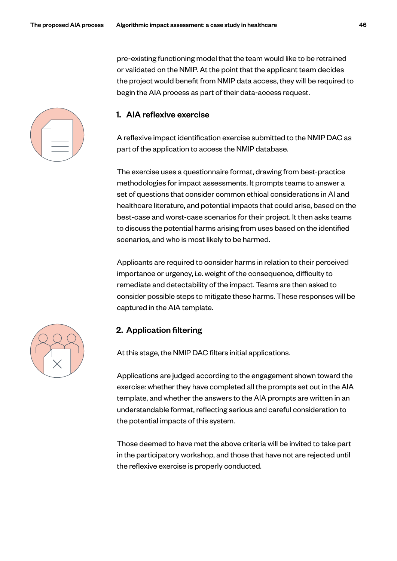pre-existing functioning model that the team would like to be retrained or validated on the NMIP. At the point that the applicant team decides the project would benefit from NMIP data access, they will be required to begin the AIA process as part of their data-access request.



# 1. AIA reflexive exercise

A reflexive impact identification exercise submitted to the NMIP DAC as part of the application to access the NMIP database.

The exercise uses a questionnaire format, drawing from best-practice methodologies for impact assessments. It prompts teams to answer a set of questions that consider common ethical considerations in AI and healthcare literature, and potential impacts that could arise, based on the best-case and worst-case scenarios for their project. It then asks teams to discuss the potential harms arising from uses based on the identified scenarios, and who is most likely to be harmed.

Applicants are required to consider harms in relation to their perceived importance or urgency, i.e. weight of the consequence, difficulty to remediate and detectability of the impact. Teams are then asked to consider possible steps to mitigate these harms. These responses will be captured in the AIA template.

# 2. Application filtering

At this stage, the NMIP DAC filters initial applications.

Applications are judged according to the engagement shown toward the exercise: whether they have completed all the prompts set out in the AIA template, and whether the answers to the AIA prompts are written in an understandable format, reflecting serious and careful consideration to the potential impacts of this system.

Those deemed to have met the above criteria will be invited to take part in the participatory workshop, and those that have not are rejected until the reflexive exercise is properly conducted.

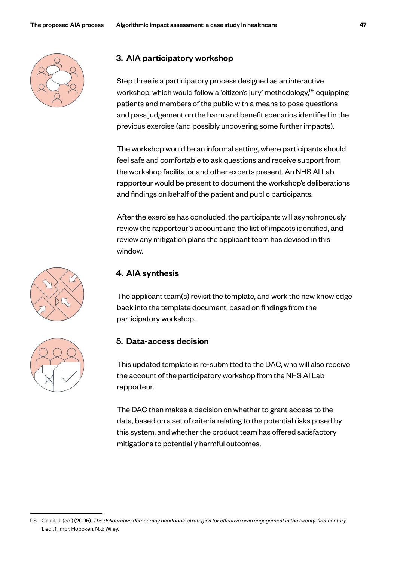

# 3. AIA participatory workshop

Step three is a participatory process designed as an interactive workshop, which would follow a 'citizen's jury' methodology, <sup>95</sup> equipping patients and members of the public with a means to pose questions and pass judgement on the harm and benefit scenarios identified in the previous exercise (and possibly uncovering some further impacts).

The workshop would be an informal setting, where participants should feel safe and comfortable to ask questions and receive support from the workshop facilitator and other experts present. An NHS AI Lab rapporteur would be present to document the workshop's deliberations and findings on behalf of the patient and public participants.

After the exercise has concluded, the participants will asynchronously review the rapporteur's account and the list of impacts identified, and review any mitigation plans the applicant team has devised in this window.



# 4. AIA synthesis

The applicant team(s) revisit the template, and work the new knowledge back into the template document, based on findings from the participatory workshop.

# 5. Data-access decision

This updated template is re-submitted to the DAC, who will also receive the account of the participatory workshop from the NHS AI Lab rapporteur.

The DAC then makes a decision on whether to grant access to the data, based on a set of criteria relating to the potential risks posed by this system, and whether the product team has offered satisfactory mitigations to potentially harmful outcomes.

<sup>95</sup> Gastil, J. (ed.) (2005). *The deliberative democracy handbook: strategies for effective civic engagement in the twenty-first century*. 1. ed., 1. impr. Hoboken, N.J: Wiley.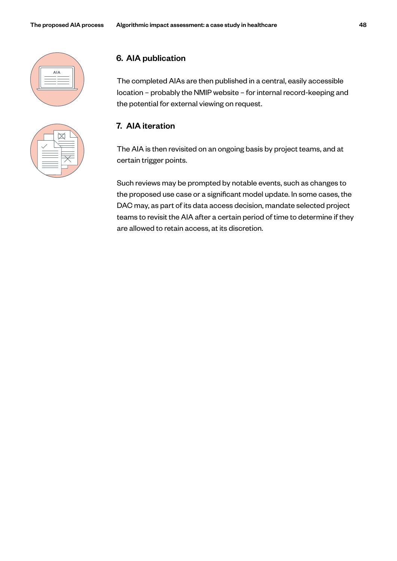

| -- |
|----|
|    |
|    |

# 6. AIA publication

The completed AIAs are then published in a central, easily accessible location – probably the NMIP website – for internal record-keeping and the potential for external viewing on request.

# 7. AIA iteration

The AIA is then revisited on an ongoing basis by project teams, and at certain trigger points.

Such reviews may be prompted by notable events, such as changes to the proposed use case or a significant model update. In some cases, the DAC may, as part of its data access decision, mandate selected project teams to revisit the AIA after a certain period of time to determine if they are allowed to retain access, at its discretion.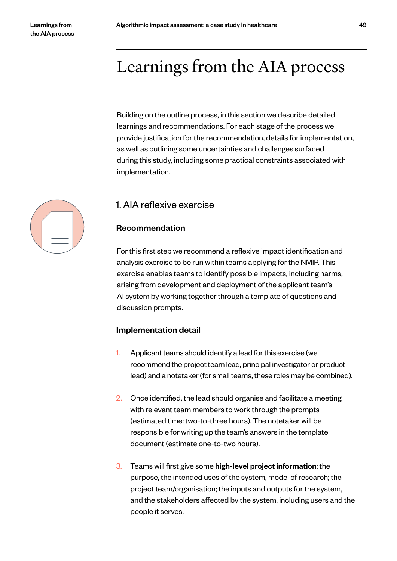# Learnings from the AIA process

Building on the outline process, in this section we describe detailed learnings and recommendations. For each stage of the process we provide justification for the recommendation, details for implementation, as well as outlining some uncertainties and challenges surfaced during this study, including some practical constraints associated with implementation.

# 1. AIA reflexive exercise

# Recommendation

For this first step we recommend a reflexive impact identification and analysis exercise to be run within teams applying for the NMIP. This exercise enables teams to identify possible impacts, including harms, arising from development and deployment of the applicant team's AI system by working together through a template of questions and discussion prompts.

# Implementation detail

- 1. Applicant teams should identify a lead for this exercise (we recommend the project team lead, principal investigator or product lead) and a notetaker (for small teams, these roles may be combined).
- 2. Once identified, the lead should organise and facilitate a meeting with relevant team members to work through the prompts (estimated time: two-to-three hours). The notetaker will be responsible for writing up the team's answers in the template document (estimate one-to-two hours).
- 3. Teams will first give some high-level project information: the purpose, the intended uses of the system, model of research; the project team/organisation; the inputs and outputs for the system, and the stakeholders affected by the system, including users and the people it serves.

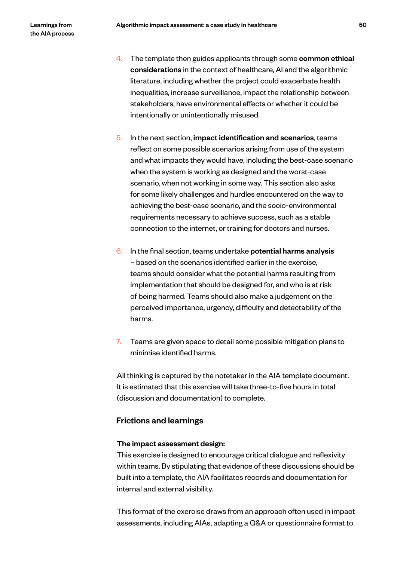- 4. The template then guides applicants through some common ethical considerations in the context of healthcare, AI and the algorithmic literature, including whether the project could exacerbate health inequalities, increase surveillance, impact the relationship between stakeholders, have environmental effects or whether it could be intentionally or unintentionally misused.
- 5. In the next section, impact identification and scenarios, teams reflect on some possible scenarios arising from use of the system and what impacts they would have, including the best-case scenario when the system is working as designed and the worst-case scenario, when not working in some way. This section also asks for some likely challenges and hurdles encountered on the way to achieving the best-case scenario, and the socio-environmental requirements necessary to achieve success, such as a stable connection to the internet, or training for doctors and nurses.
- 6. In the final section, teams undertake potential harms analysis – based on the scenarios identified earlier in the exercise, teams should consider what the potential harms resulting from implementation that should be designed for, and who is at risk of being harmed. Teams should also make a judgement on the perceived importance, urgency, difficulty and detectability of the harms.
- 7. Teams are given space to detail some possible mitigation plans to minimise identified harms.

All thinking is captured by the notetaker in the AIA template document. It is estimated that this exercise will take three-to-five hours in total (discussion and documentation) to complete.

# Frictions and learnings

# The impact assessment design:

This exercise is designed to encourage critical dialogue and reflexivity within teams. By stipulating that evidence of these discussions should be built into a template, the AIA facilitates records and documentation for internal and external visibility.

This format of the exercise draws from an approach often used in impact assessments, including AIAs, adapting a Q&A or questionnaire format to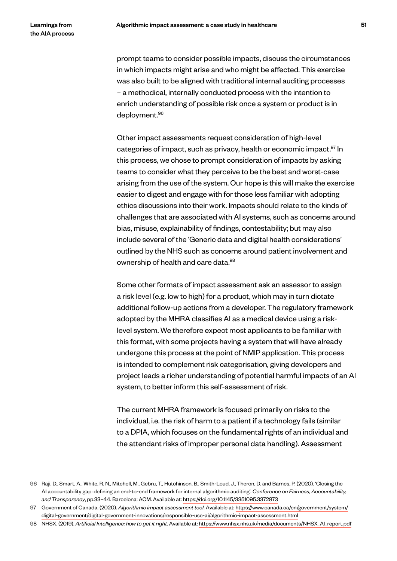prompt teams to consider possible impacts, discuss the circumstances in which impacts might arise and who might be affected. This exercise was also built to be aligned with traditional internal auditing processes – a methodical, internally conducted process with the intention to enrich understanding of possible risk once a system or product is in deployment.<sup>96</sup>

Other impact assessments request consideration of high-level categories of impact, such as privacy, health or economic impact.<sup>97</sup> In this process, we chose to prompt consideration of impacts by asking teams to consider what they perceive to be the best and worst-case arising from the use of the system. Our hope is this will make the exercise easier to digest and engage with for those less familiar with adopting ethics discussions into their work. Impacts should relate to the kinds of challenges that are associated with AI systems, such as concerns around bias, misuse, explainability of findings, contestability; but may also include several of the 'Generic data and digital health considerations' outlined by the NHS such as concerns around patient involvement and ownership of health and care data.<sup>98</sup>

Some other formats of impact assessment ask an assessor to assign a risk level (e.g. low to high) for a product, which may in turn dictate additional follow-up actions from a developer. The regulatory framework adopted by the MHRA classifies AI as a medical device using a risklevel system. We therefore expect most applicants to be familiar with this format, with some projects having a system that will have already undergone this process at the point of NMIP application. This process is intended to complement risk categorisation, giving developers and project leads a richer understanding of potential harmful impacts of an AI system, to better inform this self-assessment of risk.

The current MHRA framework is focused primarily on risks to the individual, i.e. the risk of harm to a patient if a technology fails (similar to a DPIA, which focuses on the fundamental rights of an individual and the attendant risks of improper personal data handling). Assessment

<sup>96</sup> Raji, D., Smart, A., White, R. N., Mitchell, M., Gebru, T., Hutchinson, B., Smith-Loud, J., Theron, D. and Barnes, P. (2020). 'Closing the AI accountability gap: defining an end-to-end framework for internal algorithmic auditing'. *Conference on Fairness, Accountability, and Transparency*, pp.33–44. Barcelona: ACM. Available at: https://doi.org/10.1145/3351095.3372873

<sup>97</sup> Government of Canada. (2020). *Algorithmic impact assessment tool*. Available at: https://www.canada.ca/en/government/system/ digital-government/digital-government-innovations/responsible-use-ai/algorithmic-impact-assessment.html

<sup>98</sup> NHSX. (2019). *Artificial Intelligence: how to get it right*. Available at: https://www.nhsx.nhs.uk/media/documents/NHSX\_AI\_report.pdf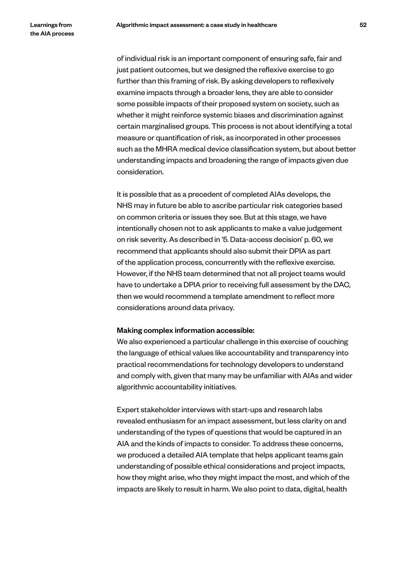of individual risk is an important component of ensuring safe, fair and just patient outcomes, but we designed the reflexive exercise to go further than this framing of risk. By asking developers to reflexively examine impacts through a broader lens, they are able to consider some possible impacts of their proposed system on society, such as whether it might reinforce systemic biases and discrimination against certain marginalised groups. This process is not about identifying a total measure or quantification of risk, as incorporated in other processes such as the MHRA medical device classification system, but about better understanding impacts and broadening the range of impacts given due consideration.

It is possible that as a precedent of completed AIAs develops, the NHS may in future be able to ascribe particular risk categories based on common criteria or issues they see. But at this stage, we have intentionally chosen not to ask applicants to make a value judgement on risk severity. As described in '5. Data-access decision' p. 60, we recommend that applicants should also submit their DPIA as part of the application process, concurrently with the reflexive exercise. However, if the NHS team determined that not all project teams would have to undertake a DPIA prior to receiving full assessment by the DAC, then we would recommend a template amendment to reflect more considerations around data privacy.

#### Making complex information accessible:

We also experienced a particular challenge in this exercise of couching the language of ethical values like accountability and transparency into practical recommendations for technology developers to understand and comply with, given that many may be unfamiliar with AIAs and wider algorithmic accountability initiatives.

Expert stakeholder interviews with start-ups and research labs revealed enthusiasm for an impact assessment, but less clarity on and understanding of the types of questions that would be captured in an AIA and the kinds of impacts to consider. To address these concerns, we produced a detailed AIA template that helps applicant teams gain understanding of possible ethical considerations and project impacts, how they might arise, who they might impact the most, and which of the impacts are likely to result in harm. We also point to data, digital, health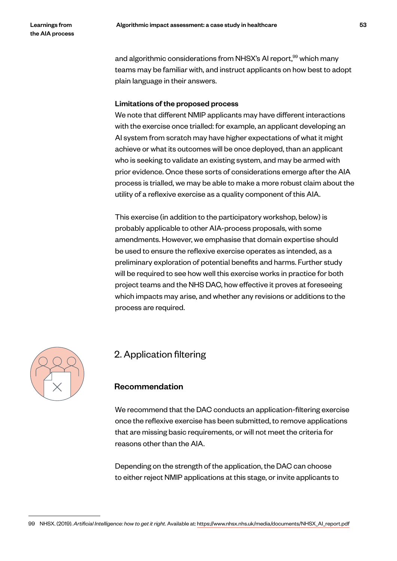and algorithmic considerations from NHSX's AI report,<sup>99</sup> which many teams may be familiar with, and instruct applicants on how best to adopt plain language in their answers.

#### Limitations of the proposed process

We note that different NMIP applicants may have different interactions with the exercise once trialled: for example, an applicant developing an AI system from scratch may have higher expectations of what it might achieve or what its outcomes will be once deployed, than an applicant who is seeking to validate an existing system, and may be armed with prior evidence. Once these sorts of considerations emerge after the AIA process is trialled, we may be able to make a more robust claim about the utility of a reflexive exercise as a quality component of this AIA.

This exercise (in addition to the participatory workshop, below) is probably applicable to other AIA-process proposals, with some amendments. However, we emphasise that domain expertise should be used to ensure the reflexive exercise operates as intended, as a preliminary exploration of potential benefits and harms. Further study will be required to see how well this exercise works in practice for both project teams and the NHS DAC, how effective it proves at foreseeing which impacts may arise, and whether any revisions or additions to the process are required.



# 2. Application filtering

# Recommendation

We recommend that the DAC conducts an application-filtering exercise once the reflexive exercise has been submitted, to remove applications that are missing basic requirements, or will not meet the criteria for reasons other than the AIA.

Depending on the strength of the application, the DAC can choose to either reject NMIP applications at this stage, or invite applicants to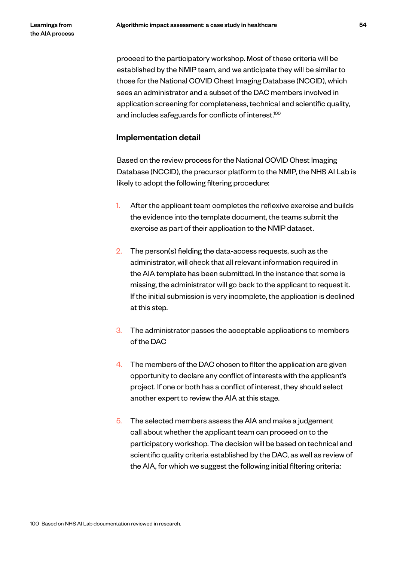proceed to the participatory workshop. Most of these criteria will be established by the NMIP team, and we anticipate they will be similar to those for the National COVID Chest Imaging Database (NCCID), which sees an administrator and a subset of the DAC members involved in application screening for completeness, technical and scientific quality, and includes safeguards for conflicts of interest.<sup>100</sup>

# Implementation detail

Based on the review process for the National COVID Chest Imaging Database (NCCID), the precursor platform to the NMIP, the NHS AI Lab is likely to adopt the following filtering procedure:

- 1. After the applicant team completes the reflexive exercise and builds the evidence into the template document, the teams submit the exercise as part of their application to the NMIP dataset.
- 2. The person(s) fielding the data-access requests, such as the administrator, will check that all relevant information required in the AIA template has been submitted. In the instance that some is missing, the administrator will go back to the applicant to request it. If the initial submission is very incomplete, the application is declined at this step.
- 3. The administrator passes the acceptable applications to members of the DAC
- 4. The members of the DAC chosen to filter the application are given opportunity to declare any conflict of interests with the applicant's project. If one or both has a conflict of interest, they should select another expert to review the AIA at this stage.
- 5. The selected members assess the AIA and make a judgement call about whether the applicant team can proceed on to the participatory workshop. The decision will be based on technical and scientific quality criteria established by the DAC, as well as review of the AIA, for which we suggest the following initial filtering criteria:

<sup>100</sup> Based on NHS AI Lab documentation reviewed in research.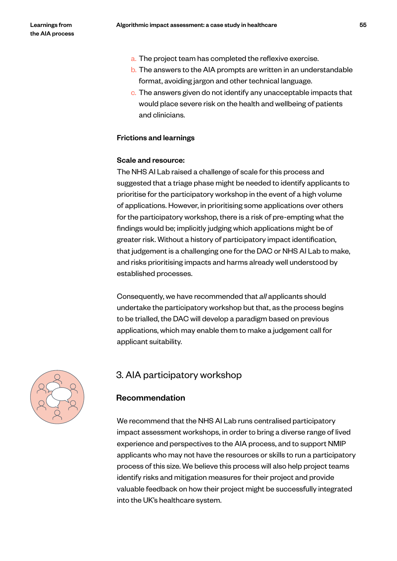- a. The project team has completed the reflexive exercise.
- b. The answers to the AIA prompts are written in an understandable format, avoiding jargon and other technical language.
- c. The answers given do not identify any unacceptable impacts that would place severe risk on the health and wellbeing of patients and clinicians.

# Frictions and learnings

#### Scale and resource:

The NHS AI Lab raised a challenge of scale for this process and suggested that a triage phase might be needed to identify applicants to prioritise for the participatory workshop in the event of a high volume of applications. However, in prioritising some applications over others for the participatory workshop, there is a risk of pre-empting what the findings would be; implicitly judging which applications might be of greater risk. Without a history of participatory impact identification, that judgement is a challenging one for the DAC or NHS AI Lab to make, and risks prioritising impacts and harms already well understood by established processes.

Consequently, we have recommended that *all* applicants should undertake the participatory workshop but that, as the process begins to be trialled, the DAC will develop a paradigm based on previous applications, which may enable them to make a judgement call for applicant suitability.



# 3. AIA participatory workshop

# Recommendation

We recommend that the NHS AI Lab runs centralised participatory impact assessment workshops, in order to bring a diverse range of lived experience and perspectives to the AIA process, and to support NMIP applicants who may not have the resources or skills to run a participatory process of this size. We believe this process will also help project teams identify risks and mitigation measures for their project and provide valuable feedback on how their project might be successfully integrated into the UK's healthcare system.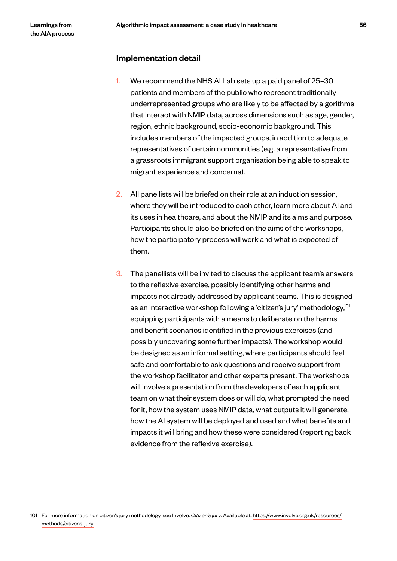#### Implementation detail

- 1. We recommend the NHS AI Lab sets up a paid panel of 25–30 patients and members of the public who represent traditionally underrepresented groups who are likely to be affected by algorithms that interact with NMIP data, across dimensions such as age, gender, region, ethnic background, socio-economic background. This includes members of the impacted groups, in addition to adequate representatives of certain communities (e.g. a representative from a grassroots immigrant support organisation being able to speak to migrant experience and concerns).
- 2. All panellists will be briefed on their role at an induction session, where they will be introduced to each other, learn more about AI and its uses in healthcare, and about the NMIP and its aims and purpose. Participants should also be briefed on the aims of the workshops, how the participatory process will work and what is expected of them.
- 3. The panellists will be invited to discuss the applicant team's answers to the reflexive exercise, possibly identifying other harms and impacts not already addressed by applicant teams. This is designed as an interactive workshop following a 'citizen's jury' methodology,<sup>101</sup> equipping participants with a means to deliberate on the harms and benefit scenarios identified in the previous exercises (and possibly uncovering some further impacts). The workshop would be designed as an informal setting, where participants should feel safe and comfortable to ask questions and receive support from the workshop facilitator and other experts present. The workshops will involve a presentation from the developers of each applicant team on what their system does or will do, what prompted the need for it, how the system uses NMIP data, what outputs it will generate, how the AI system will be deployed and used and what benefits and impacts it will bring and how these were considered (reporting back evidence from the reflexive exercise).

<sup>101</sup> For more information on citizen's jury methodology, see Involve. *Citizen's jury*. Available at: https://www.involve.org.uk/resources/ methods/citizens-jury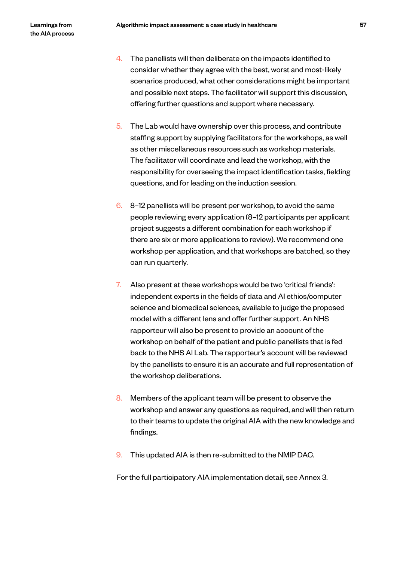- 4. The panellists will then deliberate on the impacts identified to consider whether they agree with the best, worst and most-likely scenarios produced, what other considerations might be important and possible next steps. The facilitator will support this discussion, offering further questions and support where necessary.
- 5. The Lab would have ownership over this process, and contribute staffing support by supplying facilitators for the workshops, as well as other miscellaneous resources such as workshop materials. The facilitator will coordinate and lead the workshop, with the responsibility for overseeing the impact identification tasks, fielding questions, and for leading on the induction session.
- 6. 8–12 panellists will be present per workshop, to avoid the same people reviewing every application (8–12 participants per applicant project suggests a different combination for each workshop if there are six or more applications to review). We recommend one workshop per application, and that workshops are batched, so they can run quarterly.
- 7. Also present at these workshops would be two 'critical friends': independent experts in the fields of data and AI ethics/computer science and biomedical sciences, available to judge the proposed model with a different lens and offer further support. An NHS rapporteur will also be present to provide an account of the workshop on behalf of the patient and public panellists that is fed back to the NHS AI Lab. The rapporteur's account will be reviewed by the panellists to ensure it is an accurate and full representation of the workshop deliberations.
- 8. Members of the applicant team will be present to observe the workshop and answer any questions as required, and will then return to their teams to update the original AIA with the new knowledge and findings.
- 9. This updated AIA is then re-submitted to the NMIP DAC.

For the full participatory AIA implementation detail, see Annex 3.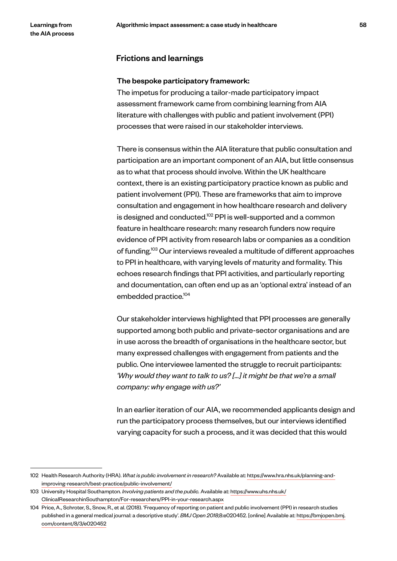### Frictions and learnings

#### The bespoke participatory framework:

The impetus for producing a tailor-made participatory impact assessment framework came from combining learning from AIA literature with challenges with public and patient involvement (PPI) processes that were raised in our stakeholder interviews.

There is consensus within the AIA literature that public consultation and participation are an important component of an AIA, but little consensus as to what that process should involve. Within the UK healthcare context, there is an existing participatory practice known as public and patient involvement (PPI). These are frameworks that aim to improve consultation and engagement in how healthcare research and delivery is designed and conducted.<sup>102</sup> PPI is well-supported and a common feature in healthcare research: many research funders now require evidence of PPI activity from research labs or companies as a condition of funding.<sup>103</sup> Our interviews revealed a multitude of different approaches to PPI in healthcare, with varying levels of maturity and formality. This echoes research findings that PPI activities, and particularly reporting and documentation, can often end up as an 'optional extra' instead of an embedded practice.104

Our stakeholder interviews highlighted that PPI processes are generally supported among both public and private-sector organisations and are in use across the breadth of organisations in the healthcare sector, but many expressed challenges with engagement from patients and the public. One interviewee lamented the struggle to recruit participants: *'Why would they want to talk to us? […] it might be that we're a small company: why engage with us?'*

In an earlier iteration of our AIA, we recommended applicants design and run the participatory process themselves, but our interviews identified varying capacity for such a process, and it was decided that this would

<sup>102</sup> Health Research Authority (HRA). *What is public involvement in research?* Available at: https://www.hra.nhs.uk/planning-andimproving-research/best-practice/public-involvement/

<sup>103</sup> University Hospital Southampton. *Involving patients and the public.* Available at: https://www.uhs.nhs.uk/ ClinicalResearchinSouthampton/For-researchers/PPI-in-your-research.aspx

<sup>104</sup> Price, A., Schroter, S., Snow, R., et al. (2018). 'Frequency of reporting on patient and public involvement (PPI) in research studies published in a general medical journal: a descriptive study'. *BMJ Open 2018*;8:e020452. [online] Available at: https://bmjopen.bmj. com/content/8/3/e020452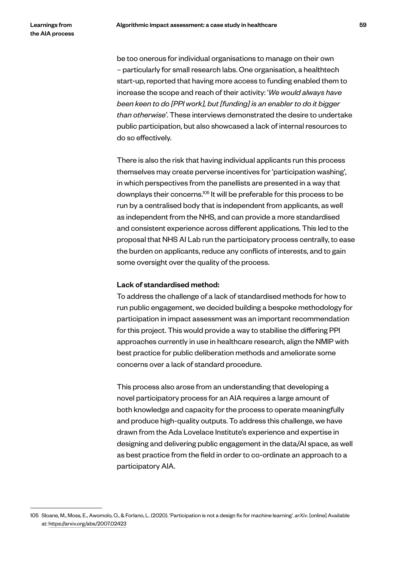be too onerous for individual organisations to manage on their own – particularly for small research labs. One organisation, a healthtech start-up, reported that having more access to funding enabled them to increase the scope and reach of their activity: '*We would always have been keen to do [PPI work], but [funding] is an enabler to do it bigger than otherwise'*. These interviews demonstrated the desire to undertake public participation, but also showcased a lack of internal resources to do so effectively.

There is also the risk that having individual applicants run this process themselves may create perverse incentives for 'participation washing', in which perspectives from the panellists are presented in a way that downplays their concerns.105 It will be preferable for this process to be run by a centralised body that is independent from applicants, as well as independent from the NHS, and can provide a more standardised and consistent experience across different applications. This led to the proposal that NHS AI Lab run the participatory process centrally, to ease the burden on applicants, reduce any conflicts of interests, and to gain some oversight over the quality of the process.

#### Lack of standardised method:

To address the challenge of a lack of standardised methods for how to run public engagement, we decided building a bespoke methodology for participation in impact assessment was an important recommendation for this project. This would provide a way to stabilise the differing PPI approaches currently in use in healthcare research, align the NMIP with best practice for public deliberation methods and ameliorate some concerns over a lack of standard procedure.

This process also arose from an understanding that developing a novel participatory process for an AIA requires a large amount of both knowledge and capacity for the process to operate meaningfully and produce high-quality outputs. To address this challenge, we have drawn from the Ada Lovelace Institute's experience and expertise in designing and delivering public engagement in the data/AI space, as well as best practice from the field in order to co-ordinate an approach to a participatory AIA.

<sup>105</sup> Sloane, M., Moss, E., Awomolo, O., & Forlano, L. (2020). 'Participation is not a design fix for machine learning'. *arXiv*. [online] Available at: https://arxiv.org/abs/2007.02423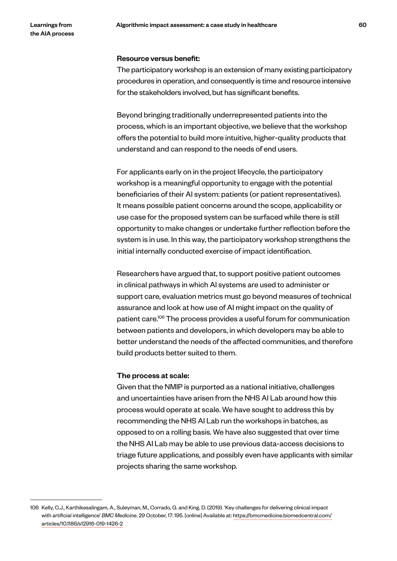#### Resource versus benefit:

The participatory workshop is an extension of many existing participatory procedures in operation, and consequently is time and resource intensive for the stakeholders involved, but has significant benefits.

Beyond bringing traditionally underrepresented patients into the process, which is an important objective, we believe that the workshop offers the potential to build more intuitive, higher-quality products that understand and can respond to the needs of end users.

For applicants early on in the project lifecycle, the participatory workshop is a meaningful opportunity to engage with the potential beneficiaries of their AI system: patients (or patient representatives). It means possible patient concerns around the scope, applicability or use case for the proposed system can be surfaced while there is still opportunity to make changes or undertake further reflection before the system is in use. In this way, the participatory workshop strengthens the initial internally conducted exercise of impact identification.

Researchers have argued that, to support positive patient outcomes in clinical pathways in which AI systems are used to administer or support care, evaluation metrics must go beyond measures of technical assurance and look at how use of AI might impact on the quality of patient care.106 The process provides a useful forum for communication between patients and developers, in which developers may be able to better understand the needs of the affected communities, and therefore build products better suited to them.

#### The process at scale:

Given that the NMIP is purported as a national initiative, challenges and uncertainties have arisen from the NHS AI Lab around how this process would operate at scale. We have sought to address this by recommending the NHS AI Lab run the workshops in batches, as opposed to on a rolling basis. We have also suggested that over time the NHS AI Lab may be able to use previous data-access decisions to triage future applications, and possibly even have applicants with similar projects sharing the same workshop.

<sup>106</sup> Kelly, C.J., Karthikesalingam, A., Suleyman, M., Corrado, G. and King. D. (2019). 'Key challenges for delivering clinical impact with artificial intelligence' *BMC Medicine*. 29 October, 17: 195. [online] Available at: https://bmcmedicine.biomedcentral.com/ articles/10.1186/s12916-019-1426-2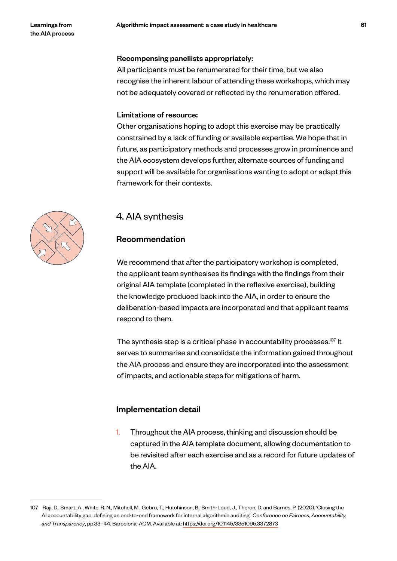#### Recompensing panellists appropriately:

All participants must be renumerated for their time, but we also recognise the inherent labour of attending these workshops, which may not be adequately covered or reflected by the renumeration offered.

#### Limitations of resource:

Other organisations hoping to adopt this exercise may be practically constrained by a lack of funding or available expertise. We hope that in future, as participatory methods and processes grow in prominence and the AIA ecosystem develops further, alternate sources of funding and support will be available for organisations wanting to adopt or adapt this framework for their contexts.

# 4. AIA synthesis

# Recommendation

We recommend that after the participatory workshop is completed, the applicant team synthesises its findings with the findings from their original AIA template (completed in the reflexive exercise), building the knowledge produced back into the AIA, in order to ensure the deliberation-based impacts are incorporated and that applicant teams respond to them.

The synthesis step is a critical phase in accountability processes.<sup>107</sup> It serves to summarise and consolidate the information gained throughout the AIA process and ensure they are incorporated into the assessment of impacts, and actionable steps for mitigations of harm.

# Implementation detail

1. Throughout the AIA process, thinking and discussion should be captured in the AIA template document, allowing documentation to be revisited after each exercise and as a record for future updates of the AIA.

<sup>107</sup> Raji, D., Smart, A., White, R. N., Mitchell, M., Gebru, T., Hutchinson, B., Smith-Loud, J., Theron, D. and Barnes, P. (2020). 'Closing the AI accountability gap: defining an end-to-end framework for internal algorithmic auditing'. *Conference on Fairness, Accountability, and Transparency*, pp.33–44. Barcelona: ACM. Available at: https://doi.org/10.1145/3351095.3372873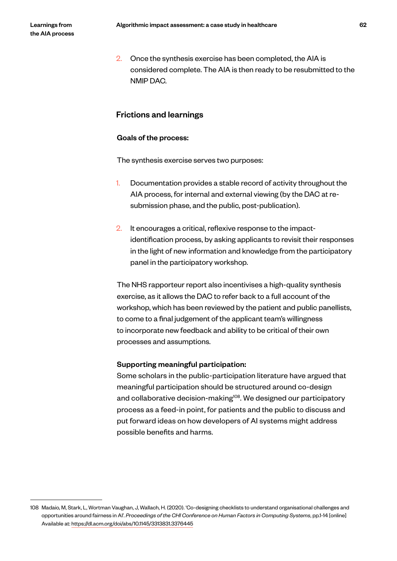2. Once the synthesis exercise has been completed, the AIA is considered complete. The AIA is then ready to be resubmitted to the NMIP DAC.

# Frictions and learnings

#### Goals of the process:

The synthesis exercise serves two purposes:

- 1. Documentation provides a stable record of activity throughout the AIA process, for internal and external viewing (by the DAC at resubmission phase, and the public, post-publication).
- 2. It encourages a critical, reflexive response to the impactidentification process, by asking applicants to revisit their responses in the light of new information and knowledge from the participatory panel in the participatory workshop.

The NHS rapporteur report also incentivises a high-quality synthesis exercise, as it allows the DAC to refer back to a full account of the workshop, which has been reviewed by the patient and public panellists, to come to a final judgement of the applicant team's willingness to incorporate new feedback and ability to be critical of their own processes and assumptions.

#### Supporting meaningful participation:

Some scholars in the public-participation literature have argued that meaningful participation should be structured around co-design and collaborative decision-making<sup>108</sup>. We designed our participatory process as a feed-in point, for patients and the public to discuss and put forward ideas on how developers of AI systems might address possible benefits and harms.

<sup>108</sup> Madaio, M, Stark, L, Wortman Vaughan, J, Wallach, H. (2020). 'Co-designing checklists to understand organisational challenges and opportunities around fairness in AI'. *Proceedings of the CHI Conference on Human Factors in Computing Systems*, pp.1-14 [online] Available at: https://dl.acm.org/doi/abs/10.1145/3313831.3376445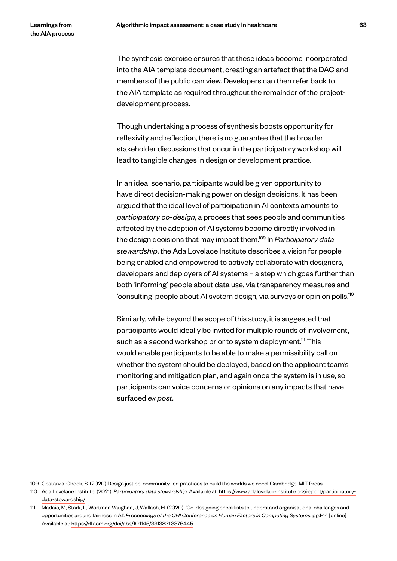The synthesis exercise ensures that these ideas become incorporated into the AIA template document, creating an artefact that the DAC and members of the public can view. Developers can then refer back to the AIA template as required throughout the remainder of the projectdevelopment process.

Though undertaking a process of synthesis boosts opportunity for reflexivity and reflection, there is no guarantee that the broader stakeholder discussions that occur in the participatory workshop will lead to tangible changes in design or development practice.

In an ideal scenario, participants would be given opportunity to have direct decision-making power on design decisions. It has been argued that the ideal level of participation in AI contexts amounts to *participatory co-design*, a process that sees people and communities affected by the adoption of AI systems become directly involved in the design decisions that may impact them.109 In *Participatory data stewardship*, the Ada Lovelace Institute describes a vision for people being enabled and empowered to actively collaborate with designers, developers and deployers of AI systems – a step which goes further than both 'informing' people about data use, via transparency measures and 'consulting' people about AI system design, via surveys or opinion polls.110

Similarly, while beyond the scope of this study, it is suggested that participants would ideally be invited for multiple rounds of involvement, such as a second workshop prior to system deployment.<sup>111</sup> This would enable participants to be able to make a permissibility call on whether the system should be deployed, based on the applicant team's monitoring and mitigation plan, and again once the system is in use, so participants can voice concerns or opinions on any impacts that have surfaced *ex post*.

<sup>109</sup> Costanza-Chock, S. (2020) Design justice: community-led practices to build the worlds we need. Cambridge: MIT Press

<sup>110</sup> Ada Lovelace Institute. (2021). *Participatory data stewardship*. Available at: https://www.adalovelaceinstitute.org/report/participatorydata-stewardship/

<sup>111</sup> Madaio, M, Stark, L, Wortman Vaughan, J, Wallach, H. (2020). 'Co-designing checklists to understand organisational challenges and opportunities around fairness in AI'. *Proceedings of the CHI Conference on Human Factors in Computing Systems*, pp.1-14 [online] Available at: https://dl.acm.org/doi/abs/10.1145/3313831.3376445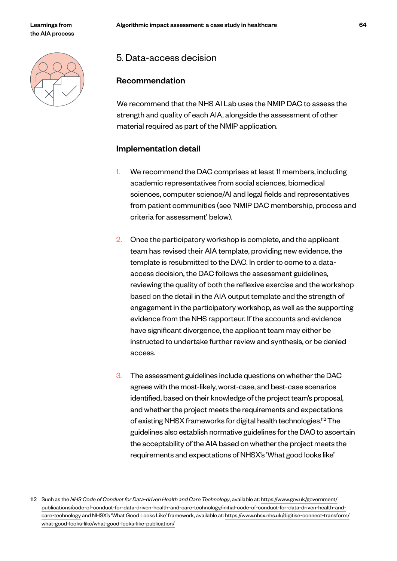# 5. Data-access decision

# Recommendation

We recommend that the NHS AI Lab uses the NMIP DAC to assess the strength and quality of each AIA, alongside the assessment of other material required as part of the NMIP application.

# Implementation detail

- 1. We recommend the DAC comprises at least 11 members, including academic representatives from social sciences, biomedical sciences, computer science/AI and legal fields and representatives from patient communities (see 'NMIP DAC membership, process and criteria for assessment' below).
- 2. Once the participatory workshop is complete, and the applicant team has revised their AIA template, providing new evidence, the template is resubmitted to the DAC. In order to come to a dataaccess decision, the DAC follows the assessment guidelines, reviewing the quality of both the reflexive exercise and the workshop based on the detail in the AIA output template and the strength of engagement in the participatory workshop, as well as the supporting evidence from the NHS rapporteur. If the accounts and evidence have significant divergence, the applicant team may either be instructed to undertake further review and synthesis, or be denied access.
- 3. The assessment guidelines include questions on whether the DAC agrees with the most-likely, worst-case, and best-case scenarios identified, based on their knowledge of the project team's proposal, and whether the project meets the requirements and expectations of existing NHSX frameworks for digital health technologies.112 The guidelines also establish normative guidelines for the DAC to ascertain the acceptability of the AIA based on whether the project meets the requirements and expectations of NHSX's 'What good looks like'

<sup>112</sup> Such as the *NHS Code of Conduct for Data-driven Health and Care Technology*, available at: https://www.gov.uk/government/ publications/code-of-conduct-for-data-driven-health-and-care-technology/initial-code-of-conduct-for-data-driven-health-andcare-technology and NHSX's 'What Good Looks Like' framework, available at: https://www.nhsx.nhs.uk/digitise-connect-transform/ what-good-looks-like/what-good-looks-like-publication/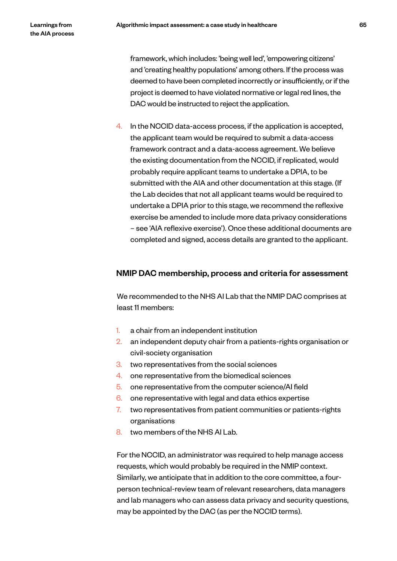framework, which includes: 'being well led', 'empowering citizens' and 'creating healthy populations' among others. If the process was deemed to have been completed incorrectly or insufficiently, or if the project is deemed to have violated normative or legal red lines, the DAC would be instructed to reject the application.

4. In the NCCID data-access process, if the application is accepted, the applicant team would be required to submit a data-access framework contract and a data-access agreement. We believe the existing documentation from the NCCID, if replicated, would probably require applicant teams to undertake a DPIA, to be submitted with the AIA and other documentation at this stage. (If the Lab decides that not all applicant teams would be required to undertake a DPIA prior to this stage, we recommend the reflexive exercise be amended to include more data privacy considerations – see 'AIA reflexive exercise'). Once these additional documents are completed and signed, access details are granted to the applicant.

#### NMIP DAC membership, process and criteria for assessment

We recommended to the NHS AI Lab that the NMIP DAC comprises at least 11 members:

- 1. a chair from an independent institution
- 2. an independent deputy chair from a patients-rights organisation or civil-society organisation
- 3. two representatives from the social sciences
- 4. one representative from the biomedical sciences
- 5. one representative from the computer science/AI field
- 6. one representative with legal and data ethics expertise
- 7. two representatives from patient communities or patients-rights organisations
- 8. two members of the NHS AI Lab.

For the NCCID, an administrator was required to help manage access requests, which would probably be required in the NMIP context. Similarly, we anticipate that in addition to the core committee, a fourperson technical-review team of relevant researchers, data managers and lab managers who can assess data privacy and security questions, may be appointed by the DAC (as per the NCCID terms).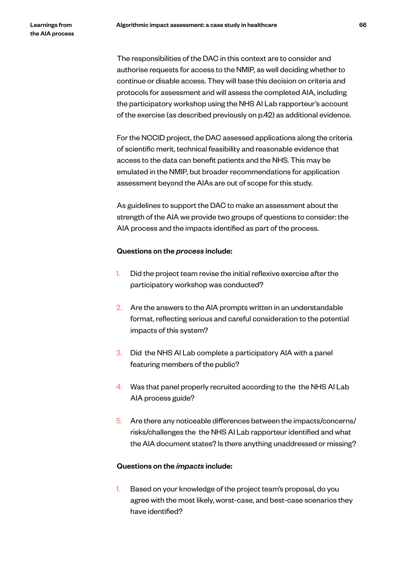The responsibilities of the DAC in this context are to consider and authorise requests for access to the NMIP, as well deciding whether to continue or disable access. They will base this decision on criteria and protocols for assessment and will assess the completed AIA, including the participatory workshop using the NHS AI Lab rapporteur's account of the exercise (as described previously on p.42) as additional evidence.

For the NCCID project, the DAC assessed applications along the criteria of scientific merit, technical feasibility and reasonable evidence that access to the data can benefit patients and the NHS. This may be emulated in the NMIP, but broader recommendations for application assessment beyond the AIAs are out of scope for this study.

As guidelines to support the DAC to make an assessment about the strength of the AIA we provide two groups of questions to consider: the AIA process and the impacts identified as part of the process.

#### Questions on the *process* include:

- 1. Did the project team revise the initial reflexive exercise after the participatory workshop was conducted?
- 2. Are the answers to the AIA prompts written in an understandable format, reflecting serious and careful consideration to the potential impacts of this system?
- 3. Did the NHS AI Lab complete a participatory AIA with a panel featuring members of the public?
- 4. Was that panel properly recruited according to the the NHS AI Lab AIA process guide?
- 5. Are there any noticeable differences between the impacts/concerns/ risks/challenges the the NHS AI Lab rapporteur identified and what the AIA document states? Is there anything unaddressed or missing?

# Questions on the *impacts* include:

1. Based on your knowledge of the project team's proposal, do you agree with the most likely, worst-case, and best-case scenarios they have identified?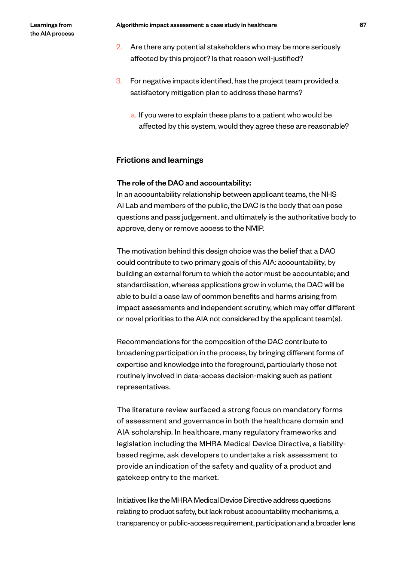- 2. Are there any potential stakeholders who may be more seriously affected by this project? Is that reason well-justified?
- 3. For negative impacts identified, has the project team provided a satisfactory mitigation plan to address these harms?
	- a. If you were to explain these plans to a patient who would be affected by this system, would they agree these are reasonable?

# Frictions and learnings

#### The role of the DAC and accountability:

In an accountability relationship between applicant teams, the NHS AI Lab and members of the public, the DAC is the body that can pose questions and pass judgement, and ultimately is the authoritative body to approve, deny or remove access to the NMIP.

The motivation behind this design choice was the belief that a DAC could contribute to two primary goals of this AIA: accountability, by building an external forum to which the actor must be accountable; and standardisation, whereas applications grow in volume, the DAC will be able to build a case law of common benefits and harms arising from impact assessments and independent scrutiny, which may offer different or novel priorities to the AIA not considered by the applicant team(s).

Recommendations for the composition of the DAC contribute to broadening participation in the process, by bringing different forms of expertise and knowledge into the foreground, particularly those not routinely involved in data-access decision-making such as patient representatives.

The literature review surfaced a strong focus on mandatory forms of assessment and governance in both the healthcare domain and AIA scholarship. In healthcare, many regulatory frameworks and legislation including the MHRA Medical Device Directive, a liabilitybased regime, ask developers to undertake a risk assessment to provide an indication of the safety and quality of a product and gatekeep entry to the market.

Initiatives like the MHRA Medical Device Directive address questions relating to product safety, but lack robust accountability mechanisms, a transparency or public-access requirement, participation and a broader lens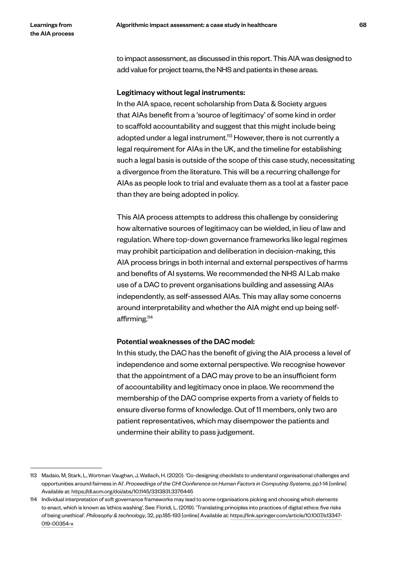to impact assessment, as discussed in this report. This AIA was designed to add value for project teams, the NHS and patients in these areas.

#### Legitimacy without legal instruments:

In the AIA space, recent scholarship from Data & Society argues that AIAs benefit from a 'source of legitimacy' of some kind in order to scaffold accountability and suggest that this might include being adopted under a legal instrument.<sup>113</sup> However, there is not currently a legal requirement for AIAs in the UK, and the timeline for establishing such a legal basis is outside of the scope of this case study, necessitating a divergence from the literature. This will be a recurring challenge for AIAs as people look to trial and evaluate them as a tool at a faster pace than they are being adopted in policy.

This AIA process attempts to address this challenge by considering how alternative sources of legitimacy can be wielded, in lieu of law and regulation. Where top-down governance frameworks like legal regimes may prohibit participation and deliberation in decision-making, this AIA process brings in both internal and external perspectives of harms and benefits of AI systems. We recommended the NHS AI Lab make use of a DAC to prevent organisations building and assessing AIAs independently, as self-assessed AIAs. This may allay some concerns around interpretability and whether the AIA might end up being selfaffirming.<sup>114</sup>

#### Potential weaknesses of the DAC model:

In this study, the DAC has the benefit of giving the AIA process a level of independence and some external perspective. We recognise however that the appointment of a DAC may prove to be an insufficient form of accountability and legitimacy once in place. We recommend the membership of the DAC comprise experts from a variety of fields to ensure diverse forms of knowledge. Out of 11 members, only two are patient representatives, which may disempower the patients and undermine their ability to pass judgement.

<sup>113</sup> Madaio, M, Stark, L, Wortman Vaughan, J, Wallach, H. (2020). 'Co-designing checklists to understand organisational challenges and opportunities around fairness in AI'. *Proceedings of the CHI Conference on Human Factors in Computing Systems*, pp.1-14 [online] Available at: https://dl.acm.org/doi/abs/10.1145/3313831.3376445

<sup>114</sup> Individual interpretation of soft governance frameworks may lead to some organisations picking and choosing which elements to enact, which is known as 'ethics washing'. See: Floridi, L. (2019). 'Translating principles into practices of digital ethics: five risks of being unethical'. *Philosophy & technology*, 32, pp.185-193 [online] Available at: https://link.springer.com/article/10.1007/s13347- 019-00354-x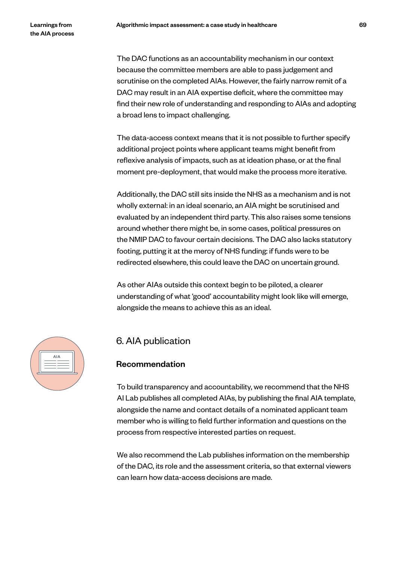The DAC functions as an accountability mechanism in our context because the committee members are able to pass judgement and scrutinise on the completed AIAs. However, the fairly narrow remit of a DAC may result in an AIA expertise deficit, where the committee may find their new role of understanding and responding to AIAs and adopting a broad lens to impact challenging.

The data-access context means that it is not possible to further specify additional project points where applicant teams might benefit from reflexive analysis of impacts, such as at ideation phase, or at the final moment pre-deployment, that would make the process more iterative.

Additionally, the DAC still sits inside the NHS as a mechanism and is not wholly external: in an ideal scenario, an AIA might be scrutinised and evaluated by an independent third party. This also raises some tensions around whether there might be, in some cases, political pressures on the NMIP DAC to favour certain decisions. The DAC also lacks statutory footing, putting it at the mercy of NHS funding: if funds were to be redirected elsewhere, this could leave the DAC on uncertain ground.

As other AIAs outside this context begin to be piloted, a clearer understanding of what 'good' accountability might look like will emerge, alongside the means to achieve this as an ideal.



# 6. AIA publication

# Recommendation

To build transparency and accountability, we recommend that the NHS AI Lab publishes all completed AIAs, by publishing the final AIA template, alongside the name and contact details of a nominated applicant team member who is willing to field further information and questions on the process from respective interested parties on request.

We also recommend the Lab publishes information on the membership of the DAC, its role and the assessment criteria, so that external viewers can learn how data-access decisions are made.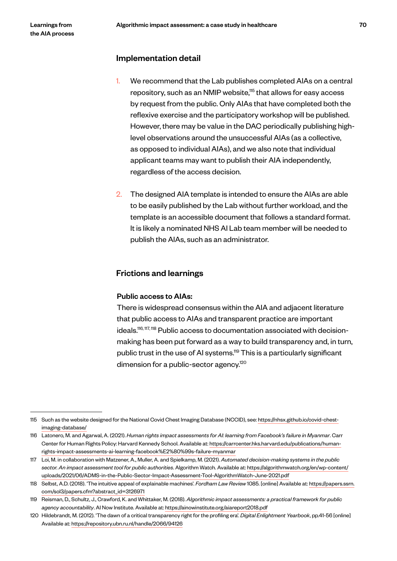#### Implementation detail

- 1. We recommend that the Lab publishes completed AIAs on a central repository, such as an NMIP website,<sup>115</sup> that allows for easy access by request from the public. Only AIAs that have completed both the reflexive exercise and the participatory workshop will be published. However, there may be value in the DAC periodically publishing highlevel observations around the unsuccessful AIAs (as a collective, as opposed to individual AIAs), and we also note that individual applicant teams may want to publish their AIA independently, regardless of the access decision.
- 2. The designed AIA template is intended to ensure the AIAs are able to be easily published by the Lab without further workload, and the template is an accessible document that follows a standard format. It is likely a nominated NHS AI Lab team member will be needed to publish the AIAs, such as an administrator.

### Frictions and learnings

#### Public access to AIAs:

There is widespread consensus within the AIA and adjacent literature that public access to AIAs and transparent practice are important ideals.<sup>116, 117, 118</sup> Public access to documentation associated with decisionmaking has been put forward as a way to build transparency and, in turn, public trust in the use of AI systems.119 This is a particularly significant dimension for a public-sector agency.<sup>120</sup>

<sup>115</sup> Such as the website designed for the National Covid Chest Imaging Database (NCCID), see: https://nhsx.github.io/covid-chestimaging-database/

<sup>116</sup> Latonero, M. and Agarwal, A. (2021). *Human rights impact assessments for AI: learning from Facebook's failure in Myanmar*. Carr Center for Human Rights Policy: Harvard Kennedy School. Available at: https://carrcenter.hks.harvard.edu/publications/humanrights-impact-assessments-ai-learning-facebook%E2%80%99s-failure-myanmar

<sup>117</sup> Loi, M. in collaboration with Matzener, A., Muller, A. and Spielkamp, M. (2021). *Automated decision-making systems in the public sector. An impact assessment tool for public authorities*. Algorithm Watch. Available at: https://algorithmwatch.org/en/wp-content/ uploads/2021/06/ADMS-in-the-Public-Sector-Impact-Assessment-Tool-AlgorithmWatch-June-2021.pdf

<sup>118</sup> Selbst, A.D. (2018). 'The intuitive appeal of explainable machines'. *Fordham Law Review* 1085. [online] Available at: https://papers.ssrn. com/sol3/papers.cfm?abstract\_id=3126971

<sup>119</sup> Reisman, D., Schultz, J., Crawford, K. and Whittaker, M. (2018). *Algorithmic impact assessments: a practical framework for public agency accountability*. AI Now Institute. Available at: https://ainowinstitute.org/aiareport2018.pdf

<sup>120</sup> Hildebrandt, M. (2012). 'The dawn of a critical transparency right for the profiling era'. *Digital Enlightment Yearbook*, pp.41-56 [online] Available at: https://repository.ubn.ru.nl/handle/2066/94126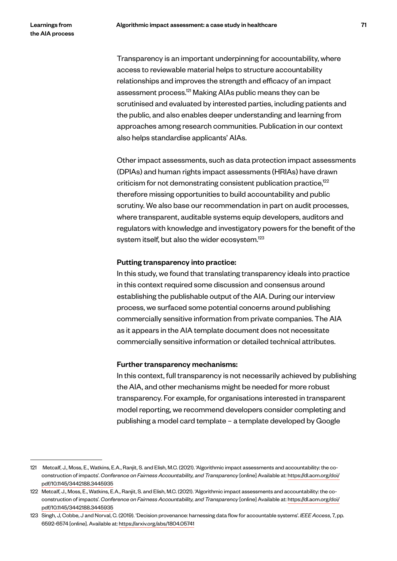Transparency is an important underpinning for accountability, where access to reviewable material helps to structure accountability relationships and improves the strength and efficacy of an impact assessment process.121 Making AIAs public means they can be scrutinised and evaluated by interested parties, including patients and the public, and also enables deeper understanding and learning from approaches among research communities. Publication in our context also helps standardise applicants' AIAs.

Other impact assessments, such as data protection impact assessments (DPIAs) and human rights impact assessments (HRIAs) have drawn criticism for not demonstrating consistent publication practice,<sup>122</sup> therefore missing opportunities to build accountability and public scrutiny. We also base our recommendation in part on audit processes, where transparent, auditable systems equip developers, auditors and regulators with knowledge and investigatory powers for the benefit of the system itself, but also the wider ecosystem.<sup>123</sup>

#### Putting transparency into practice:

In this study, we found that translating transparency ideals into practice in this context required some discussion and consensus around establishing the publishable output of the AIA. During our interview process, we surfaced some potential concerns around publishing commercially sensitive information from private companies. The AIA as it appears in the AIA template document does not necessitate commercially sensitive information or detailed technical attributes.

#### Further transparency mechanisms:

In this context, full transparency is not necessarily achieved by publishing the AIA, and other mechanisms might be needed for more robust transparency. For example, for organisations interested in transparent model reporting, we recommend developers consider completing and publishing a model card template – a template developed by Google

<sup>121</sup> Metcalf, J., Moss, E., Watkins, E.A., Ranjit, S. and Elish, M.C. (2021). 'Algorithmic impact assessments and accountability: the coconstruction of impacts'. *Conference on Fairness Accountability, and Transparency* [online] Available at: https://dl.acm.org/doi/ pdf/10.1145/3442188.3445935

<sup>122</sup> Metcalf, J., Moss, E., Watkins, E.A., Ranjit, S. and Elish, M.C. (2021). 'Algorithmic impact assessments and accountability: the coconstruction of impacts'. *Conference on Fairness Accountability, and Transparency* [online] Available at: https://dl.acm.org/doi/ pdf/10.1145/3442188.3445935

<sup>123</sup> Singh, J, Cobbe, J and Norval, C. (2019). 'Decision provenance: harnessing data flow for accountable systems'. *IEEE Access*, 7, pp. 6592-6574 [online]. Available at: https://arxiv.org/abs/1804.05741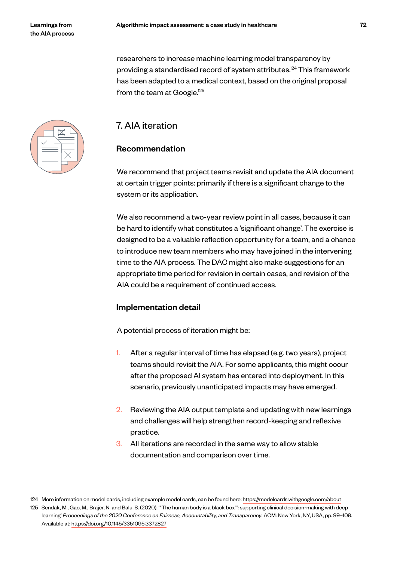researchers to increase machine learning model transparency by providing a standardised record of system attributes.124 This framework has been adapted to a medical context, based on the original proposal from the team at Google.<sup>125</sup>

# 7. AIA iteration

# Recommendation

We recommend that project teams revisit and update the AIA document at certain trigger points: primarily if there is a significant change to the system or its application.

We also recommend a two-year review point in all cases, because it can be hard to identify what constitutes a 'significant change'. The exercise is designed to be a valuable reflection opportunity for a team, and a chance to introduce new team members who may have joined in the intervening time to the AIA process. The DAC might also make suggestions for an appropriate time period for revision in certain cases, and revision of the AIA could be a requirement of continued access.

# Implementation detail

A potential process of iteration might be:

- 1. After a regular interval of time has elapsed (e.g. two years), project teams should revisit the AIA. For some applicants, this might occur after the proposed AI system has entered into deployment. In this scenario, previously unanticipated impacts may have emerged.
- 2. Reviewing the AIA output template and updating with new learnings and challenges will help strengthen record-keeping and reflexive practice.
- 3. All iterations are recorded in the same way to allow stable documentation and comparison over time.



<sup>124</sup> More information on model cards, including example model cards, can be found here: https://modelcards.withgoogle.com/about

<sup>125</sup> Sendak, M., Gao, M., Brajer, N. and Balu, S. (2020). '"The human body is a black box"': supporting clinical decision-making with deep learning' *Proceedings of the 2020 Conference on Fairness, Accountability, and Transparency*. ACM: New York, NY, USA, pp. 99–109. Available at: https://doi.org/10.1145/3351095.3372827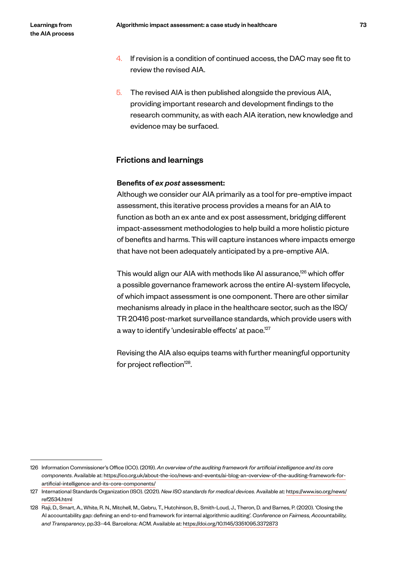- 4. If revision is a condition of continued access, the DAC may see fit to review the revised AIA.
- $5.$  The revised AIA is then published alongside the previous AIA, providing important research and development findings to the research community, as with each AIA iteration, new knowledge and evidence may be surfaced.

## Frictions and learnings

### Benefits of *ex post* assessment:

Although we consider our AIA primarily as a tool for pre-emptive impact assessment, this iterative process provides a means for an AIA to function as both an ex ante and ex post assessment, bridging different impact-assessment methodologies to help build a more holistic picture of benefits and harms. This will capture instances where impacts emerge that have not been adequately anticipated by a pre-emptive AIA.

This would align our AIA with methods like AI assurance,<sup>126</sup> which offer a possible governance framework across the entire AI-system lifecycle, of which impact assessment is one component. There are other similar mechanisms already in place in the healthcare sector, such as the ISO/ TR 20416 post-market surveillance standards, which provide users with a way to identify 'undesirable effects' at pace.<sup>127</sup>

Revising the AIA also equips teams with further meaningful opportunity for project reflection $128$ .

<sup>126</sup> Information Commissioner's Office (ICO). (2019). *An overview of the auditing framework for artificial intelligence and its core components*. Available at: https://ico.org.uk/about-the-ico/news-and-events/ai-blog-an-overview-of-the-auditing-framework-forartificial-intelligence-and-its-core-components/

<sup>127</sup> International Standards Organization (ISO). (2021). *New ISO standards for medical devices*. Available at: https://www.iso.org/news/ ref2534.html

<sup>128</sup> Raji, D., Smart, A., White, R. N., Mitchell, M., Gebru, T., Hutchinson, B., Smith-Loud, J., Theron, D. and Barnes, P. (2020). 'Closing the AI accountability gap: defining an end-to-end framework for internal algorithmic auditing'. *Conference on Fairness, Accountability, and Transparency*, pp.33–44. Barcelona: ACM. Available at: https://doi.org/10.1145/3351095.3372873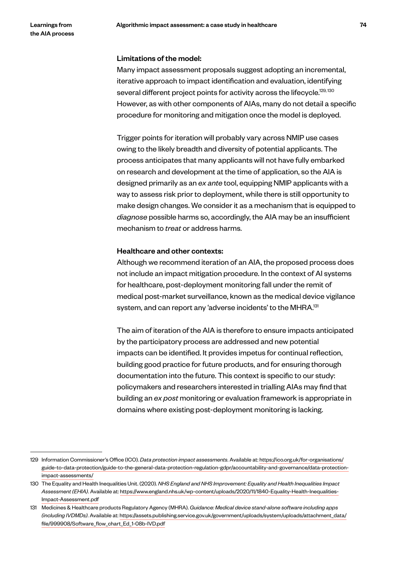### Limitations of the model:

Many impact assessment proposals suggest adopting an incremental, iterative approach to impact identification and evaluation, identifying several different project points for activity across the lifecycle.<sup>129, 130</sup> However, as with other components of AIAs, many do not detail a specific procedure for monitoring and mitigation once the model is deployed.

Trigger points for iteration will probably vary across NMIP use cases owing to the likely breadth and diversity of potential applicants. The process anticipates that many applicants will not have fully embarked on research and development at the time of application, so the AIA is designed primarily as an *ex ante* tool, equipping NMIP applicants with a way to assess risk prior to deployment, while there is still opportunity to make design changes. We consider it as a mechanism that is equipped to *diagnose* possible harms so, accordingly, the AIA may be an insufficient mechanism to *treat* or address harms.

### Healthcare and other contexts:

Although we recommend iteration of an AIA, the proposed process does not include an impact mitigation procedure. In the context of AI systems for healthcare, post-deployment monitoring fall under the remit of medical post-market surveillance, known as the medical device vigilance system, and can report any 'adverse incidents' to the MHRA.<sup>131</sup>

The aim of iteration of the AIA is therefore to ensure impacts anticipated by the participatory process are addressed and new potential impacts can be identified. It provides impetus for continual reflection, building good practice for future products, and for ensuring thorough documentation into the future. This context is specific to our study: policymakers and researchers interested in trialling AIAs may find that building an *ex post* monitoring or evaluation framework is appropriate in domains where existing post-deployment monitoring is lacking.

<sup>129</sup> Information Commissioner's Office (ICO). *Data protection impact assessments*. Available at: https://ico.org.uk/for-organisations/ guide-to-data-protection/guide-to-the-general-data-protection-regulation-gdpr/accountability-and-governance/data-protectionimpact-assessments/

<sup>130</sup> The Equality and Health Inequalities Unit. (2020). *NHS England and NHS Improvement: Equality and Health Inequalities Impact Assessment (EHIA)*. Available at: https://www.england.nhs.uk/wp-content/uploads/2020/11/1840-Equality-Health-Inequalities-Impact-Assessment.pdf

<sup>131</sup> Medicines & Healthcare products Regulatory Agency (MHRA). *Guidance: Medical device stand-alone software including apps (including IVDMDs)*. Available at: https://assets.publishing.service.gov.uk/government/uploads/system/uploads/attachment\_data/ file/999908/Software\_flow\_chart\_Ed\_1-08b-IVD.pdf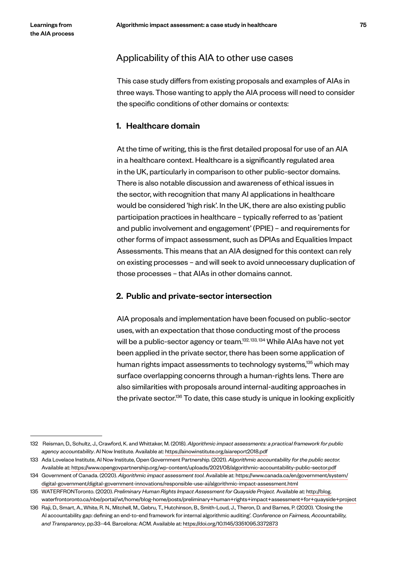## Applicability of this AIA to other use cases

This case study differs from existing proposals and examples of AIAs in three ways. Those wanting to apply the AIA process will need to consider the specific conditions of other domains or contexts:

### 1. Healthcare domain

At the time of writing, this is the first detailed proposal for use of an AIA in a healthcare context. Healthcare is a significantly regulated area in the UK, particularly in comparison to other public-sector domains. There is also notable discussion and awareness of ethical issues in the sector, with recognition that many AI applications in healthcare would be considered 'high risk'. In the UK, there are also existing public participation practices in healthcare – typically referred to as 'patient and public involvement and engagement' (PPIE) – and requirements for other forms of impact assessment, such as DPIAs and Equalities Impact Assessments. This means that an AIA designed for this context can rely on existing processes – and will seek to avoid unnecessary duplication of those processes – that AIAs in other domains cannot.

### 2. Public and private-sector intersection

AIA proposals and implementation have been focused on public-sector uses, with an expectation that those conducting most of the process will be a public-sector agency or team.<sup>132, 133, 134</sup> While AIAs have not yet been applied in the private sector, there has been some application of human rights impact assessments to technology systems,<sup>135</sup> which may surface overlapping concerns through a human-rights lens. There are also similarities with proposals around internal-auditing approaches in the private sector.<sup>136</sup> To date, this case study is unique in looking explicitly

<sup>132</sup> Reisman, D., Schultz, J., Crawford, K. and Whittaker, M. (2018). *Algorithmic impact assessments: a practical framework for public agency accountability*. AI Now Institute. Available at: https://ainowinstitute.org/aiareport2018.pdf

<sup>133</sup> Ada Lovelace Institute, AI Now Institute, Open Government Partnership. (2021). *Algorithmic accountability for the public sector.*  Available at: https://www.opengovpartnership.org/wp-content/uploads/2021/08/algorithmic-accountability-public-sector.pdf

<sup>134</sup> Government of Canada. (2020). *Algorithmic impact assessment tool*. Available at: https://www.canada.ca/en/government/system/ digital-government/digital-government-innovations/responsible-use-ai/algorithmic-impact-assessment.html

<sup>135</sup> WATERFRONToronto. (2020). *Preliminary Human Rights Impact Assessment for Quayside Project.* Available at: http://blog. waterfrontoronto.ca/nbe/portal/wt/home/blog-home/posts/preliminary+human+rights+impact+assessment+for+quayside+project

<sup>136</sup> Raji, D., Smart, A., White, R. N., Mitchell, M., Gebru, T., Hutchinson, B., Smith-Loud, J., Theron, D. and Barnes, P. (2020). 'Closing the AI accountability gap: defining an end-to-end framework for internal algorithmic auditing'. *Conference on Fairness, Accountability, and Transparency*, pp.33–44. Barcelona: ACM. Available at: https://doi.org/10.1145/3351095.3372873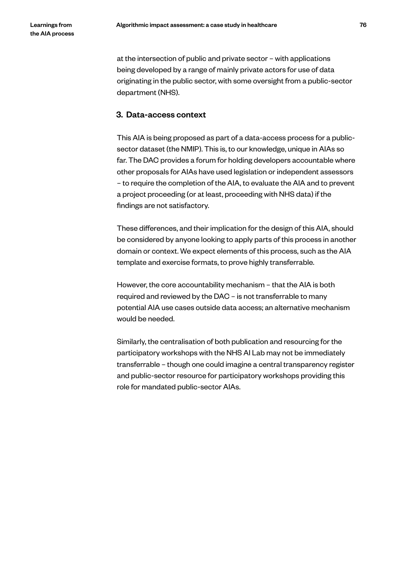at the intersection of public and private sector – with applications being developed by a range of mainly private actors for use of data originating in the public sector, with some oversight from a public-sector department (NHS).

## 3. Data-access context

This AIA is being proposed as part of a data-access process for a publicsector dataset (the NMIP). This is, to our knowledge, unique in AIAs so far. The DAC provides a forum for holding developers accountable where other proposals for AIAs have used legislation or independent assessors – to require the completion of the AIA, to evaluate the AIA and to prevent a project proceeding (or at least, proceeding with NHS data) if the findings are not satisfactory.

These differences, and their implication for the design of this AIA, should be considered by anyone looking to apply parts of this process in another domain or context. We expect elements of this process, such as the AIA template and exercise formats, to prove highly transferrable.

However, the core accountability mechanism – that the AIA is both required and reviewed by the DAC – is not transferrable to many potential AIA use cases outside data access; an alternative mechanism would be needed.

Similarly, the centralisation of both publication and resourcing for the participatory workshops with the NHS AI Lab may not be immediately transferrable – though one could imagine a central transparency register and public-sector resource for participatory workshops providing this role for mandated public-sector AIAs.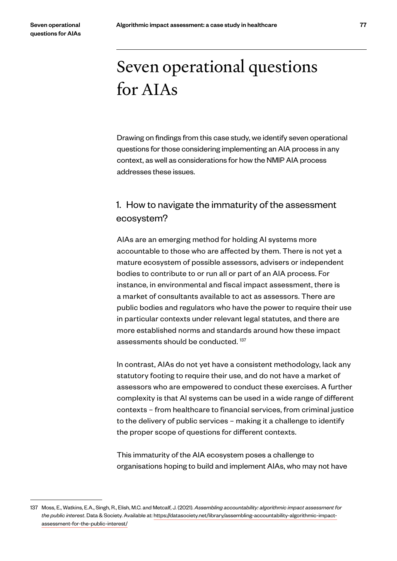# Seven operational questions for AIAs

Drawing on findings from this case study, we identify seven operational questions for those considering implementing an AIA process in any context, as well as considerations for how the NMIP AIA process addresses these issues.

# 1. How to navigate the immaturity of the assessment ecosystem?

AIAs are an emerging method for holding AI systems more accountable to those who are affected by them. There is not yet a mature ecosystem of possible assessors, advisers or independent bodies to contribute to or run all or part of an AIA process. For instance, in environmental and fiscal impact assessment, there is a market of consultants available to act as assessors. There are public bodies and regulators who have the power to require their use in particular contexts under relevant legal statutes, and there are more established norms and standards around how these impact assessments should be conducted.<sup>137</sup>

In contrast, AIAs do not yet have a consistent methodology, lack any statutory footing to require their use, and do not have a market of assessors who are empowered to conduct these exercises. A further complexity is that AI systems can be used in a wide range of different contexts – from healthcare to financial services, from criminal justice to the delivery of public services – making it a challenge to identify the proper scope of questions for different contexts.

This immaturity of the AIA ecosystem poses a challenge to organisations hoping to build and implement AIAs, who may not have

<sup>137</sup> Moss, E., Watkins, E.A., Singh, R., Elish, M.C. and Metcalf, J. (2021). *Assembling accountability: algorithmic impact assessment for the public interest*. Data & Society. Available at: https://datasociety.net/library/assembling-accountability-algorithmic-impactassessment-for-the-public-interest/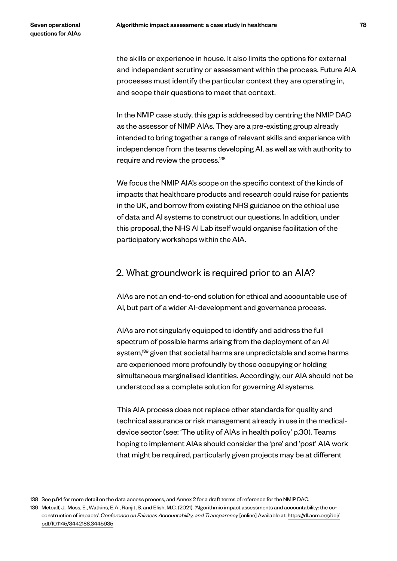the skills or experience in house. It also limits the options for external and independent scrutiny or assessment within the process. Future AIA processes must identify the particular context they are operating in, and scope their questions to meet that context.

In the NMIP case study, this gap is addressed by centring the NMIP DAC as the assessor of NIMP AIAs. They are a pre-existing group already intended to bring together a range of relevant skills and experience with independence from the teams developing AI, as well as with authority to require and review the process.138

We focus the NMIP AIA's scope on the specific context of the kinds of impacts that healthcare products and research could raise for patients in the UK, and borrow from existing NHS guidance on the ethical use of data and AI systems to construct our questions. In addition, under this proposal, the NHS AI Lab itself would organise facilitation of the participatory workshops within the AIA.

## 2. What groundwork is required prior to an AIA?

AIAs are not an end-to-end solution for ethical and accountable use of AI, but part of a wider AI-development and governance process.

AIAs are not singularly equipped to identify and address the full spectrum of possible harms arising from the deployment of an AI system,<sup>139</sup> given that societal harms are unpredictable and some harms are experienced more profoundly by those occupying or holding simultaneous marginalised identities. Accordingly, our AIA should not be understood as a complete solution for governing AI systems.

This AIA process does not replace other standards for quality and technical assurance or risk management already in use in the medicaldevice sector (see: 'The utility of AIAs in health policy' p.30). Teams hoping to implement AIAs should consider the 'pre' and 'post' AIA work that might be required, particularly given projects may be at different

<sup>138</sup> See p.64 for more detail on the data access process, and Annex 2 for a draft terms of reference for the NMIP DAC.

<sup>139</sup> Metcalf, J., Moss, E., Watkins, E.A., Ranjit, S. and Elish, M.C. (2021). 'Algorithmic impact assessments and accountability: the coconstruction of impacts'. *Conference on Fairness Accountability, and Transparency* [online] Available at: https://dl.acm.org/doi/ pdf/10.1145/3442188.3445935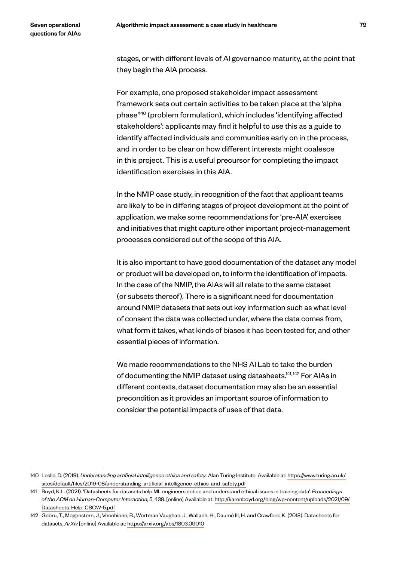stages, or with different levels of AI governance maturity, at the point that they begin the AIA process.

For example, one proposed stakeholder impact assessment framework sets out certain activities to be taken place at the 'alpha phase'140 (problem formulation), which includes 'identifying affected stakeholders': applicants may find it helpful to use this as a guide to identify affected individuals and communities early on in the process, and in order to be clear on how different interests might coalesce in this project. This is a useful precursor for completing the impact identification exercises in this AIA.

In the NMIP case study, in recognition of the fact that applicant teams are likely to be in differing stages of project development at the point of application, we make some recommendations for 'pre-AIA' exercises and initiatives that might capture other important project-management processes considered out of the scope of this AIA.

It is also important to have good documentation of the dataset any model or product will be developed on, to inform the identification of impacts. In the case of the NMIP, the AIAs will all relate to the same dataset (or subsets thereof). There is a significant need for documentation around NMIP datasets that sets out key information such as what level of consent the data was collected under, where the data comes from, what form it takes, what kinds of biases it has been tested for, and other essential pieces of information.

We made recommendations to the NHS AI Lab to take the burden of documenting the NMIP dataset using datasheets.<sup>141, 142</sup> For AIAs in different contexts, dataset documentation may also be an essential precondition as it provides an important source of information to consider the potential impacts of uses of that data.

<sup>140</sup> Leslie, D. (2019). *Understanding artificial intelligence ethics and safety*. Alan Turing Institute. Available at: https://www.turing.ac.uk/ sites/default/files/2019-08/understanding\_artificial\_intelligence\_ethics\_and\_safety.pdf

<sup>141</sup> Boyd, K.L. (2021). 'Datasheets for datasets help ML engineers notice and understand ethical issues in training data'. *Proceedings of the ACM on Human-Computer Interaction*, 5, 438. [online] Available at: http://karenboyd.org/blog/wp-content/uploads/2021/09/ Datasheets\_Help\_CSCW-5.pdf

<sup>142</sup> Gebru, T., Mogenstern, J., Vecchione, B., Wortman Vaughan, J., Wallach, H., Daumé III, H. and Crawford, K. (2018). Datasheets for datasets. *ArXiv* [online] Available at: https://arxiv.org/abs/1803.09010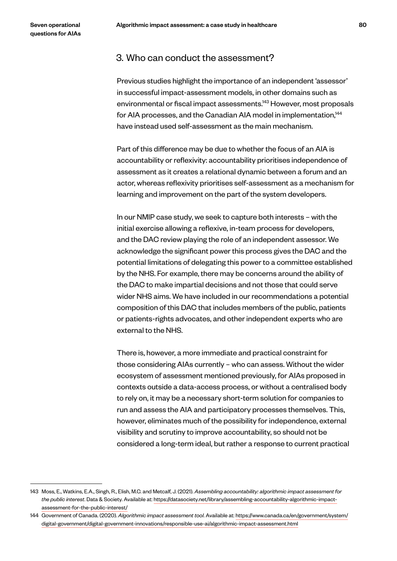## 3. Who can conduct the assessment?

Previous studies highlight the importance of an independent 'assessor' in successful impact-assessment models, in other domains such as environmental or fiscal impact assessments.<sup>143</sup> However, most proposals for AIA processes, and the Canadian AIA model in implementation,<sup>144</sup> have instead used self-assessment as the main mechanism.

Part of this difference may be due to whether the focus of an AIA is accountability or reflexivity: accountability prioritises independence of assessment as it creates a relational dynamic between a forum and an actor, whereas reflexivity prioritises self-assessment as a mechanism for learning and improvement on the part of the system developers.

In our NMIP case study, we seek to capture both interests – with the initial exercise allowing a reflexive, in-team process for developers, and the DAC review playing the role of an independent assessor. We acknowledge the significant power this process gives the DAC and the potential limitations of delegating this power to a committee established by the NHS. For example, there may be concerns around the ability of the DAC to make impartial decisions and not those that could serve wider NHS aims. We have included in our recommendations a potential composition of this DAC that includes members of the public, patients or patients-rights advocates, and other independent experts who are external to the NHS.

There is, however, a more immediate and practical constraint for those considering AIAs currently – who can assess. Without the wider ecosystem of assessment mentioned previously, for AIAs proposed in contexts outside a data-access process, or without a centralised body to rely on, it may be a necessary short-term solution for companies to run and assess the AIA and participatory processes themselves. This, however, eliminates much of the possibility for independence, external visibility and scrutiny to improve accountability, so should not be considered a long-term ideal, but rather a response to current practical

<sup>143</sup> Moss, E., Watkins, E.A., Singh, R., Elish, M.C. and Metcalf, J. (2021). *Assembling accountability: algorithmic impact assessment for the public interest*. Data & Society. Available at: https://datasociety.net/library/assembling-accountability-algorithmic-impactassessment-for-the-public-interest/

<sup>144</sup> Government of Canada. (2020). *Algorithmic impact assessment tool*. Available at: https://www.canada.ca/en/government/system/ digital-government/digital-government-innovations/responsible-use-ai/algorithmic-impact-assessment.html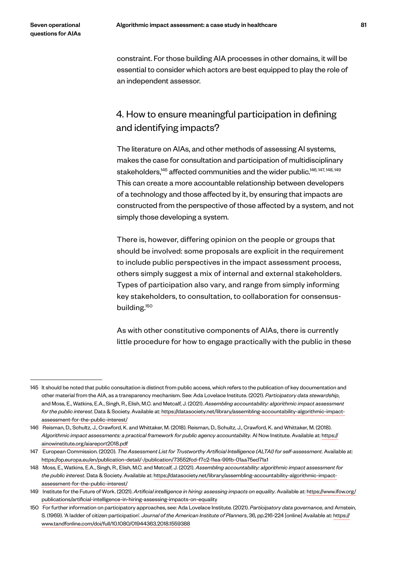constraint. For those building AIA processes in other domains, it will be essential to consider which actors are best equipped to play the role of an independent assessor.

# 4. How to ensure meaningful participation in defining and identifying impacts?

The literature on AIAs, and other methods of assessing AI systems, makes the case for consultation and participation of multidisciplinary stakeholders,<sup>145</sup> affected communities and the wider public.<sup>146, 147, 148, 149</sup> This can create a more accountable relationship between developers of a technology and those affected by it, by ensuring that impacts are constructed from the perspective of those affected by a system, and not simply those developing a system.

There is, however, differing opinion on the people or groups that should be involved: some proposals are explicit in the requirement to include public perspectives in the impact assessment process, others simply suggest a mix of internal and external stakeholders. Types of participation also vary, and range from simply informing key stakeholders, to consultation, to collaboration for consensusbuilding.150

As with other constitutive components of AIAs, there is currently little procedure for how to engage practically with the public in these

<sup>145</sup> It should be noted that public consultation is distinct from public access, which refers to the publication of key documentation and other material from the AIA, as a transparency mechanism. See: Ada Lovelace Institute. (2021). *Participatory data stewardship*, and Moss, E., Watkins, E.A., Singh, R., Elish, M.C. and Metcalf, J. (2021). *Assembling accountability: algorithmic impact assessment for the public interest*. Data & Society. Available at: https://datasociety.net/library/assembling-accountability-algorithmic-impactassessment-for-the-public-interest/

<sup>146</sup> Reisman, D., Schultz, J., Crawford, K. and Whittaker, M. (2018). Reisman, D., Schultz, J., Crawford, K. and Whittaker, M. (2018). *Algorithmic impact assessments: a practical framework for public agency accountability*. AI Now Institute. Available at: https:// ainowinstitute.org/aiareport2018.pdf

<sup>147</sup> European Commission. (2020). *The Assessment List for Trustworthy Artificial Intelligence (ALTAI) for self-assessment.* Available at: https://op.europa.eu/en/publication-detail/-/publication/73552fcd-f7c2-11ea-991b-01aa75ed71a1

<sup>148</sup> Moss, E., Watkins, E.A., Singh, R., Elish, M.C. and Metcalf, J. (2021). *Assembling accountability: algorithmic impact assessment for the public interest*. Data & Society. Available at: https://datasociety.net/library/assembling-accountability-algorithmic-impactassessment-for-the-public-interest/

<sup>149</sup> Institute for the Future of Work. (2021). *Artificial intelligence in hiring: assessing impacts on equality*. Available at: https://www.ifow.org/ publications/artificial-intelligence-in-hiring-assessing-impacts-on-equality

<sup>150</sup> For further information on participatory approaches, see: Ada Lovelace Institute. (2021). *Participatory data governance*, and Arnstein, S. (1969). 'A ladder of citizen participation'. *Journal of the American Institute of Planners*, 36, pp.216-224 [online] Available at: https:// www.tandfonline.com/doi/full/10.1080/01944363.2018.1559388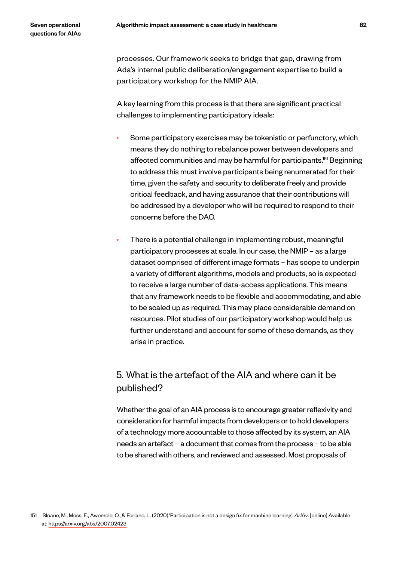processes. Our framework seeks to bridge that gap, drawing from Ada's internal public deliberation/engagement expertise to build a participatory workshop for the NMIP AIA.

A key learning from this process is that there are significant practical challenges to implementing participatory ideals:

- Some participatory exercises may be tokenistic or perfunctory, which means they do nothing to rebalance power between developers and affected communities and may be harmful for participants.<sup>151</sup> Beginning to address this must involve participants being renumerated for their time, given the safety and security to deliberate freely and provide critical feedback, and having assurance that their contributions will be addressed by a developer who will be required to respond to their concerns before the DAC.
- There is a potential challenge in implementing robust, meaningful participatory processes at scale. In our case, the NMIP – as a large dataset comprised of different image formats – has scope to underpin a variety of different algorithms, models and products, so is expected to receive a large number of data-access applications. This means that any framework needs to be flexible and accommodating, and able to be scaled up as required. This may place considerable demand on resources. Pilot studies of our participatory workshop would help us further understand and account for some of these demands, as they arise in practice.

# 5. What is the artefact of the AIA and where can it be published?

Whether the goal of an AIA process is to encourage greater reflexivity and consideration for harmful impacts from developers or to hold developers of a technology more accountable to those affected by its system, an AIA needs an artefact – a document that comes from the process – to be able to be shared with others, and reviewed and assessed. Most proposals of

<sup>151</sup> Sloane, M., Moss, E., Awomolo, O., & Forlano, L. (2020).'Participation is not a design fix for machine learning'. *ArXiv*. [online] Available at: https://arxiv.org/abs/2007.02423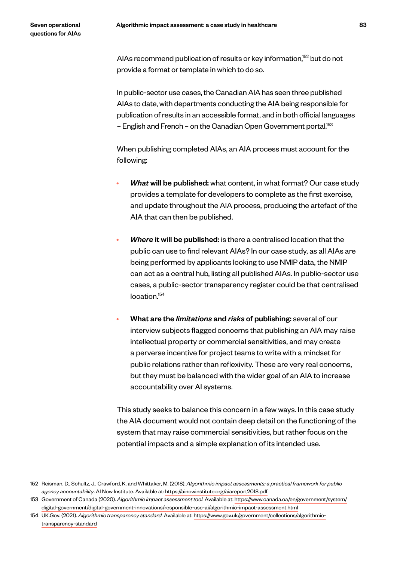AIAs recommend publication of results or key information,<sup>152</sup> but do not provide a format or template in which to do so.

In public-sector use cases, the Canadian AIA has seen three published AIAs to date, with departments conducting the AIA being responsible for publication of results in an accessible format, and in both official languages – English and French – on the Canadian Open Government portal.153

When publishing completed AIAs, an AIA process must account for the following:

- *What* will be published: what content, in what format? Our case study provides a template for developers to complete as the first exercise, and update throughout the AIA process, producing the artefact of the AIA that can then be published.
- *Where* it will be published: is there a centralised location that the public can use to find relevant AIAs? In our case study, as all AIAs are being performed by applicants looking to use NMIP data, the NMIP can act as a central hub, listing all published AIAs. In public-sector use cases, a public-sector transparency register could be that centralised location.154
- What are the *limitations* and *risks* of publishing: several of our interview subjects flagged concerns that publishing an AIA may raise intellectual property or commercial sensitivities, and may create a perverse incentive for project teams to write with a mindset for public relations rather than reflexivity. These are very real concerns, but they must be balanced with the wider goal of an AIA to increase accountability over AI systems.

This study seeks to balance this concern in a few ways. In this case study the AIA document would not contain deep detail on the functioning of the system that may raise commercial sensitivities, but rather focus on the potential impacts and a simple explanation of its intended use.

<sup>152</sup> Reisman, D., Schultz, J., Crawford, K. and Whittaker, M. (2018). *Algorithmic impact assessments: a practical framework for public agency accountability*. AI Now Institute. Available at: https://ainowinstitute.org/aiareport2018.pdf

<sup>153</sup> Government of Canada (2020). *Algorithmic impact assessment tool.* Available at: https://www.canada.ca/en/government/system/ digital-government/digital-government-innovations/responsible-use-ai/algorithmic-impact-assessment.html

<sup>154</sup> UK.Gov. (2021). *Algorithmic transparency standard.* Available at: https://www.gov.uk/government/collections/algorithmictransparency-standard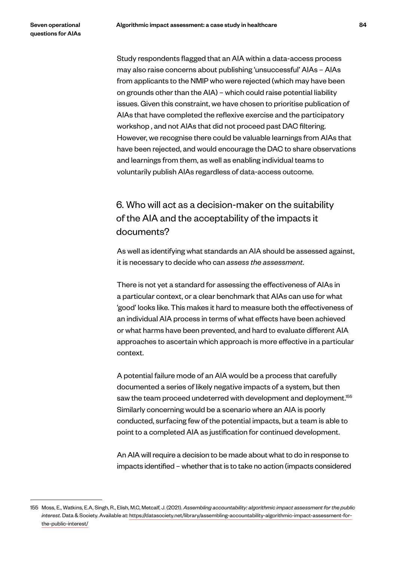Study respondents flagged that an AIA within a data-access process may also raise concerns about publishing 'unsuccessful' AIAs – AIAs from applicants to the NMIP who were rejected (which may have been on grounds other than the AIA) – which could raise potential liability issues. Given this constraint, we have chosen to prioritise publication of AIAs that have completed the reflexive exercise and the participatory workshop , and not AIAs that did not proceed past DAC filtering. However, we recognise there could be valuable learnings from AIAs that have been rejected, and would encourage the DAC to share observations and learnings from them, as well as enabling individual teams to voluntarily publish AIAs regardless of data-access outcome.

# 6. Who will act as a decision-maker on the suitability of the AIA and the acceptability of the impacts it documents?

As well as identifying what standards an AIA should be assessed against, it is necessary to decide who can *assess the assessment*.

There is not yet a standard for assessing the effectiveness of AIAs in a particular context, or a clear benchmark that AIAs can use for what 'good' looks like. This makes it hard to measure both the effectiveness of an individual AIA process in terms of what effects have been achieved or what harms have been prevented, and hard to evaluate different AIA approaches to ascertain which approach is more effective in a particular context.

A potential failure mode of an AIA would be a process that carefully documented a series of likely negative impacts of a system, but then saw the team proceed undeterred with development and deployment.<sup>155</sup> Similarly concerning would be a scenario where an AIA is poorly conducted, surfacing few of the potential impacts, but a team is able to point to a completed AIA as justification for continued development.

An AIA will require a decision to be made about what to do in response to impacts identified – whether that is to take no action (impacts considered

<sup>155</sup> Moss, E., Watkins, E.A, Singh, R., Elish, M.C, Metcalf, J. (2021). *Assembling accountability: algorithmic impact assessment for the public interest.* Data & Society. Available at: https://datasociety.net/library/assembling-accountability-algorithmic-impact-assessment-forthe-public-interest/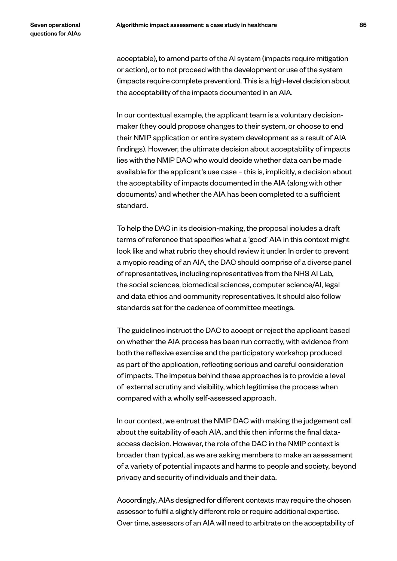acceptable), to amend parts of the AI system (impacts require mitigation or action), or to not proceed with the development or use of the system (impacts require complete prevention). This is a high-level decision about the acceptability of the impacts documented in an AIA.

In our contextual example, the applicant team is a voluntary decisionmaker (they could propose changes to their system, or choose to end their NMIP application or entire system development as a result of AIA findings). However, the ultimate decision about acceptability of impacts lies with the NMIP DAC who would decide whether data can be made available for the applicant's use case – this is, implicitly, a decision about the acceptability of impacts documented in the AIA (along with other documents) and whether the AIA has been completed to a sufficient standard.

To help the DAC in its decision-making, the proposal includes a draft terms of reference that specifies what a 'good' AIA in this context might look like and what rubric they should review it under. In order to prevent a myopic reading of an AIA, the DAC should comprise of a diverse panel of representatives, including representatives from the NHS AI Lab, the social sciences, biomedical sciences, computer science/AI, legal and data ethics and community representatives. It should also follow standards set for the cadence of committee meetings.

The guidelines instruct the DAC to accept or reject the applicant based on whether the AIA process has been run correctly, with evidence from both the reflexive exercise and the participatory workshop produced as part of the application, reflecting serious and careful consideration of impacts. The impetus behind these approaches is to provide a level of external scrutiny and visibility, which legitimise the process when compared with a wholly self-assessed approach.

In our context, we entrust the NMIP DAC with making the judgement call about the suitability of each AIA, and this then informs the final dataaccess decision. However, the role of the DAC in the NMIP context is broader than typical, as we are asking members to make an assessment of a variety of potential impacts and harms to people and society, beyond privacy and security of individuals and their data.

Accordingly, AIAs designed for different contexts may require the chosen assessor to fulfil a slightly different role or require additional expertise. Over time, assessors of an AIA will need to arbitrate on the acceptability of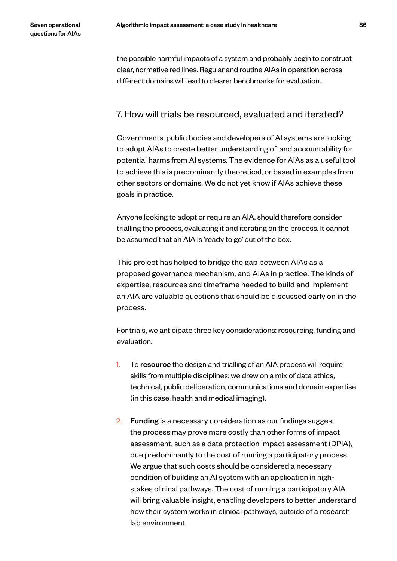the possible harmful impacts of a system and probably begin to construct clear, normative red lines. Regular and routine AIAs in operation across different domains will lead to clearer benchmarks for evaluation.

# 7. How will trials be resourced, evaluated and iterated?

Governments, public bodies and developers of AI systems are looking to adopt AIAs to create better understanding of, and accountability for potential harms from AI systems. The evidence for AIAs as a useful tool to achieve this is predominantly theoretical, or based in examples from other sectors or domains. We do not yet know if AIAs achieve these goals in practice.

Anyone looking to adopt or require an AIA, should therefore consider trialling the process, evaluating it and iterating on the process. It cannot be assumed that an AIA is 'ready to go' out of the box.

This project has helped to bridge the gap between AIAs as a proposed governance mechanism, and AIAs in practice. The kinds of expertise, resources and timeframe needed to build and implement an AIA are valuable questions that should be discussed early on in the process.

For trials, we anticipate three key considerations: resourcing, funding and evaluation.

- 1. To resource the design and trialling of an AIA process will require skills from multiple disciplines: we drew on a mix of data ethics, technical, public deliberation, communications and domain expertise (in this case, health and medical imaging).
- 2. Funding is a necessary consideration as our findings suggest the process may prove more costly than other forms of impact assessment, such as a data protection impact assessment (DPIA), due predominantly to the cost of running a participatory process. We argue that such costs should be considered a necessary condition of building an AI system with an application in highstakes clinical pathways. The cost of running a participatory AIA will bring valuable insight, enabling developers to better understand how their system works in clinical pathways, outside of a research lab environment.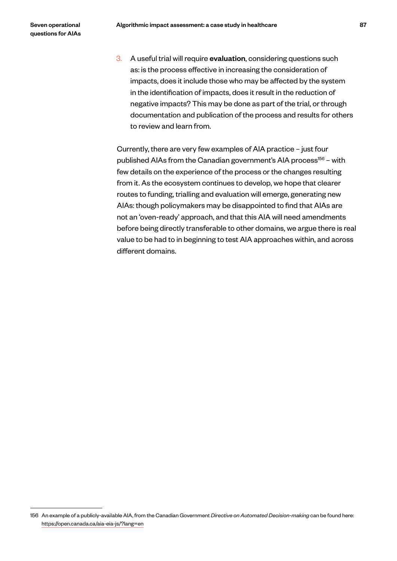3. A useful trial will require evaluation, considering questions such as: is the process effective in increasing the consideration of impacts, does it include those who may be affected by the system in the identification of impacts, does it result in the reduction of negative impacts? This may be done as part of the trial, or through documentation and publication of the process and results for others to review and learn from.

Currently, there are very few examples of AIA practice – just four published AIAs from the Canadian government's AIA process $156 -$  with few details on the experience of the process or the changes resulting from it. As the ecosystem continues to develop, we hope that clearer routes to funding, trialling and evaluation will emerge, generating new AIAs: though policymakers may be disappointed to find that AIAs are not an 'oven-ready' approach, and that this AIA will need amendments before being directly transferable to other domains, we argue there is real value to be had to in beginning to test AIA approaches within, and across different domains.

<sup>156</sup> An example of a publicly-available AIA, from the Canadian Government *Directive on Automated Decision-making* can be found here: https://open.canada.ca/aia-eia-js/?lang=en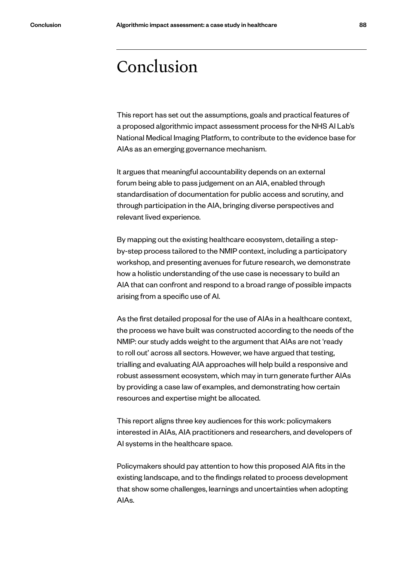# Conclusion

This report has set out the assumptions, goals and practical features of a proposed algorithmic impact assessment process for the NHS AI Lab's National Medical Imaging Platform, to contribute to the evidence base for AIAs as an emerging governance mechanism.

It argues that meaningful accountability depends on an external forum being able to pass judgement on an AIA, enabled through standardisation of documentation for public access and scrutiny, and through participation in the AIA, bringing diverse perspectives and relevant lived experience.

By mapping out the existing healthcare ecosystem, detailing a stepby-step process tailored to the NMIP context, including a participatory workshop, and presenting avenues for future research, we demonstrate how a holistic understanding of the use case is necessary to build an AIA that can confront and respond to a broad range of possible impacts arising from a specific use of AI.

As the first detailed proposal for the use of AIAs in a healthcare context, the process we have built was constructed according to the needs of the NMIP: our study adds weight to the argument that AIAs are not 'ready to roll out' across all sectors. However, we have argued that testing, trialling and evaluating AIA approaches will help build a responsive and robust assessment ecosystem, which may in turn generate further AIAs by providing a case law of examples, and demonstrating how certain resources and expertise might be allocated.

This report aligns three key audiences for this work: policymakers interested in AIAs, AIA practitioners and researchers, and developers of AI systems in the healthcare space.

Policymakers should pay attention to how this proposed AIA fits in the existing landscape, and to the findings related to process development that show some challenges, learnings and uncertainties when adopting AIAs.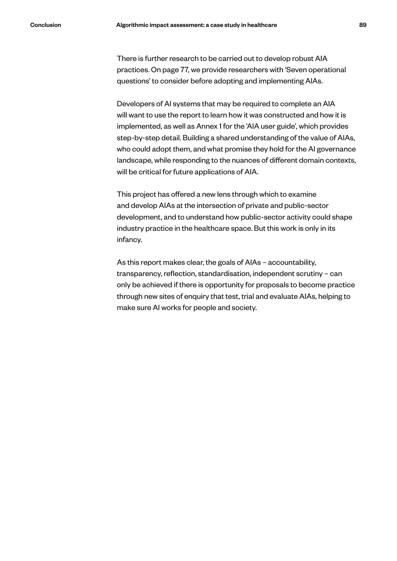There is further research to be carried out to develop robust AIA practices. On page 77, we provide researchers with 'Seven operational

Developers of AI systems that may be required to complete an AIA will want to use the report to learn how it was constructed and how it is implemented, as well as Annex 1 for the 'AIA user guide', which provides step-by-step detail. Building a shared understanding of the value of AIAs, who could adopt them, and what promise they hold for the AI governance landscape, while responding to the nuances of different domain contexts, will be critical for future applications of AIA.

questions' to consider before adopting and implementing AIAs.

This project has offered a new lens through which to examine and develop AIAs at the intersection of private and public-sector development, and to understand how public-sector activity could shape industry practice in the healthcare space. But this work is only in its infancy.

As this report makes clear, the goals of AIAs – accountability, transparency, reflection, standardisation, independent scrutiny – can only be achieved if there is opportunity for proposals to become practice through new sites of enquiry that test, trial and evaluate AIAs, helping to make sure AI works for people and society.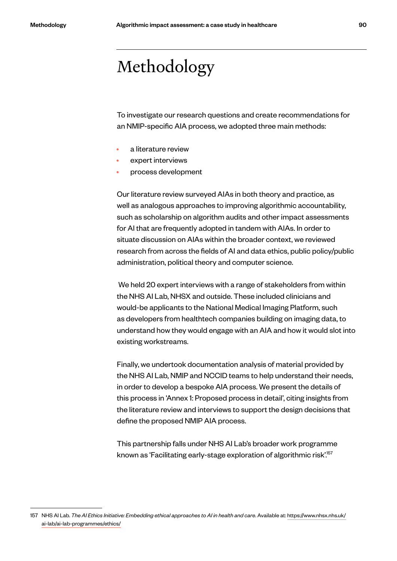# Methodology

To investigate our research questions and create recommendations for an NMIP-specific AIA process, we adopted three main methods:

- a literature review
- expert interviews
- process development

Our literature review surveyed AIAs in both theory and practice, as well as analogous approaches to improving algorithmic accountability, such as scholarship on algorithm audits and other impact assessments for AI that are frequently adopted in tandem with AIAs. In order to situate discussion on AIAs within the broader context, we reviewed research from across the fields of AI and data ethics, public policy/public administration, political theory and computer science.

 We held 20 expert interviews with a range of stakeholders from within the NHS AI Lab, NHSX and outside. These included clinicians and would-be applicants to the National Medical Imaging Platform, such as developers from healthtech companies building on imaging data, to understand how they would engage with an AIA and how it would slot into existing workstreams.

Finally, we undertook documentation analysis of material provided by the NHS AI Lab, NMIP and NCCID teams to help understand their needs, in order to develop a bespoke AIA process. We present the details of this process in 'Annex 1: Proposed process in detail', citing insights from the literature review and interviews to support the design decisions that define the proposed NMIP AIA process.

This partnership falls under NHS AI Lab's broader work programme known as 'Facilitating early-stage exploration of algorithmic risk'.157

<sup>157</sup> NHS AI Lab. *The AI Ethics Initiative: Embedding ethical approaches to AI in health and care*. Available at: https://www.nhsx.nhs.uk/ ai-lab/ai-lab-programmes/ethics/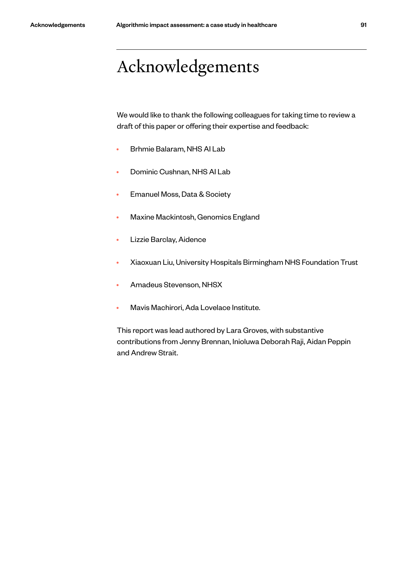# Acknowledgements

We would like to thank the following colleagues for taking time to review a draft of this paper or offering their expertise and feedback:

- Brhmie Balaram, NHS AI Lab
- Dominic Cushnan, NHS AI Lab
- Emanuel Moss, Data & Society
- Maxine Mackintosh, Genomics England
- Lizzie Barclay, Aidence
- Xiaoxuan Liu, University Hospitals Birmingham NHS Foundation Trust
- Amadeus Stevenson, NHSX
- Mavis Machirori, Ada Lovelace Institute.

This report was lead authored by Lara Groves, with substantive contributions from Jenny Brennan, Inioluwa Deborah Raji, Aidan Peppin and Andrew Strait.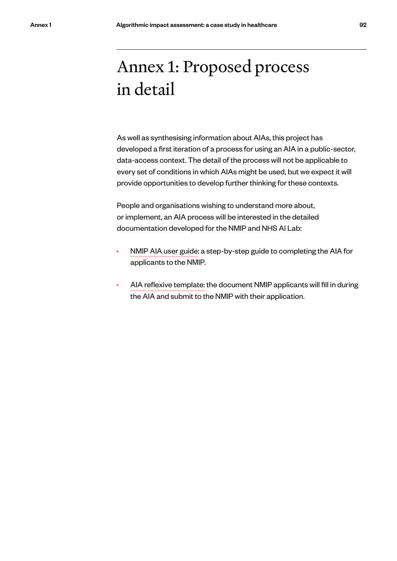# Annex 1: Proposed process in detail

As well as synthesising information about AIAs, this project has developed a first iteration of a process for using an AIA in a public-sector, data-access context. The detail of the process will not be applicable to every set of conditions in which AIAs might be used, but we expect it will provide opportunities to develop further thinking for these contexts.

People and organisations wishing to understand more about, or implement, an AIA process will be interested in the detailed documentation developed for the NMIP and NHS AI Lab:

- NMIP AIA user guide: a step-by-step guide to completing the AIA for applicants to the NMIP.
- AIA reflexive template: the document NMIP applicants will fill in during the AIA and submit to the NMIP with their application.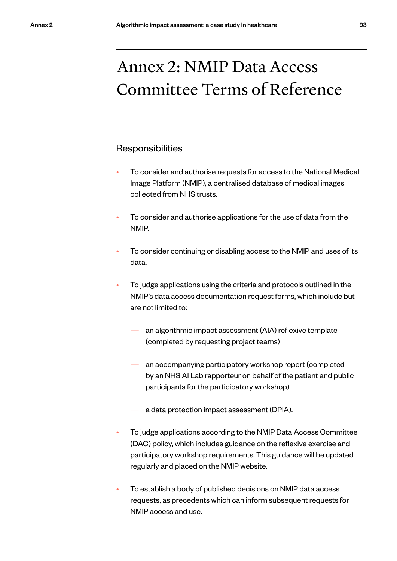# Annex 2: NMIP Data Access Committee Terms of Reference

## Responsibilities

- To consider and authorise requests for access to the National Medical Image Platform (NMIP), a centralised database of medical images collected from NHS trusts.
- To consider and authorise applications for the use of data from the NMIP.
- To consider continuing or disabling access to the NMIP and uses of its data.
- To judge applications using the criteria and protocols outlined in the NMIP's data access documentation request forms, which include but are not limited to:
	- an algorithmic impact assessment (AIA) reflexive template (completed by requesting project teams)
	- an accompanying participatory workshop report (completed by an NHS AI Lab rapporteur on behalf of the patient and public participants for the participatory workshop)
	- a data protection impact assessment (DPIA).
- To judge applications according to the NMIP Data Access Committee (DAC) policy, which includes guidance on the reflexive exercise and participatory workshop requirements. This guidance will be updated regularly and placed on the NMIP website.
- To establish a body of published decisions on NMIP data access requests, as precedents which can inform subsequent requests for NMIP access and use.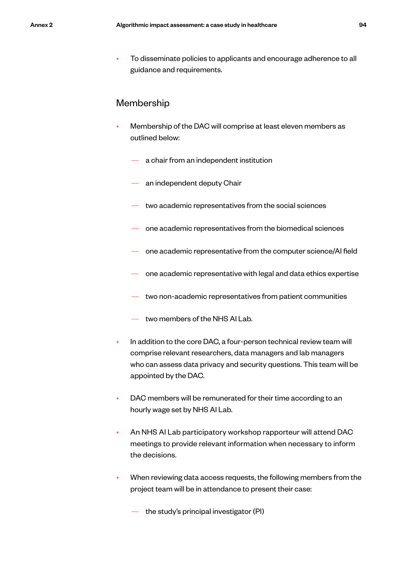• To disseminate policies to applicants and encourage adherence to all guidance and requirements.

## Membership

- Membership of the DAC will comprise at least eleven members as outlined below:
	- a chair from an independent institution
	- an independent deputy Chair
	- two academic representatives from the social sciences
	- one academic representatives from the biomedical sciences
	- one academic representative from the computer science/AI field
	- one academic representative with legal and data ethics expertise
	- two non-academic representatives from patient communities
	- two members of the NHS AI Lab.
- In addition to the core DAC, a four-person technical review team will comprise relevant researchers, data managers and lab managers who can assess data privacy and security questions. This team will be appointed by the DAC.
- DAC members will be remunerated for their time according to an hourly wage set by NHS AI Lab.
- An NHS AI Lab participatory workshop rapporteur will attend DAC meetings to provide relevant information when necessary to inform the decisions.
- When reviewing data access requests, the following members from the project team will be in attendance to present their case:

the study's principal investigator (PI)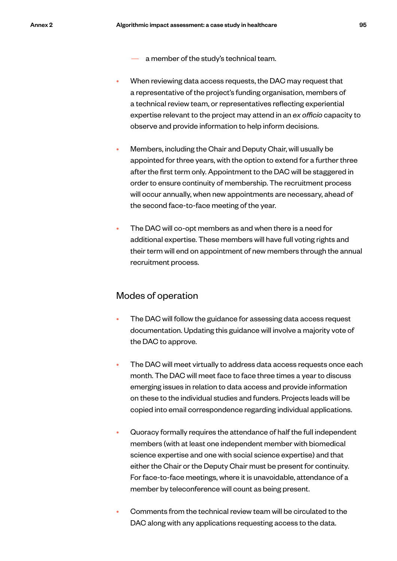- a member of the study's technical team.
- When reviewing data access requests, the DAC may request that a representative of the project's funding organisation, members of a technical review team, or representatives reflecting experiential expertise relevant to the project may attend in an *ex officio* capacity to observe and provide information to help inform decisions.
- Members, including the Chair and Deputy Chair, will usually be appointed for three years, with the option to extend for a further three after the first term only. Appointment to the DAC will be staggered in order to ensure continuity of membership. The recruitment process will occur annually, when new appointments are necessary, ahead of the second face-to-face meeting of the year.
- The DAC will co-opt members as and when there is a need for additional expertise. These members will have full voting rights and their term will end on appointment of new members through the annual recruitment process.

## Modes of operation

- The DAC will follow the guidance for assessing data access request documentation. Updating this guidance will involve a majority vote of the DAC to approve.
- The DAC will meet virtually to address data access requests once each month. The DAC will meet face to face three times a year to discuss emerging issues in relation to data access and provide information on these to the individual studies and funders. Projects leads will be copied into email correspondence regarding individual applications.
- Quoracy formally requires the attendance of half the full independent members (with at least one independent member with biomedical science expertise and one with social science expertise) and that either the Chair or the Deputy Chair must be present for continuity. For face-to-face meetings, where it is unavoidable, attendance of a member by teleconference will count as being present.
- Comments from the technical review team will be circulated to the DAC along with any applications requesting access to the data.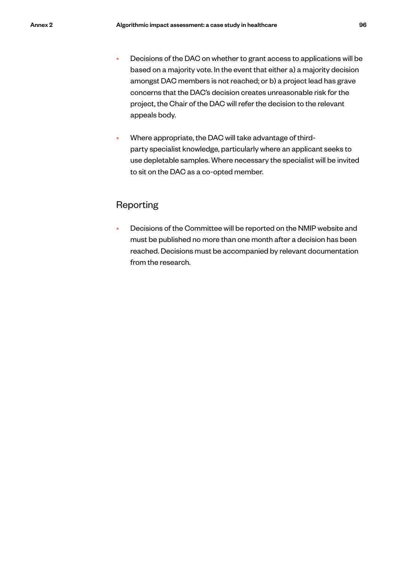- Decisions of the DAC on whether to grant access to applications will be based on a majority vote. In the event that either a) a majority decision amongst DAC members is not reached; or b) a project lead has grave concerns that the DAC's decision creates unreasonable risk for the project, the Chair of the DAC will refer the decision to the relevant appeals body.
- Where appropriate, the DAC will take advantage of thirdparty specialist knowledge, particularly where an applicant seeks to use depletable samples. Where necessary the specialist will be invited to sit on the DAC as a co-opted member.

# Reporting

• Decisions of the Committee will be reported on the NMIP website and must be published no more than one month after a decision has been reached. Decisions must be accompanied by relevant documentation from the research.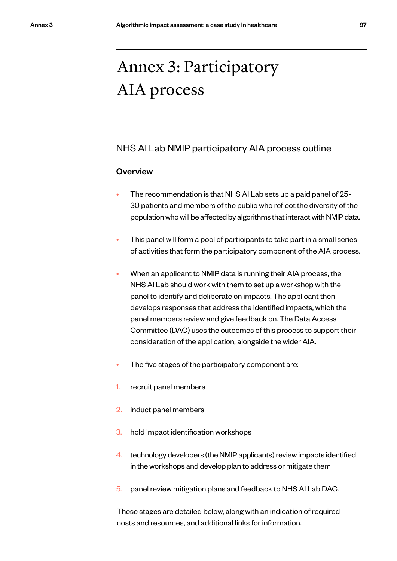# Annex 3: Participatory AIA process

# NHS AI Lab NMIP participatory AIA process outline

## **Overview**

- The recommendation is that NHS AI Lab sets up a paid panel of 25- 30 patients and members of the public who reflect the diversity of the population who will be affected by algorithms that interact with NMIP data.
- This panel will form a pool of participants to take part in a small series of activities that form the participatory component of the AIA process.
- When an applicant to NMIP data is running their AIA process, the NHS AI Lab should work with them to set up a workshop with the panel to identify and deliberate on impacts. The applicant then develops responses that address the identified impacts, which the panel members review and give feedback on. The Data Access Committee (DAC) uses the outcomes of this process to support their consideration of the application, alongside the wider AIA.
- The five stages of the participatory component are:
- 1. recruit panel members
- 2. induct panel members
- 3. hold impact identification workshops
- 4. technology developers (the NMIP applicants) review impacts identified in the workshops and develop plan to address or mitigate them
- 5. panel review mitigation plans and feedback to NHS AI Lab DAC.

These stages are detailed below, along with an indication of required costs and resources, and additional links for information.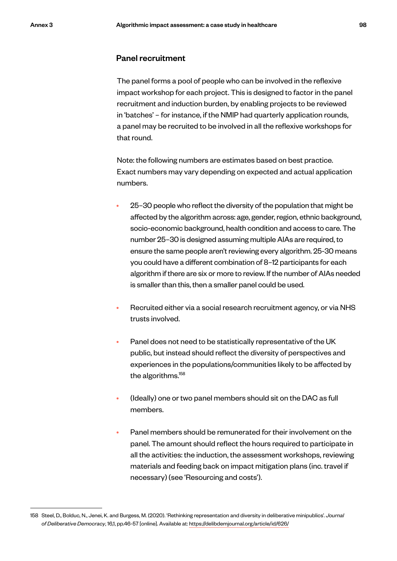### Panel recruitment

The panel forms a pool of people who can be involved in the reflexive impact workshop for each project. This is designed to factor in the panel recruitment and induction burden, by enabling projects to be reviewed in 'batches' – for instance, if the NMIP had quarterly application rounds, a panel may be recruited to be involved in all the reflexive workshops for that round.

Note: the following numbers are estimates based on best practice. Exact numbers may vary depending on expected and actual application numbers.

- 25–30 people who reflect the diversity of the population that might be affected by the algorithm across: age, gender, region, ethnic background, socio-economic background, health condition and access to care. The number 25–30 is designed assuming multiple AIAs are required, to ensure the same people aren't reviewing every algorithm. 25-30 means you could have a different combination of 8–12 participants for each algorithm if there are six or more to review. If the number of AIAs needed is smaller than this, then a smaller panel could be used.
- Recruited either via a social research recruitment agency, or via NHS trusts involved.
- Panel does not need to be statistically representative of the UK public, but instead should reflect the diversity of perspectives and experiences in the populations/communities likely to be affected by the algorithms.<sup>158</sup>
- (Ideally) one or two panel members should sit on the DAC as full members.
- Panel members should be remunerated for their involvement on the panel. The amount should reflect the hours required to participate in all the activities: the induction, the assessment workshops, reviewing materials and feeding back on impact mitigation plans (inc. travel if necessary) (see 'Resourcing and costs').

<sup>158</sup> Steel, D., Bolduc, N., Jenei, K. and Burgess, M. (2020). 'Rethinking representation and diversity in deliberative minipublics'. *Journal of Deliberative Democracy*, 16,1, pp.46-57 [online]. Available at: https://delibdemjournal.org/article/id/626/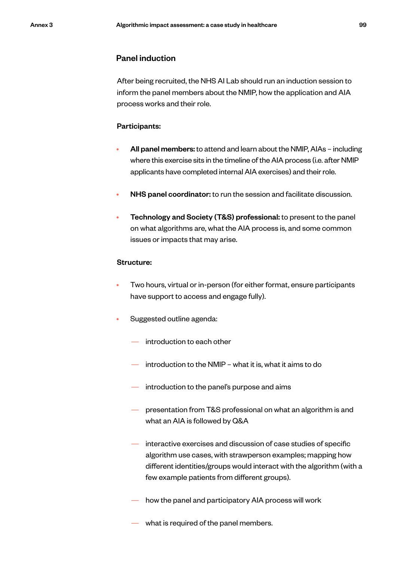### Panel induction

After being recruited, the NHS AI Lab should run an induction session to inform the panel members about the NMIP, how the application and AIA process works and their role.

#### Participants:

- All panel members: to attend and learn about the NMIP, AIAs including where this exercise sits in the timeline of the AIA process (i.e. after NMIP applicants have completed internal AIA exercises) and their role.
- NHS panel coordinator: to run the session and facilitate discussion.
- Technology and Society (T&S) professional: to present to the panel on what algorithms are, what the AIA process is, and some common issues or impacts that may arise.

### Structure:

- Two hours, virtual or in-person (for either format, ensure participants have support to access and engage fully).
- Suggested outline agenda:
	- introduction to each other
	- introduction to the NMIP what it is, what it aims to do
	- introduction to the panel's purpose and aims
	- presentation from T&S professional on what an algorithm is and what an AIA is followed by Q&A
	- interactive exercises and discussion of case studies of specific algorithm use cases, with strawperson examples; mapping how different identities/groups would interact with the algorithm (with a few example patients from different groups).
	- how the panel and participatory AIA process will work
	- what is required of the panel members.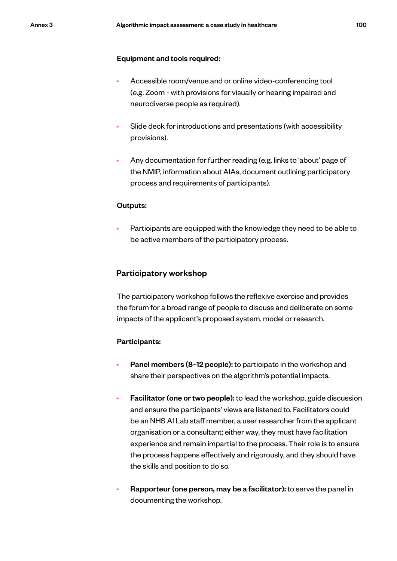#### Equipment and tools required:

- Accessible room/venue and or online video-conferencing tool (e.g. Zoom - with provisions for visually or hearing impaired and neurodiverse people as required).
- Slide deck for introductions and presentations (with accessibility provisions).
- Any documentation for further reading (e.g. links to 'about' page of the NMIP, information about AIAs, document outlining participatory process and requirements of participants).

#### Outputs:

• Participants are equipped with the knowledge they need to be able to be active members of the participatory process.

### Participatory workshop

The participatory workshop follows the reflexive exercise and provides the forum for a broad range of people to discuss and deliberate on some impacts of the applicant's proposed system, model or research.

### Participants:

- Panel members (8–12 people): to participate in the workshop and share their perspectives on the algorithm's potential impacts.
- Facilitator (one or two people): to lead the workshop, guide discussion and ensure the participants' views are listened to. Facilitators could be an NHS AI Lab staff member, a user researcher from the applicant organisation or a consultant; either way, they must have facilitation experience and remain impartial to the process. Their role is to ensure the process happens effectively and rigorously, and they should have the skills and position to do so.
- Rapporteur (one person, may be a facilitator): to serve the panel in documenting the workshop.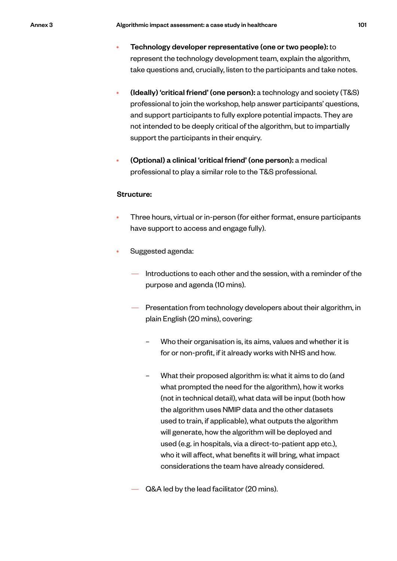- Technology developer representative (one or two people): to represent the technology development team, explain the algorithm, take questions and, crucially, listen to the participants and take notes.
- (Ideally) 'critical friend' (one person): a technology and society (T&S) professional to join the workshop, help answer participants' questions, and support participants to fully explore potential impacts. They are not intended to be deeply critical of the algorithm, but to impartially support the participants in their enquiry.
- (Optional) a clinical 'critical friend' (one person): a medical professional to play a similar role to the T&S professional.

### Structure:

- Three hours, virtual or in-person (for either format, ensure participants have support to access and engage fully).
- Suggested agenda:
	- Introductions to each other and the session, with a reminder of the purpose and agenda (10 mins).
	- Presentation from technology developers about their algorithm, in plain English (20 mins), covering:
		- Who their organisation is, its aims, values and whether it is for or non-profit, if it already works with NHS and how.
		- What their proposed algorithm is: what it aims to do (and what prompted the need for the algorithm), how it works (not in technical detail), what data will be input (both how the algorithm uses NMIP data and the other datasets used to train, if applicable), what outputs the algorithm will generate, how the algorithm will be deployed and used (e.g. in hospitals, via a direct-to-patient app etc.), who it will affect, what benefits it will bring, what impact considerations the team have already considered.
	- Q&A led by the lead facilitator (20 mins).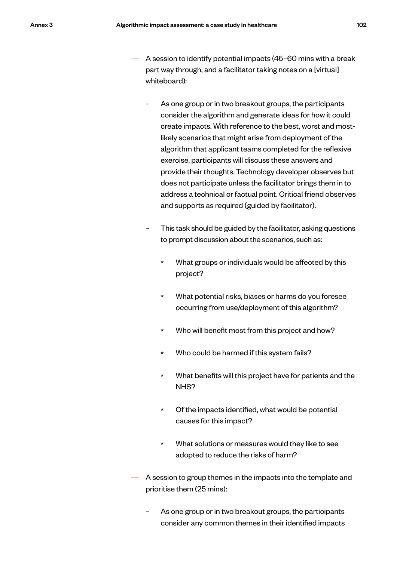- A session to identify potential impacts (45–60 mins with a break part way through, and a facilitator taking notes on a [virtual] whiteboard):
	- As one group or in two breakout groups, the participants consider the algorithm and generate ideas for how it could create impacts. With reference to the best, worst and mostlikely scenarios that might arise from deployment of the algorithm that applicant teams completed for the reflexive exercise, participants will discuss these answers and provide their thoughts. Technology developer observes but does not participate unless the facilitator brings them in to address a technical or factual point. Critical friend observes and supports as required (guided by facilitator).
	- This task should be guided by the facilitator, asking questions to prompt discussion about the scenarios, such as:
		- \* What groups or individuals would be affected by this project?
		- What potential risks, biases or harms do you foresee occurring from use/deployment of this algorithm?
		- \* Who will benefit most from this project and how?
		- Who could be harmed if this system fails?
		- What benefits will this project have for patients and the NHS?
		- Of the impacts identified, what would be potential causes for this impact?
		- What solutions or measures would they like to see adopted to reduce the risks of harm?
- A session to group themes in the impacts into the template and prioritise them (25 mins):
	- As one group or in two breakout groups, the participants consider any common themes in their identified impacts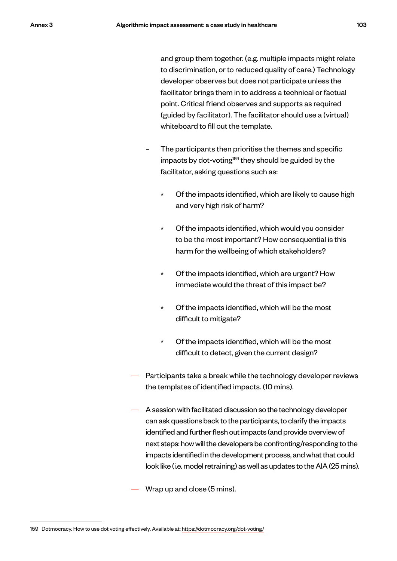and group them together. (e.g. multiple impacts might relate to discrimination, or to reduced quality of care.) Technology developer observes but does not participate unless the facilitator brings them in to address a technical or factual point. Critical friend observes and supports as required (guided by facilitator). The facilitator should use a (virtual) whiteboard to fill out the template.

- The participants then prioritise the themes and specific impacts by dot-voting<sup>159</sup> they should be guided by the facilitator, asking questions such as:
	- Of the impacts identified, which are likely to cause high and very high risk of harm?
	- \* Of the impacts identified, which would you consider to be the most important? How consequential is this harm for the wellbeing of which stakeholders?
	- \* Of the impacts identified, which are urgent? How immediate would the threat of this impact be?
	- Of the impacts identified, which will be the most difficult to mitigate?
	- \* Of the impacts identified, which will be the most difficult to detect, given the current design?
- Participants take a break while the technology developer reviews the templates of identified impacts. (10 mins).
- A session with facilitated discussion so the technology developer can ask questions back to the participants, to clarify the impacts identified and further flesh out impacts (and provide overview of next steps: how will the developers be confronting/responding to the impacts identified in the development process, and what that could look like (i.e. model retraining) as well as updates to the AIA (25 mins).

Wrap up and close (5 mins).

<sup>159</sup> Dotmocracy. How to use dot voting effectively. Available at: https://dotmocracy.org/dot-voting/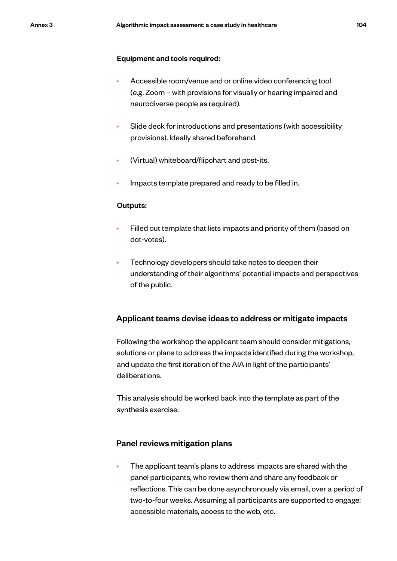#### Equipment and tools required:

- Accessible room/venue and or online video conferencing tool (e.g. Zoom – with provisions for visually or hearing impaired and neurodiverse people as required).
- Slide deck for introductions and presentations (with accessibility provisions). Ideally shared beforehand.
- (Virtual) whiteboard/flipchart and post-its.
- Impacts template prepared and ready to be filled in.

#### Outputs:

- Filled out template that lists impacts and priority of them (based on dot-votes).
- Technology developers should take notes to deepen their understanding of their algorithms' potential impacts and perspectives of the public.

### Applicant teams devise ideas to address or mitigate impacts

Following the workshop the applicant team should consider mitigations, solutions or plans to address the impacts identified during the workshop, and update the first iteration of the AIA in light of the participants' deliberations.

This analysis should be worked back into the template as part of the synthesis exercise.

### Panel reviews mitigation plans

• The applicant team's plans to address impacts are shared with the panel participants, who review them and share any feedback or reflections. This can be done asynchronously via email, over a period of two-to-four weeks. Assuming all participants are supported to engage: accessible materials, access to the web, etc.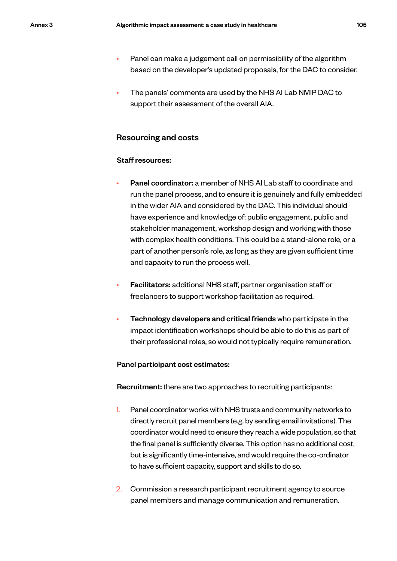- Panel can make a judgement call on permissibility of the algorithm based on the developer's updated proposals, for the DAC to consider.
- The panels' comments are used by the NHS AI Lab NMIP DAC to support their assessment of the overall AIA.

### Resourcing and costs

### Staff resources:

- Panel coordinator: a member of NHS AI Lab staff to coordinate and run the panel process, and to ensure it is genuinely and fully embedded in the wider AIA and considered by the DAC. This individual should have experience and knowledge of: public engagement, public and stakeholder management, workshop design and working with those with complex health conditions. This could be a stand-alone role, or a part of another person's role, as long as they are given sufficient time and capacity to run the process well.
- Facilitators: additional NHS staff, partner organisation staff or freelancers to support workshop facilitation as required.
- Technology developers and critical friends who participate in the impact identification workshops should be able to do this as part of their professional roles, so would not typically require remuneration.

#### Panel participant cost estimates:

Recruitment: there are two approaches to recruiting participants:

- 1. Panel coordinator works with NHS trusts and community networks to directly recruit panel members (e.g. by sending email invitations). The coordinator would need to ensure they reach a wide population, so that the final panel is sufficiently diverse. This option has no additional cost, but is significantly time-intensive, and would require the co-ordinator to have sufficient capacity, support and skills to do so.
- 2. Commission a research participant recruitment agency to source panel members and manage communication and remuneration.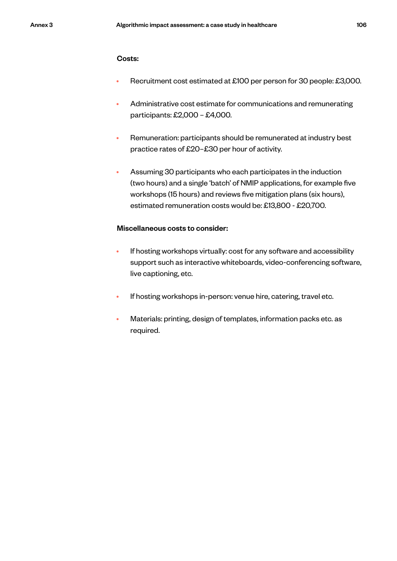### Costs:

- Recruitment cost estimated at £100 per person for 30 people: £3,000.
- Administrative cost estimate for communications and remunerating participants: £2,000 – £4,000.
- Remuneration: participants should be remunerated at industry best practice rates of £20–£30 per hour of activity.
- Assuming 30 participants who each participates in the induction (two hours) and a single 'batch' of NMIP applications, for example five workshops (15 hours) and reviews five mitigation plans (six hours), estimated remuneration costs would be: £13,800 - £20,700.

#### Miscellaneous costs to consider:

- If hosting workshops virtually: cost for any software and accessibility support such as interactive whiteboards, video-conferencing software, live captioning, etc.
- If hosting workshops in-person: venue hire, catering, travel etc.
- Materials: printing, design of templates, information packs etc. as required.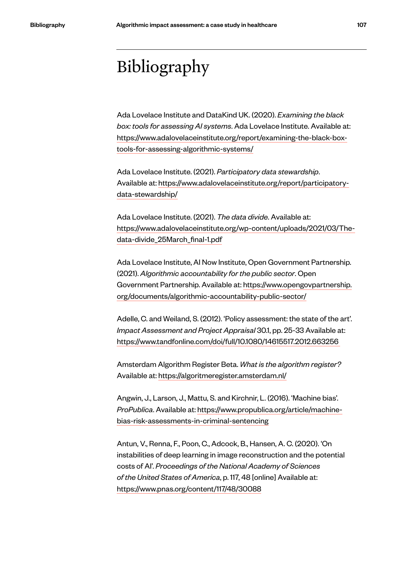# Bibliography

Ada Lovelace Institute and DataKind UK. (2020). *Examining the black box: tools for assessing AI systems*. Ada Lovelace Institute. Available at: https://www.adalovelaceinstitute.org/report/examining-the-black-boxtools-for-assessing-algorithmic-systems/

Ada Lovelace Institute. (2021). *Participatory data stewardship*. Available at: https://www.adalovelaceinstitute.org/report/participatorydata-stewardship/

Ada Lovelace Institute. (2021). *The data divide*. Available at: https://www.adalovelaceinstitute.org/wp-content/uploads/2021/03/Thedata-divide\_25March\_final-1.pdf

Ada Lovelace Institute, AI Now Institute, Open Government Partnership. (2021). *Algorithmic accountability for the public sector*. Open Government Partnership. Available at: https://www.opengovpartnership. org/documents/algorithmic-accountability-public-sector/

Adelle, C. and Weiland, S. (2012). 'Policy assessment: the state of the art'. *Impact Assessment and Project Appraisal* 30.1, pp. 25-33 Available at: https://www.tandfonline.com/doi/full/10.1080/14615517.2012.663256

Amsterdam Algorithm Register Beta. *What is the algorithm register?*  Available at: https://algoritmeregister.amsterdam.nl/

Angwin, J., Larson, J., Mattu, S. and Kirchnir, L. (2016). 'Machine bias'. *ProPublica*. Available at: https://www.propublica.org/article/machinebias-risk-assessments-in-criminal-sentencing

Antun, V., Renna, F., Poon, C., Adcock, B., Hansen, A. C. (2020). 'On instabilities of deep learning in image reconstruction and the potential costs of AI'. *Proceedings of the National Academy of Sciences of the United States of America*, p. 117, 48 [online] Available at: https://www.pnas.org/content/117/48/30088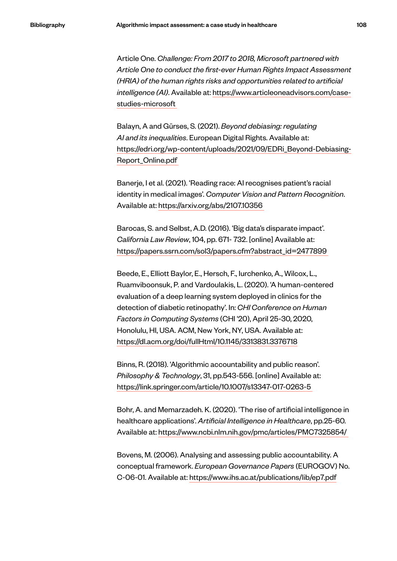Article One. *Challenge: From 2017 to 2018, Microsoft partnered with Article One to conduct the first-ever Human Rights Impact Assessment (HRIA) of the human rights risks and opportunities related to artificial intelligence (AI)*. Available at: https://www.articleoneadvisors.com/casestudies-microsoft

Balayn, A and Gürses, S. (2021). *Beyond debiasing: regulating AI and its inequalities*. European Digital Rights. Available at: https://edri.org/wp-content/uploads/2021/09/EDRi\_Beyond-Debiasing-Report\_Online.pdf

Banerje, I et al. (2021). 'Reading race: AI recognises patient's racial identity in medical images'. *Computer Vision and Pattern Recognition*. Available at: https://arxiv.org/abs/2107.10356

Barocas, S. and Selbst, A.D. (2016). 'Big data's disparate impact'. *California Law Review*, 104, pp. 671- 732. [online] Available at: https://papers.ssrn.com/sol3/papers.cfm?abstract\_id=2477899

Beede, E., Elliott Baylor, E., Hersch, F., Iurchenko, A., Wilcox, L., Ruamviboonsuk, P. and Vardoulakis, L. (2020). 'A human-centered evaluation of a deep learning system deployed in clinics for the detection of diabetic retinopathy'. In: *CHI Conference on Human Factors in Computing Systems* (CHI '20), April 25-30, 2020, Honolulu, HI, USA. ACM, New York, NY, USA. Available at: https://dl.acm.org/doi/fullHtml/10.1145/3313831.3376718

Binns, R. (2018). 'Algorithmic accountability and public reason'. *Philosophy & Technology*, 31, pp.543-556. [online] Available at: https://link.springer.com/article/10.1007/s13347-017-0263-5

Bohr, A. and Memarzadeh. K. (2020). 'The rise of artificial intelligence in healthcare applications'. *Artificial Intelligence in Healthcare*, pp.25-60. Available at: https://www.ncbi.nlm.nih.gov/pmc/articles/PMC7325854/

Bovens, M. (2006). Analysing and assessing public accountability. A conceptual framework. *European Governance Papers* (EUROGOV) No. C-06-01. Available at: https://www.ihs.ac.at/publications/lib/ep7.pdf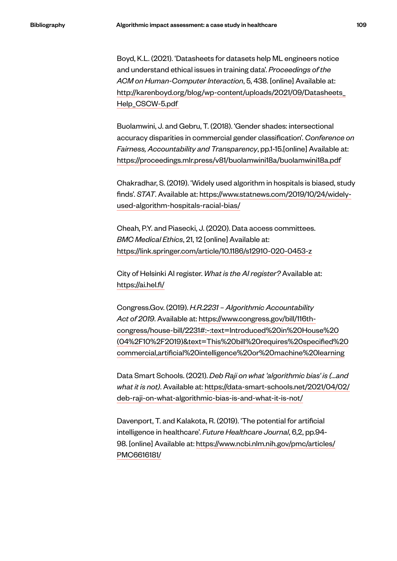Boyd, K.L. (2021). 'Datasheets for datasets help ML engineers notice and understand ethical issues in training data'. *Proceedings of the ACM on Human-Computer Interaction*, 5, 438. [online] Available at: http://karenboyd.org/blog/wp-content/uploads/2021/09/Datasheets\_ Help\_CSCW-5.pdf

Buolamwini, J. and Gebru, T. (2018). 'Gender shades: intersectional accuracy disparities in commercial gender classification'. *Conference on Fairness, Accountability and Transparency*, pp.1-15.[online] Available at: https://proceedings.mlr.press/v81/buolamwini18a/buolamwini18a.pdf

Chakradhar, S. (2019). 'Widely used algorithm in hospitals is biased, study finds'. *STAT*. Available at: https://www.statnews.com/2019/10/24/widelyused-algorithm-hospitals-racial-bias/

Cheah, P.Y. and Piasecki, J. (2020). Data access committees. *BMC Medical Ethics*, 21, 12 [online] Available at: https://link.springer.com/article/10.1186/s12910-020-0453-z

City of Helsinki AI register. *What is the AI register?* Available at: https://ai.hel.fi/

Congress.Gov. (2019). *H.R.2231 – Algorithmic Accountability Act of 2019*. Available at: https://www.congress.gov/bill/116thcongress/house-bill/2231#:~:text=Introduced%20in%20House%20 (04%2F10%2F2019)&text=This%20bill%20requires%20specified%20 commercial,artificial%20intelligence%20or%20machine%20learning

Data Smart Schools. (2021). *Deb Raji on what 'algorithmic bias' is (...and what it is not)*. Available at: https://data-smart-schools.net/2021/04/02/ deb-raji-on-what-algorithmic-bias-is-and-what-it-is-not/

Davenport, T. and Kalakota, R. (2019). 'The potential for artificial intelligence in healthcare'. *Future Healthcare Journal*, 6,2, pp.94- 98. [online] Available at: https://www.ncbi.nlm.nih.gov/pmc/articles/ PMC6616181/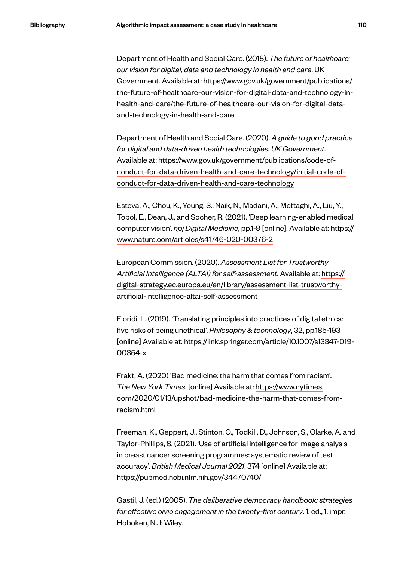Department of Health and Social Care. (2018). *The future of healthcare: our vision for digital, data and technology in health and care*. UK Government. Available at: https://www.gov.uk/government/publications/ the-future-of-healthcare-our-vision-for-digital-data-and-technology-inhealth-and-care/the-future-of-healthcare-our-vision-for-digital-dataand-technology-in-health-and-care

Department of Health and Social Care. (2020). *A guide to good practice for digital and data-driven health technologies. UK Government*. Available at: https://www.gov.uk/government/publications/code-ofconduct-for-data-driven-health-and-care-technology/initial-code-ofconduct-for-data-driven-health-and-care-technology

Esteva, A., Chou, K., Yeung, S., Naik, N., Madani, A., Mottaghi, A., Liu, Y., Topol, E., Dean, J., and Socher, R. (2021). 'Deep learning-enabled medical computer vision'. *npj Digital Medicine*, pp.1-9 [online]. Available at: https:// www.nature.com/articles/s41746-020-00376-2

European Commission. (2020). *Assessment List for Trustworthy Artificial Intelligence (ALTAI) for self-assessment*. Available at: https:// digital-strategy.ec.europa.eu/en/library/assessment-list-trustworthyartificial-intelligence-altai-self-assessment

Floridi, L. (2019). 'Translating principles into practices of digital ethics: five risks of being unethical'. *Philosophy & technology*, 32, pp.185-193 [online] Available at: https://link.springer.com/article/10.1007/s13347-019- 00354-x

Frakt, A. (2020) 'Bad medicine: the harm that comes from racism'. *The New York Times*. [online] Available at: https://www.nytimes. com/2020/01/13/upshot/bad-medicine-the-harm-that-comes-fromracism.html

Freeman, K., Geppert, J., Stinton, C., Todkill, D., Johnson, S., Clarke, A. and Taylor-Phillips, S. (2021). 'Use of artificial intelligence for image analysis in breast cancer screening programmes: systematic review of test accuracy'. *British Medical Journal 2021*, 374 [online] Available at: https://pubmed.ncbi.nlm.nih.gov/34470740/

Gastil, J. (ed.) (2005). *The deliberative democracy handbook: strategies for effective civic engagement in the twenty-first century*. 1. ed., 1. impr. Hoboken, N.J: Wiley.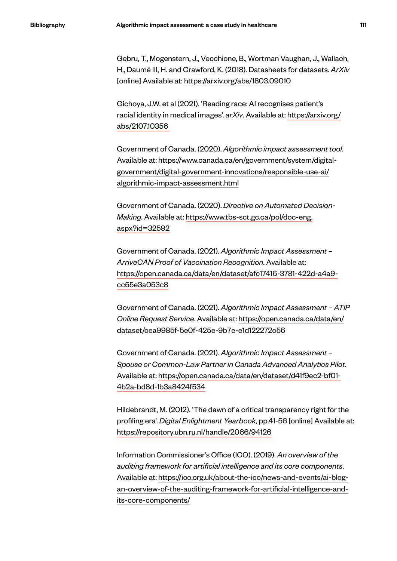Gebru, T., Mogenstern, J., Vecchione, B., Wortman Vaughan, J., Wallach, H., Daumé III, H. and Crawford, K. (2018). Datasheets for datasets. *ArXiv* [online] Available at: https://arxiv.org/abs/1803.09010

Gichoya, J.W. et al (2021). 'Reading race: AI recognises patient's racial identity in medical images'. *arXiv*. Available at: https://arxiv.org/ abs/2107.10356

Government of Canada. (2020). *Algorithmic impact assessment tool*. Available at: https://www.canada.ca/en/government/system/digitalgovernment/digital-government-innovations/responsible-use-ai/ algorithmic-impact-assessment.html

Government of Canada. (2020). *Directive on Automated Decision-Making*. Available at: https://www.tbs-sct.gc.ca/pol/doc-eng. aspx?id=32592

Government of Canada. (2021). *Algorithmic Impact Assessment – ArriveCAN Proof of Vaccination Recognition*. Available at: https://open.canada.ca/data/en/dataset/afc17416-3781-422d-a4a9 cc55e3a053c8

Government of Canada. (2021). *Algorithmic Impact Assessment – ATIP Online Request Service*. Available at: https://open.canada.ca/data/en/ dataset/cea9985f-5e0f-425e-9b7e-e1d122272c56

Government of Canada. (2021). *Algorithmic Impact Assessment – Spouse or Common-Law Partner in Canada Advanced Analytics Pilot*. Available at: https://open.canada.ca/data/en/dataset/d41f9ec2-bf01- 4b2a-bd8d-1b3a8424f534

Hildebrandt, M. (2012). 'The dawn of a critical transparency right for the profiling era'. *Digital Enlightment Yearbook*, pp.41-56 [online] Available at: https://repository.ubn.ru.nl/handle/2066/94126

Information Commissioner's Office (ICO). (2019). *An overview of the auditing framework for artificial intelligence and its core components*. Available at: https://ico.org.uk/about-the-ico/news-and-events/ai-blogan-overview-of-the-auditing-framework-for-artificial-intelligence-andits-core-components/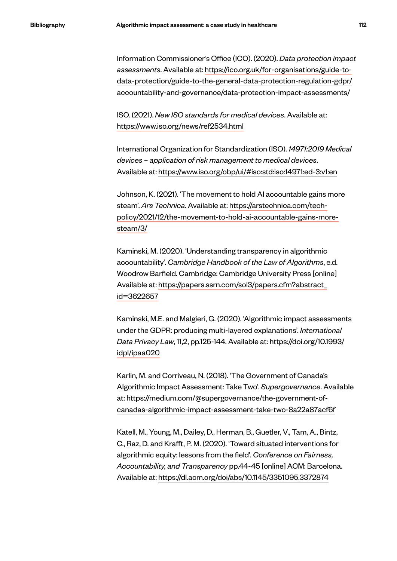Information Commissioner's Office (ICO). (2020). *Data protection impact assessments*. Available at: https://ico.org.uk/for-organisations/guide-todata-protection/guide-to-the-general-data-protection-regulation-gdpr/ accountability-and-governance/data-protection-impact-assessments/

ISO. (2021). *New ISO standards for medical devices*. Available at: https://www.iso.org/news/ref2534.html

International Organization for Standardization (ISO). *14971:2019 Medical devices – application of risk management to medical devices*. Available at: https://www.iso.org/obp/ui/#iso:std:iso:14971:ed-3:v1:en

Johnson, K. (2021). 'The movement to hold AI accountable gains more steam'. *Ars Technica*. Available at: https://arstechnica.com/techpolicy/2021/12/the-movement-to-hold-ai-accountable-gains-moresteam/3/

Kaminski, M. (2020). 'Understanding transparency in algorithmic accountability'. *Cambridge Handbook of the Law of Algorithms*, e.d. Woodrow Barfield. Cambridge: Cambridge University Press [online] Available at: https://papers.ssrn.com/sol3/papers.cfm?abstract\_ id=3622657

Kaminski, M.E. and Malgieri, G. (2020). 'Algorithmic impact assessments under the GDPR: producing multi-layered explanations'. *International Data Privacy Law*, 11,2, pp.125-144. Available at: https://doi.org/10.1993/ idpl/ipaa020

Karlin, M. and Corriveau, N. (2018). 'The Government of Canada's Algorithmic Impact Assessment: Take Two'. *Supergovernance*. Available at: https://medium.com/@supergovernance/the-government-ofcanadas-algorithmic-impact-assessment-take-two-8a22a87acf6f

Katell, M., Young, M., Dailey, D., Herman, B., Guetler, V., Tam, A., Bintz, C., Raz, D. and Krafft, P. M. (2020). 'Toward situated interventions for algorithmic equity: lessons from the field'. *Conference on Fairness, Accountability, and Transparency* pp.44-45 [online] ACM: Barcelona. Available at: https://dl.acm.org/doi/abs/10.1145/3351095.3372874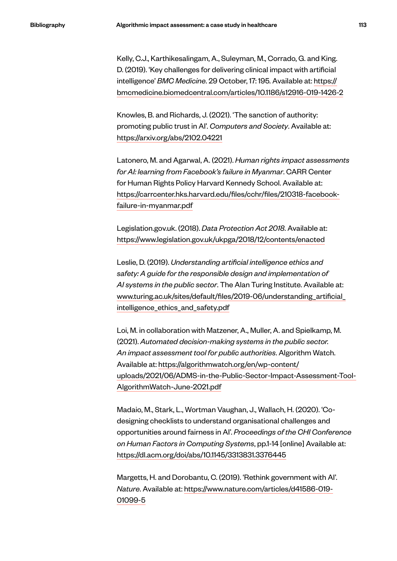Kelly, C.J., Karthikesalingam, A., Suleyman, M., Corrado, G. and King. D. (2019). 'Key challenges for delivering clinical impact with artificial intelligence' *BMC Medicine*. 29 October, 17: 195. Available at: https:// bmcmedicine.biomedcentral.com/articles/10.1186/s12916-019-1426-2

Knowles, B. and Richards, J. (2021). 'The sanction of authority: promoting public trust in AI'. *Computers and Society*. Available at: https://arxiv.org/abs/2102.04221

Latonero, M. and Agarwal, A. (2021). *Human rights impact assessments for AI: learning from Facebook's failure in Myanmar*. CARR Center for Human Rights Policy Harvard Kennedy School. Available at: https://carrcenter.hks.harvard.edu/files/cchr/files/210318-facebookfailure-in-myanmar.pdf

Legislation.gov.uk. (2018). *Data Protection Act 2018*. Available at: https://www.legislation.gov.uk/ukpga/2018/12/contents/enacted

Leslie, D. (2019). *Understanding artificial intelligence ethics and safety: A guide for the responsible design and implementation of AI systems in the public sector*. The Alan Turing Institute. Available at: www.turing.ac.uk/sites/default/files/2019-06/understanding\_artificial\_ intelligence\_ethics\_and\_safety.pdf

Loi, M. in collaboration with Matzener, A., Muller, A. and Spielkamp, M. (2021). *Automated decision-making systems in the public sector. An impact assessment tool for public authorities*. Algorithm Watch. Available at: https://algorithmwatch.org/en/wp-content/ uploads/2021/06/ADMS-in-the-Public-Sector-Impact-Assessment-Tool-AlgorithmWatch-June-2021.pdf

Madaio, M., Stark, L., Wortman Vaughan, J., Wallach, H. (2020). 'Codesigning checklists to understand organisational challenges and opportunities around fairness in AI'. *Proceedings of the CHI Conference on Human Factors in Computing Systems*, pp.1-14 [online] Available at: https://dl.acm.org/doi/abs/10.1145/3313831.3376445

Margetts, H. and Dorobantu, C. (2019). 'Rethink government with AI'. *Nature*. Available at: https://www.nature.com/articles/d41586-019- 01099-5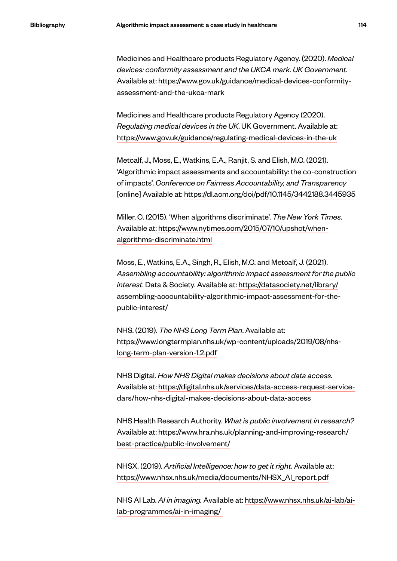Medicines and Healthcare products Regulatory Agency. (2020). *Medical devices: conformity assessment and the UKCA mark. UK Government*. Available at: https://www.gov.uk/guidance/medical-devices-conformityassessment-and-the-ukca-mark

Medicines and Healthcare products Regulatory Agency (2020). *Regulating medical devices in the UK*. UK Government. Available at: https://www.gov.uk/guidance/regulating-medical-devices-in-the-uk

Metcalf, J., Moss, E., Watkins, E.A., Ranjit, S. and Elish, M.C. (2021). 'Algorithmic impact assessments and accountability: the co-construction of impacts'. *Conference on Fairness Accountability, and Transparency*  [online] Available at: https://dl.acm.org/doi/pdf/10.1145/3442188.3445935

Miller, C. (2015). 'When algorithms discriminate'. *The New York Times*. Available at: https://www.nytimes.com/2015/07/10/upshot/whenalgorithms-discriminate.html

Moss, E., Watkins, E.A., Singh, R., Elish, M.C. and Metcalf, J. (2021). *Assembling accountability: algorithmic impact assessment for the public interest*. Data & Society. Available at: https://datasociety.net/library/ assembling-accountability-algorithmic-impact-assessment-for-thepublic-interest/

NHS. (2019). *The NHS Long Term Plan*. Available at: https://www.longtermplan.nhs.uk/wp-content/uploads/2019/08/nhslong-term-plan-version-1.2.pdf

NHS Digital. *How NHS Digital makes decisions about data access.*  Available at: https://digital.nhs.uk/services/data-access-request-servicedars/how-nhs-digital-makes-decisions-about-data-access

NHS Health Research Authority. *What is public involvement in research?*  Available at: https://www.hra.nhs.uk/planning-and-improving-research/ best-practice/public-involvement/

NHSX. (2019). *Artificial Intelligence: how to get it right*. Available at: https://www.nhsx.nhs.uk/media/documents/NHSX\_AI\_report.pdf

NHS AI Lab. *AI in imaging.* Available at: https://www.nhsx.nhs.uk/ai-lab/ailab-programmes/ai-in-imaging/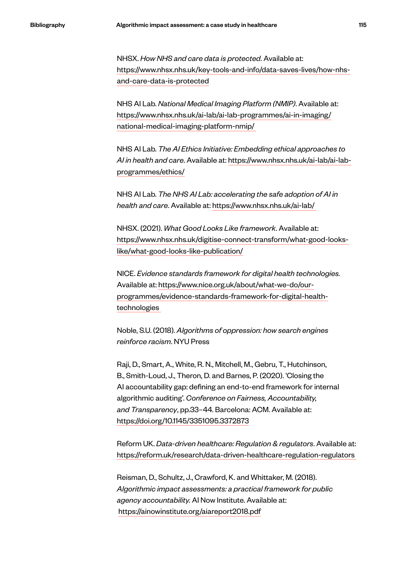NHSX. *How NHS and care data is protected*. Available at: https://www.nhsx.nhs.uk/key-tools-and-info/data-saves-lives/how-nhsand-care-data-is-protected

NHS AI Lab. *National Medical Imaging Platform (NMIP)*. Available at: https://www.nhsx.nhs.uk/ai-lab/ai-lab-programmes/ai-in-imaging/ national-medical-imaging-platform-nmip/

NHS AI Lab. *The AI Ethics Initiative: Embedding ethical approaches to AI in health and care*. Available at: https://www.nhsx.nhs.uk/ai-lab/ai-labprogrammes/ethics/

NHS AI Lab. *The NHS AI Lab: accelerating the safe adoption of AI in health and care*. Available at: https://www.nhsx.nhs.uk/ai-lab/

NHSX. (2021). *What Good Looks Like framework*. Available at: https://www.nhsx.nhs.uk/digitise-connect-transform/what-good-lookslike/what-good-looks-like-publication/

NICE. *Evidence standards framework for digital health technologies.* Available at: https://www.nice.org.uk/about/what-we-do/ourprogrammes/evidence-standards-framework-for-digital-healthtechnologies

Noble, S.U. (2018). *Algorithms of oppression: how search engines reinforce racism*. NYU Press

Raji, D., Smart, A., White, R. N., Mitchell, M., Gebru, T., Hutchinson, B., Smith-Loud, J., Theron, D. and Barnes, P. (2020). 'Closing the AI accountability gap: defining an end-to-end framework for internal algorithmic auditing'. *Conference on Fairness, Accountability, and Transparency*, pp.33–44. Barcelona: ACM. Available at: https://doi.org/10.1145/3351095.3372873

Reform UK. *Data-driven healthcare: Regulation & regulators*. Available at: https://reform.uk/research/data-driven-healthcare-regulation-regulators

Reisman, D., Schultz, J., Crawford, K. and Whittaker, M. (2018). *Algorithmic impact assessments: a practical framework for public agency accountability.* AI Now Institute. Available at: https://ainowinstitute.org/aiareport2018.pdf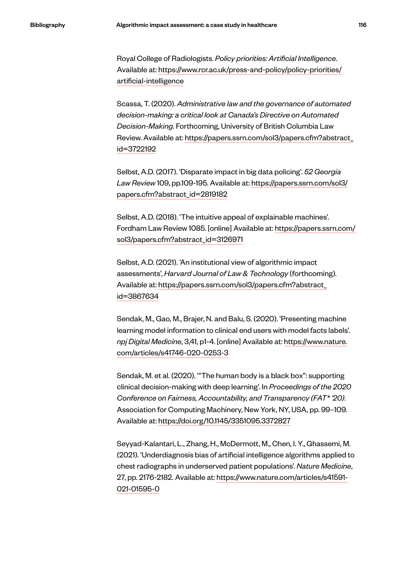Royal College of Radiologists. *Policy priorities: Artificial Intelligence*. Available at: https://www.rcr.ac.uk/press-and-policy/policy-priorities/ artificial-intelligence

Scassa, T. (2020). *Administrative law and the governance of automated decision-making: a critical look at Canada's Directive on Automated Decision-Making*. Forthcoming, University of British Columbia Law Review. Available at: https://papers.ssrn.com/sol3/papers.cfm?abstract\_ id=3722192

Selbst, A.D. (2017). 'Disparate impact in big data policing'. *52 Georgia Law Review* 109, pp.109-195. Available at: https://papers.ssrn.com/sol3/ papers.cfm?abstract\_id=2819182

Selbst, A.D. (2018). 'The intuitive appeal of explainable machines'. Fordham Law Review 1085. [online] Available at: https://papers.ssrn.com/ sol3/papers.cfm?abstract\_id=3126971

Selbst, A.D. (2021). 'An institutional view of algorithmic impact assessments', *Harvard Journal of Law & Technology* (forthcoming). Available at: https://papers.ssrn.com/sol3/papers.cfm?abstract\_ id=3867634

Sendak, M., Gao, M., Brajer, N. and Balu, S. (2020). 'Presenting machine learning model information to clinical end users with model facts labels'. *npj Digital Medicine*, 3,41, p1-4. [online] Available at: https://www.nature. com/articles/s41746-020-0253-3

Sendak, M. et al. (2020). '"The human body is a black box": supporting clinical decision-making with deep learning'. In *Proceedings of the 2020 Conference on Fairness, Accountability, and Transparency (FAT\* '20)*. Association for Computing Machinery, New York, NY, USA, pp. 99–109. Available at: https://doi.org/10.1145/3351095.3372827

Seyyad-Kalantari, L., Zhang, H., McDermott, M., Chen, I. Y., Ghassemi, M. (2021). 'Underdiagnosis bias of artificial intelligence algorithms applied to chest radiographs in underserved patient populations'. *Nature Medicine*, 27, pp. 2176-2182. Available at: https://www.nature.com/articles/s41591- 021-01595-0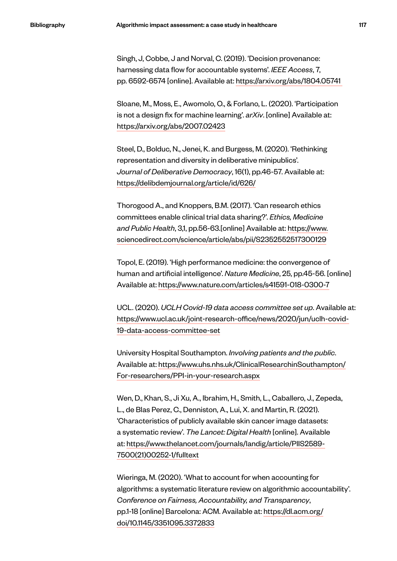Singh, J, Cobbe, J and Norval, C. (2019). 'Decision provenance: harnessing data flow for accountable systems'. *IEEE Access*, 7, pp. 6592-6574 [online]. Available at: https://arxiv.org/abs/1804.05741

Sloane, M., Moss, E., Awomolo, O., & Forlano, L. (2020). 'Participation is not a design fix for machine learning'. *arXiv*. [online] Available at: https://arxiv.org/abs/2007.02423

Steel, D., Bolduc, N., Jenei, K. and Burgess, M. (2020). 'Rethinking representation and diversity in deliberative minipublics'. *Journal of Deliberative Democracy*, 16(1), pp.46-57. Available at: https://delibdemjournal.org/article/id/626/

Thorogood A., and Knoppers, B.M. (2017). 'Can research ethics committees enable clinical trial data sharing?'. *Ethics, Medicine and Public Health*, 3,1, pp.56-63.[online] Available at: https://www. sciencedirect.com/science/article/abs/pii/S2352552517300129

Topol, E. (2019). 'High performance medicine: the convergence of human and artificial intelligence'. *Nature Medicine*, 25, pp.45-56. [online] Available at: https://www.nature.com/articles/s41591-018-0300-7

UCL. (2020). *UCLH Covid-19 data access committee set up*. Available at: https://www.ucl.ac.uk/joint-research-office/news/2020/jun/uclh-covid-19-data-access-committee-set

University Hospital Southampton. *Involving patients and the public*. Available at: https://www.uhs.nhs.uk/ClinicalResearchinSouthampton/ For-researchers/PPI-in-your-research.aspx

Wen, D., Khan, S., Ji Xu, A., Ibrahim, H., Smith, L., Caballero, J., Zepeda, L., de Blas Perez, C., Denniston, A., Lui, X. and Martin, R. (2021). 'Characteristics of publicly available skin cancer image datasets: a systematic review'. *The Lancet: Digital Health* [online]. Available at: https://www.thelancet.com/journals/landig/article/PIIS2589- 7500(21)00252-1/fulltext

Wieringa, M. (2020). 'What to account for when accounting for algorithms: a systematic literature review on algorithmic accountability'. *Conference on Fairness, Accountability, and Transparency*, pp.1-18 [online] Barcelona: ACM. Available at: https://dl.acm.org/ doi/10.1145/3351095.3372833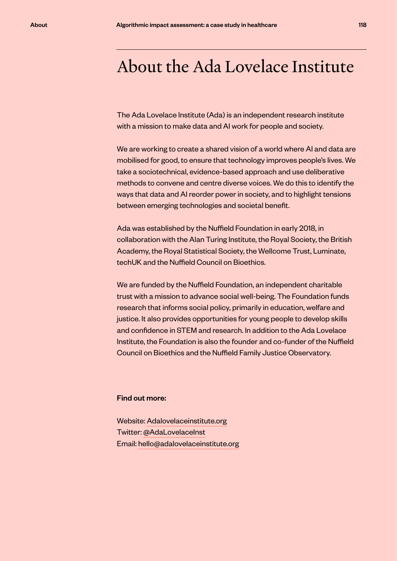## About the Ada Lovelace Institute

The Ada Lovelace Institute (Ada) is an independent research institute with a mission to make data and AI work for people and society.

We are working to create a shared vision of a world where AI and data are mobilised for good, to ensure that technology improves people's lives. We take a sociotechnical, evidence-based approach and use deliberative methods to convene and centre diverse voices. We do this to identify the ways that data and AI reorder power in society, and to highlight tensions between emerging technologies and societal benefit.

Ada was established by the Nuffield Foundation in early 2018, in collaboration with the Alan Turing Institute, the Royal Society, the British Academy, the Royal Statistical Society, the Wellcome Trust, Luminate, techUK and the Nuffield Council on Bioethics.

We are funded by the Nuffield Foundation, an independent charitable trust with a mission to advance social well-being. The Foundation funds research that informs social policy, primarily in education, welfare and justice. It also provides opportunities for young people to develop skills and confidence in STEM and research. In addition to the Ada Lovelace Institute, the Foundation is also the founder and co-funder of the Nuffield Council on Bioethics and the Nuffield Family Justice Observatory.

## Find out more:

Website: Adalovelaceinstitute.org Twitter: @AdaLovelaceInst Email: hello@adalovelaceinstitute.org